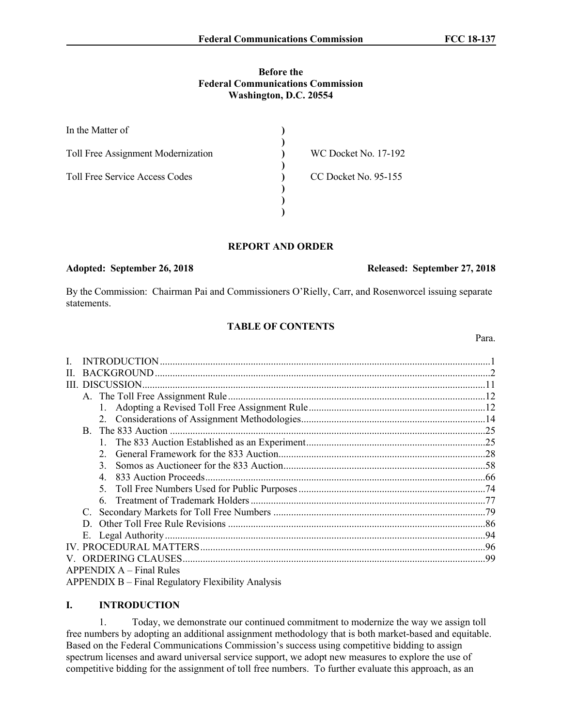### **Before the Federal Communications Commission Washington, D.C. 20554**

| In the Matter of                      |                             |  |
|---------------------------------------|-----------------------------|--|
| Toll Free Assignment Modernization    | <b>WC Docket No. 17-192</b> |  |
| <b>Toll Free Service Access Codes</b> | CC Docket No. 95-155        |  |
|                                       |                             |  |
|                                       |                             |  |

### **REPORT AND ORDER**

# **Adopted: September 26, 2018 Released: September 27, 2018**

By the Commission: Chairman Pai and Commissioners O'Rielly, Carr, and Rosenworcel issuing separate statements.

### **TABLE OF CONTENTS**

| H. |                                                    |     |
|----|----------------------------------------------------|-----|
|    | III. DISCUSSION                                    |     |
|    |                                                    |     |
|    |                                                    |     |
|    |                                                    |     |
|    |                                                    |     |
|    |                                                    |     |
|    | $2^{\circ}$                                        |     |
|    | $\mathcal{L}$                                      |     |
|    |                                                    |     |
|    |                                                    |     |
|    |                                                    |     |
|    | C.                                                 |     |
|    | D                                                  |     |
|    |                                                    |     |
|    |                                                    |     |
|    |                                                    | -99 |
|    | $APPENDIX A - Final Rules$                         |     |
|    | APPENDIX B – Final Regulatory Flexibility Analysis |     |

## **I. INTRODUCTION**

1. Today, we demonstrate our continued commitment to modernize the way we assign toll free numbers by adopting an additional assignment methodology that is both market-based and equitable. Based on the Federal Communications Commission's success using competitive bidding to assign spectrum licenses and award universal service support, we adopt new measures to explore the use of competitive bidding for the assignment of toll free numbers. To further evaluate this approach, as an

Para.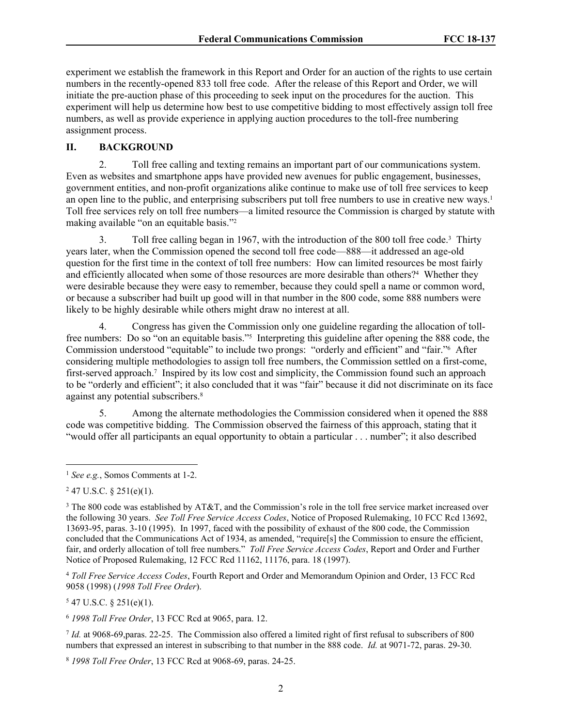experiment we establish the framework in this Report and Order for an auction of the rights to use certain numbers in the recently-opened 833 toll free code. After the release of this Report and Order, we will initiate the pre-auction phase of this proceeding to seek input on the procedures for the auction. This experiment will help us determine how best to use competitive bidding to most effectively assign toll free numbers, as well as provide experience in applying auction procedures to the toll-free numbering assignment process.

### **II. BACKGROUND**

2. Toll free calling and texting remains an important part of our communications system. Even as websites and smartphone apps have provided new avenues for public engagement, businesses, government entities, and non-profit organizations alike continue to make use of toll free services to keep an open line to the public, and enterprising subscribers put toll free numbers to use in creative new ways.<sup>1</sup> Toll free services rely on toll free numbers—a limited resource the Commission is charged by statute with making available "on an equitable basis."<sup>2</sup>

3. Toll free calling began in 1967, with the introduction of the 800 toll free code.<sup>3</sup> Thirty years later, when the Commission opened the second toll free code—888—it addressed an age-old question for the first time in the context of toll free numbers: How can limited resources be most fairly and efficiently allocated when some of those resources are more desirable than others?<sup>4</sup> Whether they were desirable because they were easy to remember, because they could spell a name or common word, or because a subscriber had built up good will in that number in the 800 code, some 888 numbers were likely to be highly desirable while others might draw no interest at all.

4. Congress has given the Commission only one guideline regarding the allocation of tollfree numbers: Do so "on an equitable basis."<sup>5</sup> Interpreting this guideline after opening the 888 code, the Commission understood "equitable" to include two prongs: "orderly and efficient" and "fair."<sup>6</sup> After considering multiple methodologies to assign toll free numbers, the Commission settled on a first-come, first-served approach.<sup>7</sup> Inspired by its low cost and simplicity, the Commission found such an approach to be "orderly and efficient"; it also concluded that it was "fair" because it did not discriminate on its face against any potential subscribers.<sup>8</sup>

5. Among the alternate methodologies the Commission considered when it opened the 888 code was competitive bidding. The Commission observed the fairness of this approach, stating that it "would offer all participants an equal opportunity to obtain a particular . . . number"; it also described

<sup>4</sup> *Toll Free Service Access Codes*, Fourth Report and Order and Memorandum Opinion and Order, 13 FCC Rcd 9058 (1998) (*1998 Toll Free Order*).

 $547$  U.S.C. § 251(e)(1).

<sup>6</sup> *1998 Toll Free Order*, 13 FCC Rcd at 9065, para. 12.

7 *Id.* at 9068-69,paras. 22-25. The Commission also offered a limited right of first refusal to subscribers of 800 numbers that expressed an interest in subscribing to that number in the 888 code. *Id.* at 9071-72, paras. 29-30.

<sup>8</sup> *1998 Toll Free Order*, 13 FCC Rcd at 9068-69, paras. 24-25.

<sup>1</sup> *See e.g.*, Somos Comments at 1-2.

 $247$  U.S.C. § 251(e)(1).

<sup>&</sup>lt;sup>3</sup> The 800 code was established by AT&T, and the Commission's role in the toll free service market increased over the following 30 years. *See Toll Free Service Access Codes*, Notice of Proposed Rulemaking, 10 FCC Rcd 13692, 13693-95, paras. 3-10 (1995). In 1997, faced with the possibility of exhaust of the 800 code, the Commission concluded that the Communications Act of 1934, as amended, "require[s] the Commission to ensure the efficient, fair, and orderly allocation of toll free numbers." *Toll Free Service Access Codes*, Report and Order and Further Notice of Proposed Rulemaking, 12 FCC Rcd 11162, 11176, para. 18 (1997).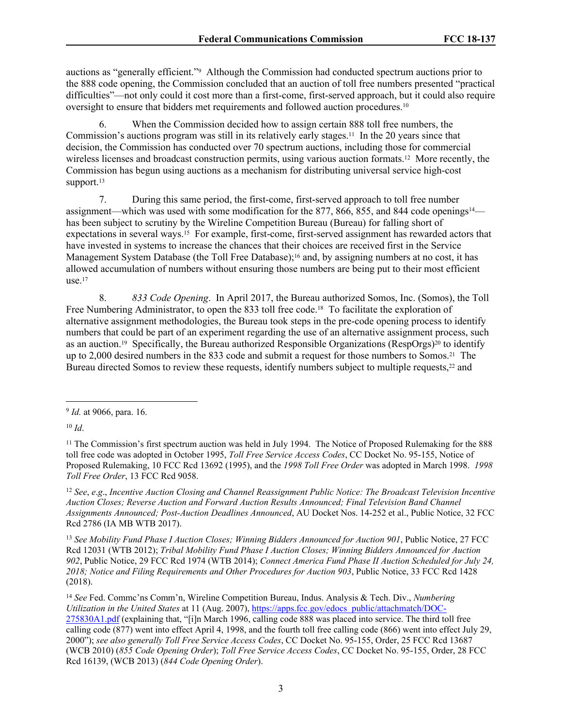auctions as "generally efficient."<sup>9</sup> Although the Commission had conducted spectrum auctions prior to the 888 code opening, the Commission concluded that an auction of toll free numbers presented "practical difficulties"—not only could it cost more than a first-come, first-served approach, but it could also require oversight to ensure that bidders met requirements and followed auction procedures.<sup>10</sup>

6. When the Commission decided how to assign certain 888 toll free numbers, the Commission's auctions program was still in its relatively early stages.11 In the 20 years since that decision, the Commission has conducted over 70 spectrum auctions, including those for commercial wireless licenses and broadcast construction permits, using various auction formats.<sup>12</sup> More recently, the Commission has begun using auctions as a mechanism for distributing universal service high-cost support.<sup>13</sup>

7. During this same period, the first-come, first-served approach to toll free number assignment—which was used with some modification for the 877, 866, 855, and 844 code openings<sup>14</sup> has been subject to scrutiny by the Wireline Competition Bureau (Bureau) for falling short of expectations in several ways.15 For example, first-come, first-served assignment has rewarded actors that have invested in systems to increase the chances that their choices are received first in the Service Management System Database (the Toll Free Database);<sup>16</sup> and, by assigning numbers at no cost, it has allowed accumulation of numbers without ensuring those numbers are being put to their most efficient use. $17$ 

8. *833 Code Opening*. In April 2017, the Bureau authorized Somos, Inc. (Somos), the Toll Free Numbering Administrator, to open the 833 toll free code.<sup>18</sup> To facilitate the exploration of alternative assignment methodologies, the Bureau took steps in the pre-code opening process to identify numbers that could be part of an experiment regarding the use of an alternative assignment process, such as an auction.<sup>19</sup> Specifically, the Bureau authorized Responsible Organizations (RespOrgs)<sup>20</sup> to identify up to 2,000 desired numbers in the 833 code and submit a request for those numbers to Somos.21 The Bureau directed Somos to review these requests, identify numbers subject to multiple requests,<sup>22</sup> and

<sup>12</sup> *See*, *e*.*g*., *Incentive Auction Closing and Channel Reassignment Public Notice: The Broadcast Television Incentive Auction Closes; Reverse Auction and Forward Auction Results Announced; Final Television Band Channel Assignments Announced; Post-Auction Deadlines Announced*, AU Docket Nos. 14-252 et al., Public Notice, 32 FCC Rcd 2786 (IA MB WTB 2017).

<sup>13</sup> *See Mobility Fund Phase I Auction Closes; Winning Bidders Announced for Auction 901*, Public Notice, 27 FCC Rcd 12031 (WTB 2012); *Tribal Mobility Fund Phase I Auction Closes; Winning Bidders Announced for Auction 902*, Public Notice, 29 FCC Rcd 1974 (WTB 2014); *Connect America Fund Phase II Auction Scheduled for July 24, 2018; Notice and Filing Requirements and Other Procedures for Auction 903*, Public Notice, 33 FCC Rcd 1428 (2018).

<sup>14</sup> *See* Fed. Commc'ns Comm'n, Wireline Competition Bureau, Indus. Analysis & Tech. Div., *Numbering Utilization in the United States* at 11 (Aug. 2007), [https://apps.fcc.gov/edocs\\_public/attachmatch/DOC-](https://apps.fcc.gov/edocs_public/attachmatch/DOC-275830A1.pdf)[275830A1.pdf](https://apps.fcc.gov/edocs_public/attachmatch/DOC-275830A1.pdf) (explaining that, "[i]n March 1996, calling code 888 was placed into service. The third toll free calling code (877) went into effect April 4, 1998, and the fourth toll free calling code (866) went into effect July 29, 2000"); *see also generally Toll Free Service Access Codes*, CC Docket No. 95-155, Order, 25 FCC Rcd 13687 (WCB 2010) (*855 Code Opening Order*); *Toll Free Service Access Codes*, CC Docket No. 95-155, Order, 28 FCC Rcd 16139, (WCB 2013) (*844 Code Opening Order*).

<sup>9</sup> *Id.* at 9066, para. 16.

 $10 \, Id.$ 

<sup>&</sup>lt;sup>11</sup> The Commission's first spectrum auction was held in July 1994. The Notice of Proposed Rulemaking for the 888 toll free code was adopted in October 1995, *Toll Free Service Access Codes*, CC Docket No. 95-155, Notice of Proposed Rulemaking, 10 FCC Rcd 13692 (1995), and the *1998 Toll Free Order* was adopted in March 1998. *1998 Toll Free Order*, 13 FCC Rcd 9058.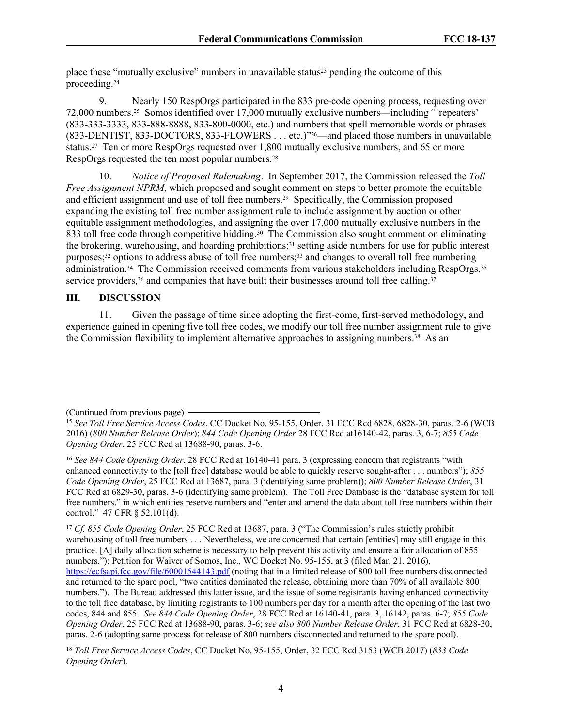place these "mutually exclusive" numbers in unavailable status23 pending the outcome of this proceeding.<sup>24</sup>

9. Nearly 150 RespOrgs participated in the 833 pre-code opening process, requesting over 72,000 numbers.25 Somos identified over 17,000 mutually exclusive numbers—including "'repeaters' (833-333-3333, 833-888-8888, 833-800-0000, etc.) and numbers that spell memorable words or phrases (833-DENTIST, 833-DOCTORS, 833-FLOWERS . . . etc.)"26—and placed those numbers in unavailable status.<sup>27</sup> Ten or more RespOrgs requested over 1,800 mutually exclusive numbers, and 65 or more RespOrgs requested the ten most popular numbers.<sup>28</sup>

10. *Notice of Proposed Rulemaking*. In September 2017, the Commission released the *Toll Free Assignment NPRM*, which proposed and sought comment on steps to better promote the equitable and efficient assignment and use of toll free numbers.29 Specifically, the Commission proposed expanding the existing toll free number assignment rule to include assignment by auction or other equitable assignment methodologies, and assigning the over 17,000 mutually exclusive numbers in the 833 toll free code through competitive bidding.<sup>30</sup> The Commission also sought comment on eliminating the brokering, warehousing, and hoarding prohibitions;31 setting aside numbers for use for public interest purposes;<sup>32</sup> options to address abuse of toll free numbers;<sup>33</sup> and changes to overall toll free numbering administration.34 The Commission received comments from various stakeholders including RespOrgs,<sup>35</sup> service providers, $36$  and companies that have built their businesses around toll free calling. $37$ 

### **III. DISCUSSION**

11. Given the passage of time since adopting the first-come, first-served methodology, and experience gained in opening five toll free codes, we modify our toll free number assignment rule to give the Commission flexibility to implement alternative approaches to assigning numbers.<sup>38</sup> As an

<sup>17</sup> *Cf. 855 Code Opening Order*, 25 FCC Rcd at 13687, para. 3 ("The Commission's rules strictly prohibit warehousing of toll free numbers . . . Nevertheless, we are concerned that certain [entities] may still engage in this practice. [A] daily allocation scheme is necessary to help prevent this activity and ensure a fair allocation of 855 numbers."); Petition for Waiver of Somos, Inc., WC Docket No. 95-155, at 3 (filed Mar. 21, 2016), <https://ecfsapi.fcc.gov/file/60001544143.pdf> (noting that in a limited release of 800 toll free numbers disconnected and returned to the spare pool, "two entities dominated the release, obtaining more than 70% of all available 800 numbers."). The Bureau addressed this latter issue, and the issue of some registrants having enhanced connectivity to the toll free database, by limiting registrants to 100 numbers per day for a month after the opening of the last two codes, 844 and 855. *See 844 Code Opening Order*, 28 FCC Rcd at 16140-41, para. 3, 16142, paras. 6-7; *855 Code Opening Order*, 25 FCC Rcd at 13688-90, paras. 3-6; *see also 800 Number Release Order*, 31 FCC Rcd at 6828-30, paras. 2-6 (adopting same process for release of 800 numbers disconnected and returned to the spare pool).

<sup>(</sup>Continued from previous page)

<sup>15</sup> *See Toll Free Service Access Codes*, CC Docket No. 95-155, Order, 31 FCC Rcd 6828, 6828-30, paras. 2-6 (WCB 2016) (*800 Number Release Order*); *844 Code Opening Order* 28 FCC Rcd at16140-42, paras. 3, 6-7; *855 Code Opening Order*, 25 FCC Rcd at 13688-90, paras. 3-6.

<sup>16</sup> *See 844 Code Opening Order*, 28 FCC Rcd at 16140-41 para. 3 (expressing concern that registrants "with enhanced connectivity to the [toll free] database would be able to quickly reserve sought-after . . . numbers"); *855 Code Opening Order*, 25 FCC Rcd at 13687, para. 3 (identifying same problem)); *800 Number Release Order*, 31 FCC Rcd at 6829-30, paras. 3-6 (identifying same problem). The Toll Free Database is the "database system for toll free numbers," in which entities reserve numbers and "enter and amend the data about toll free numbers within their control." 47 CFR § 52.101(d).

<sup>18</sup> *Toll Free Service Access Codes*, CC Docket No. 95-155, Order, 32 FCC Rcd 3153 (WCB 2017) (*833 Code Opening Order*).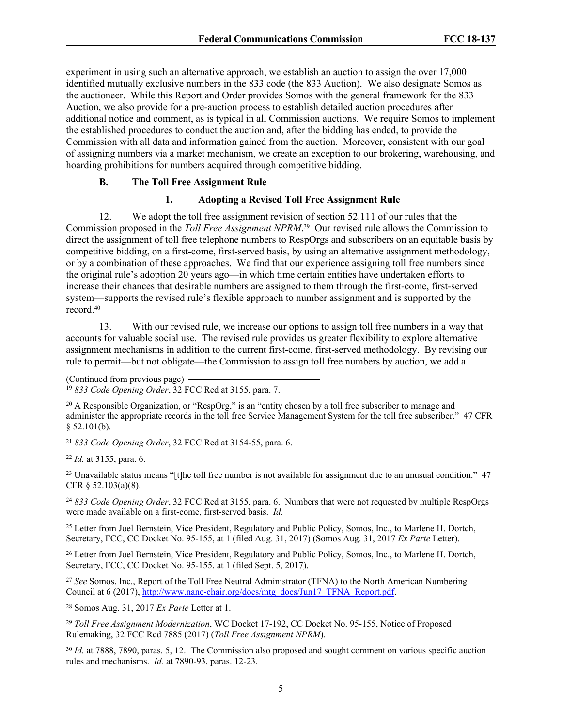experiment in using such an alternative approach, we establish an auction to assign the over 17,000 identified mutually exclusive numbers in the 833 code (the 833 Auction). We also designate Somos as the auctioneer. While this Report and Order provides Somos with the general framework for the 833 Auction, we also provide for a pre-auction process to establish detailed auction procedures after additional notice and comment, as is typical in all Commission auctions. We require Somos to implement the established procedures to conduct the auction and, after the bidding has ended, to provide the Commission with all data and information gained from the auction. Moreover, consistent with our goal of assigning numbers via a market mechanism, we create an exception to our brokering, warehousing, and hoarding prohibitions for numbers acquired through competitive bidding.

### **B. The Toll Free Assignment Rule**

### **1. Adopting a Revised Toll Free Assignment Rule**

12. We adopt the toll free assignment revision of section 52.111 of our rules that the Commission proposed in the *Toll Free Assignment NPRM*. <sup>39</sup> Our revised rule allows the Commission to direct the assignment of toll free telephone numbers to RespOrgs and subscribers on an equitable basis by competitive bidding, on a first-come, first-served basis, by using an alternative assignment methodology, or by a combination of these approaches. We find that our experience assigning toll free numbers since the original rule's adoption 20 years ago—in which time certain entities have undertaken efforts to increase their chances that desirable numbers are assigned to them through the first-come, first-served system—supports the revised rule's flexible approach to number assignment and is supported by the record.<sup>40</sup>

13. With our revised rule, we increase our options to assign toll free numbers in a way that accounts for valuable social use. The revised rule provides us greater flexibility to explore alternative assignment mechanisms in addition to the current first-come, first-served methodology. By revising our rule to permit—but not obligate—the Commission to assign toll free numbers by auction, we add a

<sup>21</sup> *833 Code Opening Order*, 32 FCC Rcd at 3154-55, para. 6.

<sup>22</sup> *Id.* at 3155, para. 6.

<sup>23</sup> Unavailable status means "[t]he toll free number is not available for assignment due to an unusual condition."  $47$ CFR § 52.103(a)(8).

<sup>24</sup> *833 Code Opening Order*, 32 FCC Rcd at 3155, para. 6. Numbers that were not requested by multiple RespOrgs were made available on a first-come, first-served basis. *Id.*

<sup>25</sup> Letter from Joel Bernstein, Vice President, Regulatory and Public Policy, Somos, Inc., to Marlene H. Dortch, Secretary, FCC, CC Docket No. 95-155, at 1 (filed Aug. 31, 2017) (Somos Aug. 31, 2017 *Ex Parte* Letter).

<sup>26</sup> Letter from Joel Bernstein, Vice President, Regulatory and Public Policy, Somos, Inc., to Marlene H. Dortch, Secretary, FCC, CC Docket No. 95-155, at 1 (filed Sept. 5, 2017).

<sup>27</sup> *See* Somos, Inc., Report of the Toll Free Neutral Administrator (TFNA) to the North American Numbering Council at 6 (2017), [http://www.nanc-chair.org/docs/mtg\\_docs/Jun17\\_TFNA\\_Report.pdf.](http://www.nanc-chair.org/docs/mtg_docs/Jun17_TFNA_Report.pdf)

<sup>28</sup> Somos Aug. 31, 2017 *Ex Parte* Letter at 1.

<sup>29</sup> *Toll Free Assignment Modernization*, WC Docket 17-192, CC Docket No. 95-155, Notice of Proposed Rulemaking, 32 FCC Rcd 7885 (2017) (*Toll Free Assignment NPRM*).

<sup>30</sup> *Id.* at 7888, 7890, paras. 5, 12. The Commission also proposed and sought comment on various specific auction rules and mechanisms. *Id.* at 7890-93, paras. 12-23.

<sup>(</sup>Continued from previous page) <sup>19</sup> *833 Code Opening Order*, 32 FCC Rcd at 3155, para. 7.

<sup>&</sup>lt;sup>20</sup> A Responsible Organization, or "RespOrg," is an "entity chosen by a toll free subscriber to manage and administer the appropriate records in the toll free Service Management System for the toll free subscriber." 47 CFR  $$52.101(b).$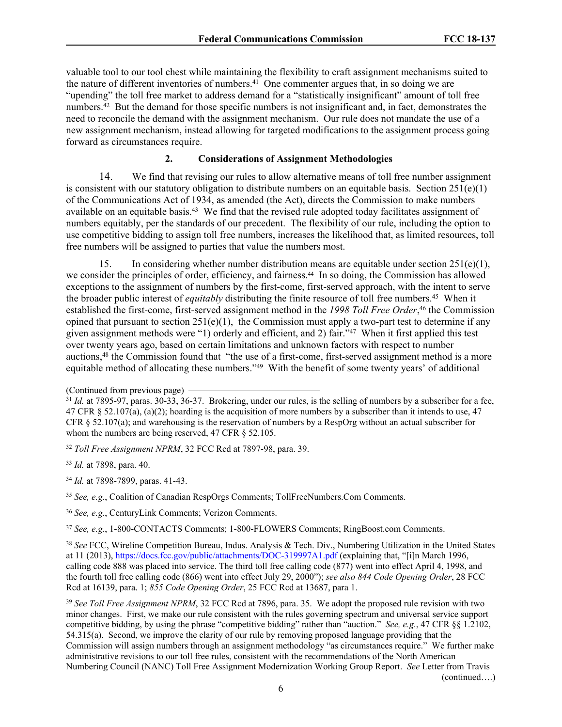valuable tool to our tool chest while maintaining the flexibility to craft assignment mechanisms suited to the nature of different inventories of numbers.<sup>41</sup> One commenter argues that, in so doing we are "upending" the toll free market to address demand for a "statistically insignificant" amount of toll free numbers.<sup>42</sup> But the demand for those specific numbers is not insignificant and, in fact, demonstrates the need to reconcile the demand with the assignment mechanism. Our rule does not mandate the use of a new assignment mechanism, instead allowing for targeted modifications to the assignment process going forward as circumstances require.

## **2. Considerations of Assignment Methodologies**

14. We find that revising our rules to allow alternative means of toll free number assignment is consistent with our statutory obligation to distribute numbers on an equitable basis. Section  $251(e)(1)$ of the Communications Act of 1934, as amended (the Act), directs the Commission to make numbers available on an equitable basis.<sup>43</sup> We find that the revised rule adopted today facilitates assignment of numbers equitably, per the standards of our precedent. The flexibility of our rule, including the option to use competitive bidding to assign toll free numbers, increases the likelihood that, as limited resources, toll free numbers will be assigned to parties that value the numbers most.

15. In considering whether number distribution means are equitable under section  $251(e)(1)$ , we consider the principles of order, efficiency, and fairness.44 In so doing, the Commission has allowed exceptions to the assignment of numbers by the first-come, first-served approach, with the intent to serve the broader public interest of *equitably* distributing the finite resource of toll free numbers.<sup>45</sup> When it established the first-come, first-served assignment method in the *1998 Toll Free Order*, <sup>46</sup> the Commission opined that pursuant to section  $251(e)(1)$ , the Commission must apply a two-part test to determine if any given assignment methods were "1) orderly and efficient, and 2) fair."<sup>47</sup> When it first applied this test over twenty years ago, based on certain limitations and unknown factors with respect to number auctions,<sup>48</sup> the Commission found that "the use of a first-come, first-served assignment method is a more equitable method of allocating these numbers."<sup>49</sup> With the benefit of some twenty years' of additional

<sup>32</sup> *Toll Free Assignment NPRM*, 32 FCC Rcd at 7897-98, para. 39.

<sup>33</sup> *Id.* at 7898, para. 40.

- <sup>34</sup> *Id.* at 7898-7899, paras. 41-43.
- <sup>35</sup> *See, e.g.*, Coalition of Canadian RespOrgs Comments; TollFreeNumbers.Com Comments.
- <sup>36</sup> *See, e.g.*, CenturyLink Comments; Verizon Comments.

<sup>37</sup> *See, e.g.*, 1-800-CONTACTS Comments; 1-800-FLOWERS Comments; RingBoost.com Comments.

<sup>(</sup>Continued from previous page)

<sup>&</sup>lt;sup>31</sup> *Id.* at 7895-97, paras. 30-33, 36-37. Brokering, under our rules, is the selling of numbers by a subscriber for a fee, 47 CFR § 52.107(a), (a)(2); hoarding is the acquisition of more numbers by a subscriber than it intends to use, 47 CFR § 52.107(a); and warehousing is the reservation of numbers by a RespOrg without an actual subscriber for whom the numbers are being reserved, 47 CFR § 52.105.

<sup>38</sup> *See* FCC, Wireline Competition Bureau, Indus. Analysis & Tech. Div., Numbering Utilization in the United States at 11 (2013), <https://docs.fcc.gov/public/attachments/DOC-319997A1.pdf>(explaining that, "[i]n March 1996, calling code 888 was placed into service. The third toll free calling code (877) went into effect April 4, 1998, and the fourth toll free calling code (866) went into effect July 29, 2000"); *see also 844 Code Opening Order*, 28 FCC Rcd at 16139, para. 1; *855 Code Opening Order*, 25 FCC Rcd at 13687, para 1.

<sup>&</sup>lt;sup>39</sup> See Toll Free Assignment NPRM, 32 FCC Rcd at 7896, para. 35. We adopt the proposed rule revision with two minor changes. First, we make our rule consistent with the rules governing spectrum and universal service support competitive bidding, by using the phrase "competitive bidding" rather than "auction." *See, e.g.*, 47 CFR §§ 1.2102, 54.315(a). Second, we improve the clarity of our rule by removing proposed language providing that the Commission will assign numbers through an assignment methodology "as circumstances require." We further make administrative revisions to our toll free rules, consistent with the recommendations of the North American Numbering Council (NANC) Toll Free Assignment Modernization Working Group Report. *See* Letter from Travis (continued….)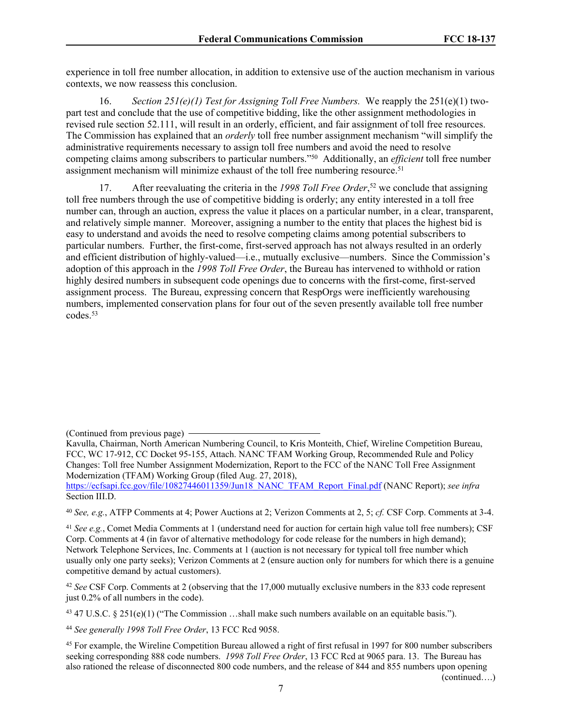experience in toll free number allocation, in addition to extensive use of the auction mechanism in various contexts, we now reassess this conclusion.

16. *Section 251(e)(1) Test for Assigning Toll Free Numbers.* We reapply the 251(e)(1) twopart test and conclude that the use of competitive bidding, like the other assignment methodologies in revised rule section 52.111, will result in an orderly, efficient, and fair assignment of toll free resources. The Commission has explained that an *orderly* toll free number assignment mechanism "will simplify the administrative requirements necessary to assign toll free numbers and avoid the need to resolve competing claims among subscribers to particular numbers."<sup>50</sup> Additionally, an *efficient* toll free number assignment mechanism will minimize exhaust of the toll free numbering resource.<sup>51</sup>

17. After reevaluating the criteria in the *1998 Toll Free Order*, <sup>52</sup> we conclude that assigning toll free numbers through the use of competitive bidding is orderly; any entity interested in a toll free number can, through an auction, express the value it places on a particular number, in a clear, transparent, and relatively simple manner. Moreover, assigning a number to the entity that places the highest bid is easy to understand and avoids the need to resolve competing claims among potential subscribers to particular numbers. Further, the first-come, first-served approach has not always resulted in an orderly and efficient distribution of highly-valued—i.e., mutually exclusive—numbers. Since the Commission's adoption of this approach in the *1998 Toll Free Order*, the Bureau has intervened to withhold or ration highly desired numbers in subsequent code openings due to concerns with the first-come, first-served assignment process. The Bureau, expressing concern that RespOrgs were inefficiently warehousing numbers, implemented conservation plans for four out of the seven presently available toll free number codes.<sup>53</sup>

<sup>40</sup> *See, e.g.*, ATFP Comments at 4; Power Auctions at 2; Verizon Comments at 2, 5; *cf.* CSF Corp. Comments at 3-4.

<sup>41</sup> *See e.g.*, Comet Media Comments at 1 (understand need for auction for certain high value toll free numbers); CSF Corp. Comments at 4 (in favor of alternative methodology for code release for the numbers in high demand); Network Telephone Services, Inc. Comments at 1 (auction is not necessary for typical toll free number which usually only one party seeks); Verizon Comments at 2 (ensure auction only for numbers for which there is a genuine competitive demand by actual customers).

<sup>42</sup> *See* CSF Corp. Comments at 2 (observing that the 17,000 mutually exclusive numbers in the 833 code represent just 0.2% of all numbers in the code).

<sup>43</sup> 47 U.S.C. § 251(e)(1) ("The Commission ...shall make such numbers available on an equitable basis.").

<sup>44</sup> *See generally 1998 Toll Free Order*, 13 FCC Rcd 9058.

<sup>45</sup> For example, the Wireline Competition Bureau allowed a right of first refusal in 1997 for 800 number subscribers seeking corresponding 888 code numbers. *1998 Toll Free Order*, 13 FCC Rcd at 9065 para. 13. The Bureau has also rationed the release of disconnected 800 code numbers, and the release of 844 and 855 numbers upon opening

<sup>(</sup>Continued from previous page)

Kavulla, Chairman, North American Numbering Council, to Kris Monteith, Chief, Wireline Competition Bureau, FCC, WC 17-912, CC Docket 95-155, Attach. NANC TFAM Working Group, Recommended Rule and Policy Changes: Toll free Number Assignment Modernization, Report to the FCC of the NANC Toll Free Assignment Modernization (TFAM) Working Group (filed Aug. 27, 2018),

[https://ecfsapi.fcc.gov/file/10827446011359/Jun18\\_NANC\\_TFAM\\_Report\\_Final.pdf](https://ecfsapi.fcc.gov/file/10827446011359/Jun18_NANC_TFAM_Report_Final.pdf) (NANC Report); *see infra* Section III.D.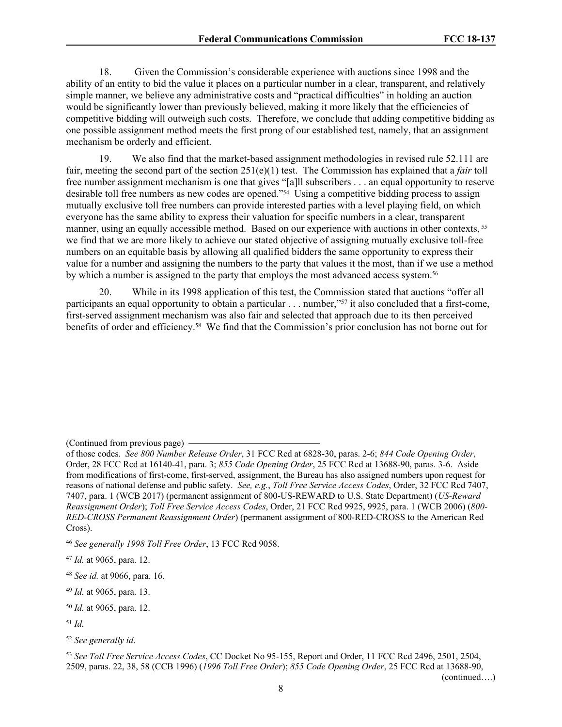18. Given the Commission's considerable experience with auctions since 1998 and the ability of an entity to bid the value it places on a particular number in a clear, transparent, and relatively simple manner, we believe any administrative costs and "practical difficulties" in holding an auction would be significantly lower than previously believed, making it more likely that the efficiencies of competitive bidding will outweigh such costs. Therefore, we conclude that adding competitive bidding as one possible assignment method meets the first prong of our established test, namely, that an assignment mechanism be orderly and efficient.

19. We also find that the market-based assignment methodologies in revised rule 52.111 are fair, meeting the second part of the section 251(e)(1) test. The Commission has explained that a *fair* toll free number assignment mechanism is one that gives "[a]ll subscribers . . . an equal opportunity to reserve desirable toll free numbers as new codes are opened."<sup>54</sup> Using a competitive bidding process to assign mutually exclusive toll free numbers can provide interested parties with a level playing field, on which everyone has the same ability to express their valuation for specific numbers in a clear, transparent manner, using an equally accessible method. Based on our experience with auctions in other contexts, <sup>55</sup> we find that we are more likely to achieve our stated objective of assigning mutually exclusive toll-free numbers on an equitable basis by allowing all qualified bidders the same opportunity to express their value for a number and assigning the numbers to the party that values it the most, than if we use a method by which a number is assigned to the party that employs the most advanced access system.<sup>56</sup>

20. While in its 1998 application of this test, the Commission stated that auctions "offer all participants an equal opportunity to obtain a particular . . . number,"<sup>57</sup> it also concluded that a first-come, first-served assignment mechanism was also fair and selected that approach due to its then perceived benefits of order and efficiency.58 We find that the Commission's prior conclusion has not borne out for

<sup>(</sup>Continued from previous page)

of those codes. *See 800 Number Release Order*, 31 FCC Rcd at 6828-30, paras. 2-6; *844 Code Opening Order*, Order, 28 FCC Rcd at 16140-41, para. 3; *855 Code Opening Order*, 25 FCC Rcd at 13688-90, paras. 3-6. Aside from modifications of first-come, first-served, assignment, the Bureau has also assigned numbers upon request for reasons of national defense and public safety. *See, e.g.*, *Toll Free Service Access Codes*, Order, 32 FCC Rcd 7407, 7407, para. 1 (WCB 2017) (permanent assignment of 800-US-REWARD to U.S. State Department) (*US-Reward Reassignment Order*); *Toll Free Service Access Codes*, Order, 21 FCC Rcd 9925, 9925, para. 1 (WCB 2006) (*800- RED-CROSS Permanent Reassignment Order*) (permanent assignment of 800-RED-CROSS to the American Red Cross).

<sup>46</sup> *See generally 1998 Toll Free Order*, 13 FCC Rcd 9058.

<sup>47</sup> *Id.* at 9065, para. 12.

<sup>48</sup> *See id.* at 9066, para. 16.

<sup>49</sup> *Id.* at 9065, para. 13.

<sup>50</sup> *Id.* at 9065, para. 12.

<sup>51</sup> *Id.*

<sup>52</sup> *See generally id*.

<sup>53</sup> *See Toll Free Service Access Codes*, CC Docket No 95-155, Report and Order, 11 FCC Rcd 2496, 2501, 2504, 2509, paras. 22, 38, 58 (CCB 1996) (*1996 Toll Free Order*); *855 Code Opening Order*, 25 FCC Rcd at 13688-90,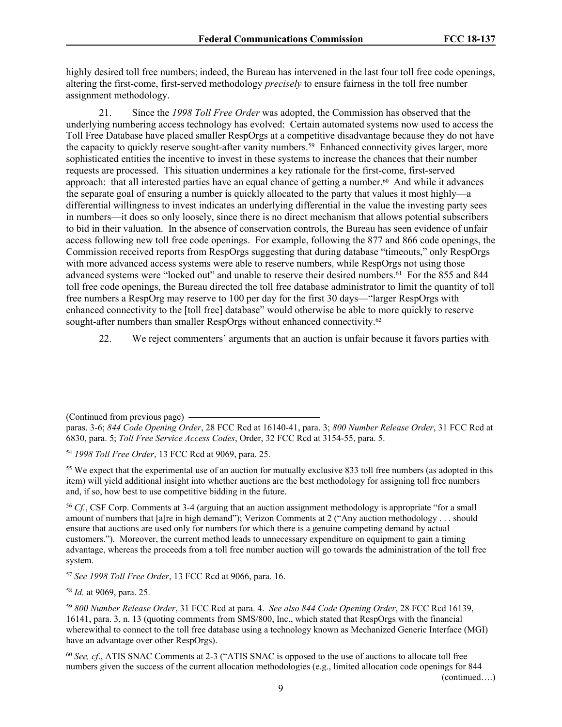highly desired toll free numbers; indeed, the Bureau has intervened in the last four toll free code openings, altering the first-come, first-served methodology *precisely* to ensure fairness in the toll free number assignment methodology.

21. Since the *1998 Toll Free Order* was adopted, the Commission has observed that the underlying numbering access technology has evolved: Certain automated systems now used to access the Toll Free Database have placed smaller RespOrgs at a competitive disadvantage because they do not have the capacity to quickly reserve sought-after vanity numbers.<sup>59</sup> Enhanced connectivity gives larger, more sophisticated entities the incentive to invest in these systems to increase the chances that their number requests are processed. This situation undermines a key rationale for the first-come, first-served approach: that all interested parties have an equal chance of getting a number.<sup>60</sup> And while it advances the separate goal of ensuring a number is quickly allocated to the party that values it most highly—a differential willingness to invest indicates an underlying differential in the value the investing party sees in numbers—it does so only loosely, since there is no direct mechanism that allows potential subscribers to bid in their valuation. In the absence of conservation controls, the Bureau has seen evidence of unfair access following new toll free code openings. For example, following the 877 and 866 code openings, the Commission received reports from RespOrgs suggesting that during database "timeouts," only RespOrgs with more advanced access systems were able to reserve numbers, while RespOrgs not using those advanced systems were "locked out" and unable to reserve their desired numbers.<sup>61</sup> For the 855 and 844 toll free code openings, the Bureau directed the toll free database administrator to limit the quantity of toll free numbers a RespOrg may reserve to 100 per day for the first 30 days—"larger RespOrgs with enhanced connectivity to the [toll free] database" would otherwise be able to more quickly to reserve sought-after numbers than smaller RespOrgs without enhanced connectivity.<sup>62</sup>

22. We reject commenters' arguments that an auction is unfair because it favors parties with

(Continued from previous page)

paras. 3-6; *844 Code Opening Order*, 28 FCC Rcd at 16140-41, para. 3; *800 Number Release Order*, 31 FCC Rcd at 6830, para. 5; *Toll Free Service Access Codes*, Order, 32 FCC Rcd at 3154-55, para. 5.

<sup>54</sup> *1998 Toll Free Order*, 13 FCC Rcd at 9069, para. 25.

<sup>55</sup> We expect that the experimental use of an auction for mutually exclusive 833 toll free numbers (as adopted in this item) will yield additional insight into whether auctions are the best methodology for assigning toll free numbers and, if so, how best to use competitive bidding in the future.

<sup>56</sup> *Cf.*, CSF Corp. Comments at 3-4 (arguing that an auction assignment methodology is appropriate "for a small amount of numbers that [a]re in high demand"); Verizon Comments at 2 ("Any auction methodology . . . should ensure that auctions are used only for numbers for which there is a genuine competing demand by actual customers."). Moreover, the current method leads to unnecessary expenditure on equipment to gain a timing advantage, whereas the proceeds from a toll free number auction will go towards the administration of the toll free system.

<sup>57</sup> *See 1998 Toll Free Order*, 13 FCC Rcd at 9066, para. 16.

<sup>58</sup> *Id.* at 9069, para. 25.

<sup>59</sup> *800 Number Release Order*, 31 FCC Rcd at para. 4. *See also 844 Code Opening Order*, 28 FCC Rcd 16139, 16141, para. 3, n. 13 (quoting comments from SMS/800, Inc., which stated that RespOrgs with the financial wherewithal to connect to the toll free database using a technology known as Mechanized Generic Interface (MGI) have an advantage over other RespOrgs).

<sup>60</sup> *See, cf*., ATIS SNAC Comments at 2-3 ("ATIS SNAC is opposed to the use of auctions to allocate toll free numbers given the success of the current allocation methodologies (e.g., limited allocation code openings for 844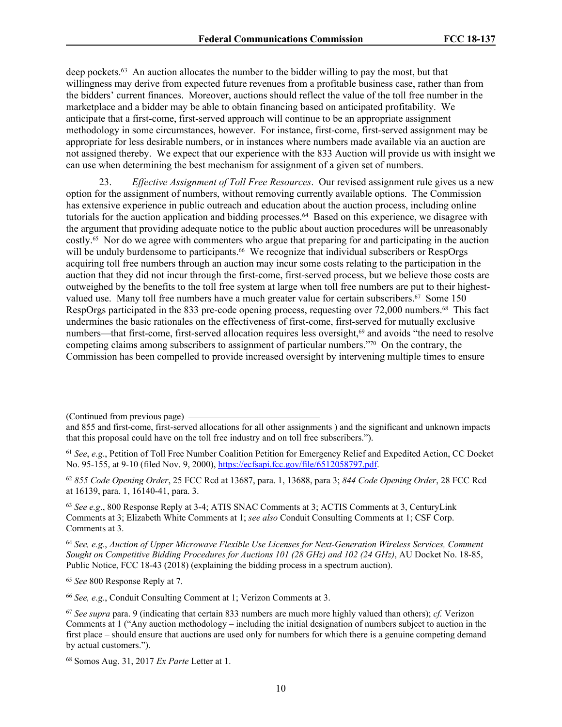deep pockets.<sup>63</sup> An auction allocates the number to the bidder willing to pay the most, but that willingness may derive from expected future revenues from a profitable business case, rather than from the bidders' current finances. Moreover, auctions should reflect the value of the toll free number in the marketplace and a bidder may be able to obtain financing based on anticipated profitability. We anticipate that a first-come, first-served approach will continue to be an appropriate assignment methodology in some circumstances, however. For instance, first-come, first-served assignment may be appropriate for less desirable numbers, or in instances where numbers made available via an auction are not assigned thereby. We expect that our experience with the 833 Auction will provide us with insight we can use when determining the best mechanism for assignment of a given set of numbers.

23. *Effective Assignment of Toll Free Resources*. Our revised assignment rule gives us a new option for the assignment of numbers, without removing currently available options. The Commission has extensive experience in public outreach and education about the auction process, including online tutorials for the auction application and bidding processes.<sup>64</sup> Based on this experience, we disagree with the argument that providing adequate notice to the public about auction procedures will be unreasonably costly.65 Nor do we agree with commenters who argue that preparing for and participating in the auction will be unduly burdensome to participants.<sup>66</sup> We recognize that individual subscribers or RespOrgs acquiring toll free numbers through an auction may incur some costs relating to the participation in the auction that they did not incur through the first-come, first-served process, but we believe those costs are outweighed by the benefits to the toll free system at large when toll free numbers are put to their highestvalued use. Many toll free numbers have a much greater value for certain subscribers.<sup>67</sup> Some 150 RespOrgs participated in the 833 pre-code opening process, requesting over 72,000 numbers.68 This fact undermines the basic rationales on the effectiveness of first-come, first-served for mutually exclusive numbers—that first-come, first-served allocation requires less oversight,<sup>69</sup> and avoids "the need to resolve competing claims among subscribers to assignment of particular numbers."70 On the contrary, the Commission has been compelled to provide increased oversight by intervening multiple times to ensure

<sup>62</sup> *855 Code Opening Order*, 25 FCC Rcd at 13687, para. 1, 13688, para 3; *844 Code Opening Order*, 28 FCC Rcd at 16139, para. 1, 16140-41, para. 3.

<sup>63</sup> *See e.g*., 800 Response Reply at 3-4; ATIS SNAC Comments at 3; ACTIS Comments at 3, CenturyLink Comments at 3; Elizabeth White Comments at 1; *see also* Conduit Consulting Comments at 1; CSF Corp. Comments at 3.

<sup>64</sup> *See, e.g.*, *Auction of Upper Microwave Flexible Use Licenses for Next-Generation Wireless Services, Comment Sought on Competitive Bidding Procedures for Auctions 101 (28 GHz) and 102 (24 GHz)*, AU Docket No. 18-85, Public Notice, FCC 18-43 (2018) (explaining the bidding process in a spectrum auction).

<sup>65</sup> *See* 800 Response Reply at 7.

<sup>66</sup> *See, e.g.*, Conduit Consulting Comment at 1; Verizon Comments at 3.

<sup>(</sup>Continued from previous page)

and 855 and first-come, first-served allocations for all other assignments ) and the significant and unknown impacts that this proposal could have on the toll free industry and on toll free subscribers.").

<sup>61</sup> *See*, *e.g*., Petition of Toll Free Number Coalition Petition for Emergency Relief and Expedited Action, CC Docket No. 95-155, at 9-10 (filed Nov. 9, 2000), [https://ecfsapi.fcc.gov/file/6512058797.pdf.](https://ecfsapi.fcc.gov/file/6512058797.pdf)

<sup>67</sup> *See supra* para. 9 (indicating that certain 833 numbers are much more highly valued than others); *cf.* Verizon Comments at 1 ("Any auction methodology – including the initial designation of numbers subject to auction in the first place – should ensure that auctions are used only for numbers for which there is a genuine competing demand by actual customers.").

<sup>68</sup> Somos Aug. 31, 2017 *Ex Parte* Letter at 1.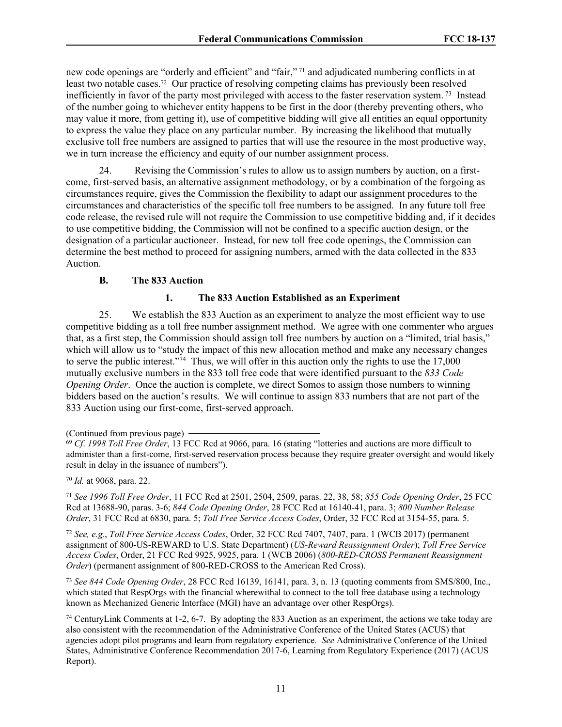new code openings are "orderly and efficient" and "fair,"<sup>71</sup> and adjudicated numbering conflicts in at least two notable cases.72 Our practice of resolving competing claims has previously been resolved inefficiently in favor of the party most privileged with access to the faster reservation system.<sup>73</sup> Instead of the number going to whichever entity happens to be first in the door (thereby preventing others, who may value it more, from getting it), use of competitive bidding will give all entities an equal opportunity to express the value they place on any particular number. By increasing the likelihood that mutually exclusive toll free numbers are assigned to parties that will use the resource in the most productive way, we in turn increase the efficiency and equity of our number assignment process.

24. Revising the Commission's rules to allow us to assign numbers by auction, on a firstcome, first-served basis, an alternative assignment methodology, or by a combination of the forgoing as circumstances require, gives the Commission the flexibility to adapt our assignment procedures to the circumstances and characteristics of the specific toll free numbers to be assigned. In any future toll free code release, the revised rule will not require the Commission to use competitive bidding and, if it decides to use competitive bidding, the Commission will not be confined to a specific auction design, or the designation of a particular auctioneer. Instead, for new toll free code openings, the Commission can determine the best method to proceed for assigning numbers, armed with the data collected in the 833 Auction.

### **B. The 833 Auction**

## **1. The 833 Auction Established as an Experiment**

25. We establish the 833 Auction as an experiment to analyze the most efficient way to use competitive bidding as a toll free number assignment method. We agree with one commenter who argues that, as a first step, the Commission should assign toll free numbers by auction on a "limited, trial basis," which will allow us to "study the impact of this new allocation method and make any necessary changes to serve the public interest."<sup>74</sup> Thus, we will offer in this auction only the rights to use the 17,000 mutually exclusive numbers in the 833 toll free code that were identified pursuant to the *833 Code Opening Order.* Once the auction is complete, we direct Somos to assign those numbers to winning bidders based on the auction's results. We will continue to assign 833 numbers that are not part of the 833 Auction using our first-come, first-served approach.

<sup>70</sup> *Id.* at 9068, para. 22.

<sup>71</sup> *See 1996 Toll Free Order*, 11 FCC Rcd at 2501, 2504, 2509, paras. 22, 38, 58; *855 Code Opening Order*, 25 FCC Rcd at 13688-90, paras. 3-6; *844 Code Opening Order*, 28 FCC Rcd at 16140-41, para. 3; *800 Number Release Order*, 31 FCC Rcd at 6830, para. 5; *Toll Free Service Access Codes*, Order, 32 FCC Rcd at 3154-55, para. 5.

<sup>72</sup> *See, e.g.*, *Toll Free Service Access Codes*, Order, 32 FCC Rcd 7407, 7407, para. 1 (WCB 2017) (permanent assignment of 800-US-REWARD to U.S. State Department) (*US-Reward Reassignment Order*); *Toll Free Service Access Codes*, Order, 21 FCC Rcd 9925, 9925, para. 1 (WCB 2006) (*800-RED-CROSS Permanent Reassignment Order*) (permanent assignment of 800-RED-CROSS to the American Red Cross).

<sup>73</sup> *See 844 Code Opening Order*, 28 FCC Rcd 16139, 16141, para. 3, n. 13 (quoting comments from SMS/800, Inc., which stated that RespOrgs with the financial wherewithal to connect to the toll free database using a technology known as Mechanized Generic Interface (MGI) have an advantage over other RespOrgs).

<sup>74</sup> CenturyLink Comments at 1-2, 6-7. By adopting the 833 Auction as an experiment, the actions we take today are also consistent with the recommendation of the Administrative Conference of the United States (ACUS) that agencies adopt pilot programs and learn from regulatory experience. *See* Administrative Conference of the United States, Administrative Conference Recommendation 2017-6, Learning from Regulatory Experience (2017) (ACUS Report).

<sup>(</sup>Continued from previous page)

<sup>69</sup> *Cf*. *1998 Toll Free Order*, 13 FCC Rcd at 9066, para. 16 (stating "lotteries and auctions are more difficult to administer than a first-come, first-served reservation process because they require greater oversight and would likely result in delay in the issuance of numbers").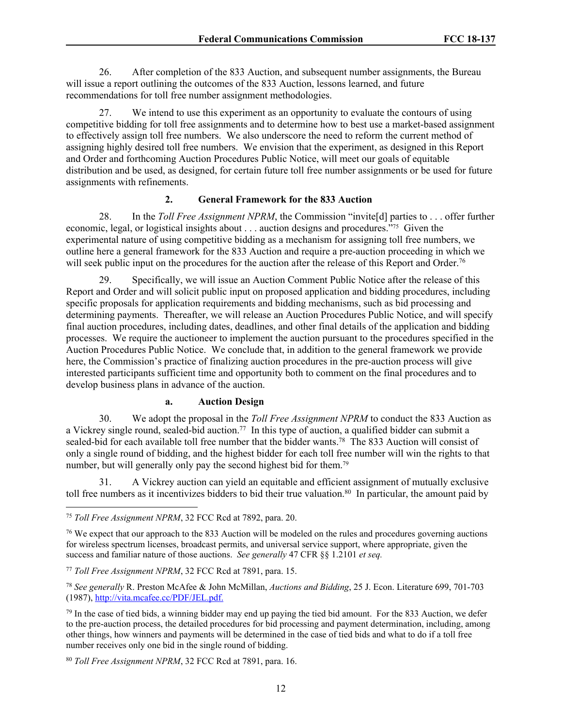26. After completion of the 833 Auction, and subsequent number assignments, the Bureau will issue a report outlining the outcomes of the 833 Auction, lessons learned, and future recommendations for toll free number assignment methodologies.

27. We intend to use this experiment as an opportunity to evaluate the contours of using competitive bidding for toll free assignments and to determine how to best use a market-based assignment to effectively assign toll free numbers. We also underscore the need to reform the current method of assigning highly desired toll free numbers. We envision that the experiment, as designed in this Report and Order and forthcoming Auction Procedures Public Notice, will meet our goals of equitable distribution and be used, as designed, for certain future toll free number assignments or be used for future assignments with refinements.

## **2. General Framework for the 833 Auction**

28. In the *Toll Free Assignment NPRM*, the Commission "invite[d] parties to . . . offer further economic, legal, or logistical insights about . . . auction designs and procedures."75 Given the experimental nature of using competitive bidding as a mechanism for assigning toll free numbers, we outline here a general framework for the 833 Auction and require a pre-auction proceeding in which we will seek public input on the procedures for the auction after the release of this Report and Order.<sup>76</sup>

29. Specifically, we will issue an Auction Comment Public Notice after the release of this Report and Order and will solicit public input on proposed application and bidding procedures, including specific proposals for application requirements and bidding mechanisms, such as bid processing and determining payments. Thereafter, we will release an Auction Procedures Public Notice, and will specify final auction procedures, including dates, deadlines, and other final details of the application and bidding processes. We require the auctioneer to implement the auction pursuant to the procedures specified in the Auction Procedures Public Notice. We conclude that, in addition to the general framework we provide here, the Commission's practice of finalizing auction procedures in the pre-auction process will give interested participants sufficient time and opportunity both to comment on the final procedures and to develop business plans in advance of the auction.

#### **a. Auction Design**

30. We adopt the proposal in the *Toll Free Assignment NPRM* to conduct the 833 Auction as a Vickrey single round, sealed-bid auction.<sup>77</sup> In this type of auction, a qualified bidder can submit a sealed-bid for each available toll free number that the bidder wants.<sup>78</sup> The 833 Auction will consist of only a single round of bidding, and the highest bidder for each toll free number will win the rights to that number, but will generally only pay the second highest bid for them.<sup>79</sup>

31. A Vickrey auction can yield an equitable and efficient assignment of mutually exclusive toll free numbers as it incentivizes bidders to bid their true valuation.<sup>80</sup> In particular, the amount paid by

<sup>75</sup> *Toll Free Assignment NPRM*, 32 FCC Rcd at 7892, para. 20.

<sup>76</sup> We expect that our approach to the 833 Auction will be modeled on the rules and procedures governing auctions for wireless spectrum licenses, broadcast permits, and universal service support, where appropriate, given the success and familiar nature of those auctions. *See generally* 47 CFR §§ 1.2101 *et seq.*

<sup>77</sup> *Toll Free Assignment NPRM*, 32 FCC Rcd at 7891, para. 15.

<sup>78</sup> *See generally* R. Preston McAfee & John McMillan, *Auctions and Bidding*, 25 J. Econ. Literature 699, 701-703 (1987), <http://vita.mcafee.cc/PDF/JEL.pdf>.

 $79$  In the case of tied bids, a winning bidder may end up paying the tied bid amount. For the 833 Auction, we defer to the pre-auction process, the detailed procedures for bid processing and payment determination, including, among other things, how winners and payments will be determined in the case of tied bids and what to do if a toll free number receives only one bid in the single round of bidding.

<sup>80</sup> *Toll Free Assignment NPRM*, 32 FCC Rcd at 7891, para. 16.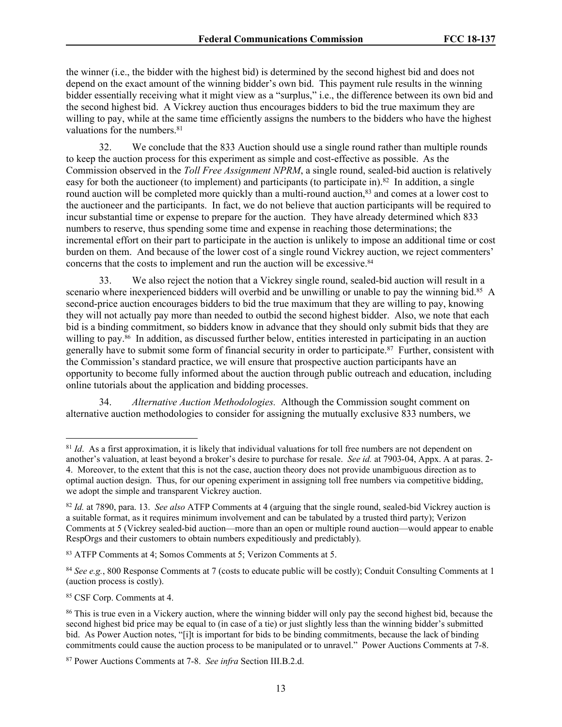the winner (i.e., the bidder with the highest bid) is determined by the second highest bid and does not depend on the exact amount of the winning bidder's own bid. This payment rule results in the winning bidder essentially receiving what it might view as a "surplus," i.e., the difference between its own bid and the second highest bid. A Vickrey auction thus encourages bidders to bid the true maximum they are willing to pay, while at the same time efficiently assigns the numbers to the bidders who have the highest valuations for the numbers.<sup>81</sup>

32. We conclude that the 833 Auction should use a single round rather than multiple rounds to keep the auction process for this experiment as simple and cost-effective as possible. As the Commission observed in the *Toll Free Assignment NPRM*, a single round, sealed-bid auction is relatively easy for both the auctioneer (to implement) and participants (to participate in).<sup>82</sup> In addition, a single round auction will be completed more quickly than a multi-round auction,<sup>83</sup> and comes at a lower cost to the auctioneer and the participants. In fact, we do not believe that auction participants will be required to incur substantial time or expense to prepare for the auction. They have already determined which 833 numbers to reserve, thus spending some time and expense in reaching those determinations; the incremental effort on their part to participate in the auction is unlikely to impose an additional time or cost burden on them. And because of the lower cost of a single round Vickrey auction, we reject commenters' concerns that the costs to implement and run the auction will be excessive.<sup>84</sup>

33. We also reject the notion that a Vickrey single round, sealed-bid auction will result in a scenario where inexperienced bidders will overbid and be unwilling or unable to pay the winning bid.<sup>85</sup> A second-price auction encourages bidders to bid the true maximum that they are willing to pay, knowing they will not actually pay more than needed to outbid the second highest bidder. Also, we note that each bid is a binding commitment, so bidders know in advance that they should only submit bids that they are willing to pay.<sup>86</sup> In addition, as discussed further below, entities interested in participating in an auction generally have to submit some form of financial security in order to participate.<sup>87</sup> Further, consistent with the Commission's standard practice, we will ensure that prospective auction participants have an opportunity to become fully informed about the auction through public outreach and education, including online tutorials about the application and bidding processes.

34. *Alternative Auction Methodologies.* Although the Commission sought comment on alternative auction methodologies to consider for assigning the mutually exclusive 833 numbers, we

<sup>85</sup> CSF Corp. Comments at 4.

<sup>&</sup>lt;sup>81</sup> *Id.* As a first approximation, it is likely that individual valuations for toll free numbers are not dependent on another's valuation, at least beyond a broker's desire to purchase for resale. *See id.* at 7903-04, Appx. A at paras. 2- 4. Moreover, to the extent that this is not the case, auction theory does not provide unambiguous direction as to optimal auction design. Thus, for our opening experiment in assigning toll free numbers via competitive bidding, we adopt the simple and transparent Vickrey auction.

<sup>82</sup> *Id.* at 7890, para. 13. *See also* ATFP Comments at 4 (arguing that the single round, sealed-bid Vickrey auction is a suitable format, as it requires minimum involvement and can be tabulated by a trusted third party); Verizon Comments at 5 (Vickrey sealed-bid auction—more than an open or multiple round auction—would appear to enable RespOrgs and their customers to obtain numbers expeditiously and predictably).

<sup>83</sup> ATFP Comments at 4; Somos Comments at 5; Verizon Comments at 5.

<sup>&</sup>lt;sup>84</sup> See e.g., 800 Response Comments at 7 (costs to educate public will be costly); Conduit Consulting Comments at 1 (auction process is costly).

<sup>86</sup> This is true even in a Vickery auction, where the winning bidder will only pay the second highest bid, because the second highest bid price may be equal to (in case of a tie) or just slightly less than the winning bidder's submitted bid. As Power Auction notes, "[i]t is important for bids to be binding commitments, because the lack of binding commitments could cause the auction process to be manipulated or to unravel." Power Auctions Comments at 7-8.

<sup>87</sup> Power Auctions Comments at 7-8. *See infra* Section III.B.2.d.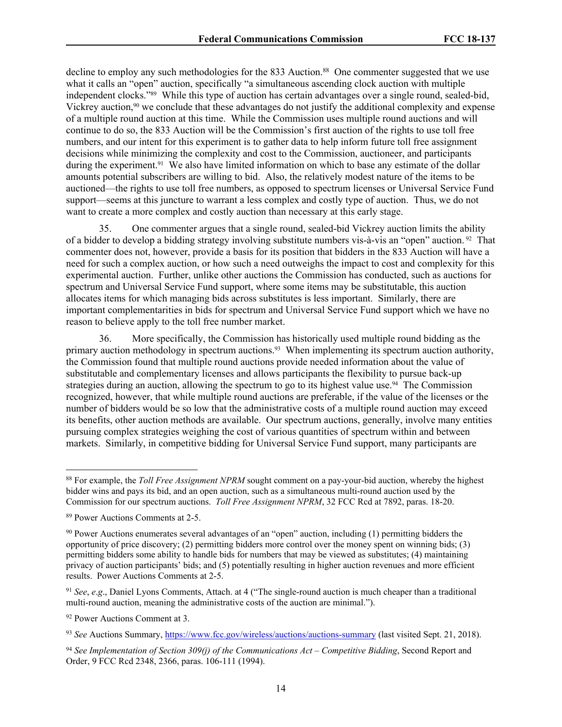decline to employ any such methodologies for the 833 Auction.<sup>88</sup> One commenter suggested that we use what it calls an "open" auction, specifically "a simultaneous ascending clock auction with multiple independent clocks."89 While this type of auction has certain advantages over a single round, sealed-bid, Vickrey auction,<sup>90</sup> we conclude that these advantages do not justify the additional complexity and expense of a multiple round auction at this time. While the Commission uses multiple round auctions and will continue to do so, the 833 Auction will be the Commission's first auction of the rights to use toll free numbers, and our intent for this experiment is to gather data to help inform future toll free assignment decisions while minimizing the complexity and cost to the Commission, auctioneer, and participants during the experiment.<sup>91</sup> We also have limited information on which to base any estimate of the dollar amounts potential subscribers are willing to bid. Also, the relatively modest nature of the items to be auctioned—the rights to use toll free numbers, as opposed to spectrum licenses or Universal Service Fund support—seems at this juncture to warrant a less complex and costly type of auction. Thus, we do not want to create a more complex and costly auction than necessary at this early stage.

35. One commenter argues that a single round, sealed-bid Vickrey auction limits the ability of a bidder to develop a bidding strategy involving substitute numbers vis-à-vis an "open" auction. 92 That commenter does not, however, provide a basis for its position that bidders in the 833 Auction will have a need for such a complex auction, or how such a need outweighs the impact to cost and complexity for this experimental auction. Further, unlike other auctions the Commission has conducted, such as auctions for spectrum and Universal Service Fund support, where some items may be substitutable, this auction allocates items for which managing bids across substitutes is less important. Similarly, there are important complementarities in bids for spectrum and Universal Service Fund support which we have no reason to believe apply to the toll free number market.

36. More specifically, the Commission has historically used multiple round bidding as the primary auction methodology in spectrum auctions.<sup>93</sup> When implementing its spectrum auction authority, the Commission found that multiple round auctions provide needed information about the value of substitutable and complementary licenses and allows participants the flexibility to pursue back-up strategies during an auction, allowing the spectrum to go to its highest value use.<sup>94</sup> The Commission recognized, however, that while multiple round auctions are preferable, if the value of the licenses or the number of bidders would be so low that the administrative costs of a multiple round auction may exceed its benefits, other auction methods are available. Our spectrum auctions, generally, involve many entities pursuing complex strategies weighing the cost of various quantities of spectrum within and between markets. Similarly, in competitive bidding for Universal Service Fund support, many participants are

<sup>88</sup> For example, the *Toll Free Assignment NPRM* sought comment on a pay-your-bid auction, whereby the highest bidder wins and pays its bid, and an open auction, such as a simultaneous multi-round auction used by the Commission for our spectrum auctions. *Toll Free Assignment NPRM*, 32 FCC Rcd at 7892, paras. 18-20.

<sup>89</sup> Power Auctions Comments at 2-5.

<sup>90</sup> Power Auctions enumerates several advantages of an "open" auction, including (1) permitting bidders the opportunity of price discovery; (2) permitting bidders more control over the money spent on winning bids; (3) permitting bidders some ability to handle bids for numbers that may be viewed as substitutes; (4) maintaining privacy of auction participants' bids; and (5) potentially resulting in higher auction revenues and more efficient results. Power Auctions Comments at 2-5.

<sup>91</sup> *See*, *e*.*g*., Daniel Lyons Comments, Attach. at 4 ("The single-round auction is much cheaper than a traditional multi-round auction, meaning the administrative costs of the auction are minimal.").

<sup>92</sup> Power Auctions Comment at 3.

<sup>93</sup> *See* Auctions Summary, <https://www.fcc.gov/wireless/auctions/auctions-summary>(last visited Sept. 21, 2018).

<sup>94</sup> *See Implementation of Section 309(j) of the Communications Act – Competitive Bidding*, Second Report and Order, 9 FCC Rcd 2348, 2366, paras. 106-111 (1994).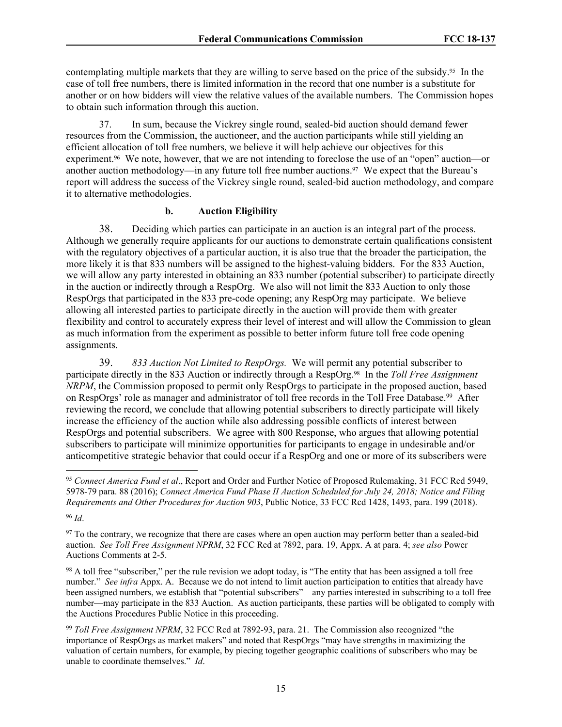contemplating multiple markets that they are willing to serve based on the price of the subsidy.95 In the case of toll free numbers, there is limited information in the record that one number is a substitute for another or on how bidders will view the relative values of the available numbers. The Commission hopes to obtain such information through this auction.

37. In sum, because the Vickrey single round, sealed-bid auction should demand fewer resources from the Commission, the auctioneer, and the auction participants while still yielding an efficient allocation of toll free numbers, we believe it will help achieve our objectives for this experiment.<sup>96</sup> We note, however, that we are not intending to foreclose the use of an "open" auction—or another auction methodology—in any future toll free number auctions.97 We expect that the Bureau's report will address the success of the Vickrey single round, sealed-bid auction methodology, and compare it to alternative methodologies.

### **b. Auction Eligibility**

38. Deciding which parties can participate in an auction is an integral part of the process. Although we generally require applicants for our auctions to demonstrate certain qualifications consistent with the regulatory objectives of a particular auction, it is also true that the broader the participation, the more likely it is that 833 numbers will be assigned to the highest-valuing bidders. For the 833 Auction, we will allow any party interested in obtaining an 833 number (potential subscriber) to participate directly in the auction or indirectly through a RespOrg. We also will not limit the 833 Auction to only those RespOrgs that participated in the 833 pre-code opening; any RespOrg may participate. We believe allowing all interested parties to participate directly in the auction will provide them with greater flexibility and control to accurately express their level of interest and will allow the Commission to glean as much information from the experiment as possible to better inform future toll free code opening assignments.

39. *833 Auction Not Limited to RespOrgs.* We will permit any potential subscriber to participate directly in the 833 Auction or indirectly through a RespOrg.98 In the *Toll Free Assignment NRPM*, the Commission proposed to permit only RespOrgs to participate in the proposed auction, based on RespOrgs' role as manager and administrator of toll free records in the Toll Free Database.<sup>99</sup> After reviewing the record, we conclude that allowing potential subscribers to directly participate will likely increase the efficiency of the auction while also addressing possible conflicts of interest between RespOrgs and potential subscribers. We agree with 800 Response, who argues that allowing potential subscribers to participate will minimize opportunities for participants to engage in undesirable and/or anticompetitive strategic behavior that could occur if a RespOrg and one or more of its subscribers were

<sup>98</sup> A toll free "subscriber," per the rule revision we adopt today, is "The entity that has been assigned a toll free number." *See infra* Appx. A. Because we do not intend to limit auction participation to entities that already have been assigned numbers, we establish that "potential subscribers"—any parties interested in subscribing to a toll free number—may participate in the 833 Auction. As auction participants, these parties will be obligated to comply with the Auctions Procedures Public Notice in this proceeding.

<sup>95</sup> *Connect America Fund et al*., Report and Order and Further Notice of Proposed Rulemaking, 31 FCC Rcd 5949, 5978-79 para. 88 (2016); *Connect America Fund Phase II Auction Scheduled for July 24, 2018; Notice and Filing Requirements and Other Procedures for Auction 903*, Public Notice, 33 FCC Rcd 1428, 1493, para. 199 (2018).

<sup>96</sup> *Id*.

<sup>&</sup>lt;sup>97</sup> To the contrary, we recognize that there are cases where an open auction may perform better than a sealed-bid auction. *See Toll Free Assignment NPRM*, 32 FCC Rcd at 7892, para. 19, Appx. A at para. 4; *see also* Power Auctions Comments at 2-5.

<sup>99</sup> *Toll Free Assignment NPRM*, 32 FCC Rcd at 7892-93, para. 21. The Commission also recognized "the importance of RespOrgs as market makers" and noted that RespOrgs "may have strengths in maximizing the valuation of certain numbers, for example, by piecing together geographic coalitions of subscribers who may be unable to coordinate themselves." *Id*.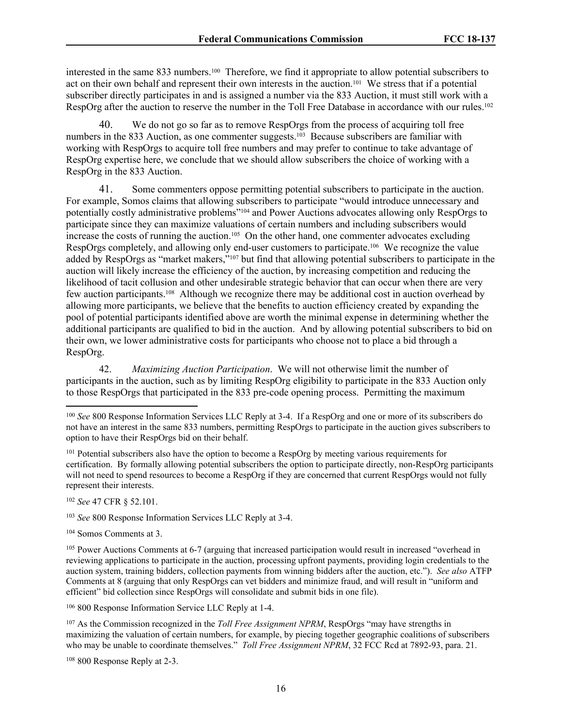interested in the same 833 numbers.100 Therefore, we find it appropriate to allow potential subscribers to act on their own behalf and represent their own interests in the auction.101 We stress that if a potential subscriber directly participates in and is assigned a number via the 833 Auction, it must still work with a RespOrg after the auction to reserve the number in the Toll Free Database in accordance with our rules.<sup>102</sup>

40. We do not go so far as to remove RespOrgs from the process of acquiring toll free numbers in the 833 Auction, as one commenter suggests.<sup>103</sup> Because subscribers are familiar with working with RespOrgs to acquire toll free numbers and may prefer to continue to take advantage of RespOrg expertise here, we conclude that we should allow subscribers the choice of working with a RespOrg in the 833 Auction.

41. Some commenters oppose permitting potential subscribers to participate in the auction. For example, Somos claims that allowing subscribers to participate "would introduce unnecessary and potentially costly administrative problems"104 and Power Auctions advocates allowing only RespOrgs to participate since they can maximize valuations of certain numbers and including subscribers would increase the costs of running the auction.<sup>105</sup> On the other hand, one commenter advocates excluding RespOrgs completely, and allowing only end-user customers to participate.<sup>106</sup> We recognize the value added by RespOrgs as "market makers,"107 but find that allowing potential subscribers to participate in the auction will likely increase the efficiency of the auction, by increasing competition and reducing the likelihood of tacit collusion and other undesirable strategic behavior that can occur when there are very few auction participants.108 Although we recognize there may be additional cost in auction overhead by allowing more participants, we believe that the benefits to auction efficiency created by expanding the pool of potential participants identified above are worth the minimal expense in determining whether the additional participants are qualified to bid in the auction. And by allowing potential subscribers to bid on their own, we lower administrative costs for participants who choose not to place a bid through a RespOrg.

42. *Maximizing Auction Participation*. We will not otherwise limit the number of participants in the auction, such as by limiting RespOrg eligibility to participate in the 833 Auction only to those RespOrgs that participated in the 833 pre-code opening process. Permitting the maximum

<sup>102</sup> *See* 47 CFR § 52.101.

<sup>104</sup> Somos Comments at 3.

<sup>106</sup> 800 Response Information Service LLC Reply at 1-4.

<sup>107</sup> As the Commission recognized in the *Toll Free Assignment NPRM*, RespOrgs "may have strengths in maximizing the valuation of certain numbers, for example, by piecing together geographic coalitions of subscribers who may be unable to coordinate themselves." *Toll Free Assignment NPRM*, 32 FCC Rcd at 7892-93, para. 21.

108 800 Response Reply at 2-3.

<sup>100</sup> *See* 800 Response Information Services LLC Reply at 3-4. If a RespOrg and one or more of its subscribers do not have an interest in the same 833 numbers, permitting RespOrgs to participate in the auction gives subscribers to option to have their RespOrgs bid on their behalf.

<sup>&</sup>lt;sup>101</sup> Potential subscribers also have the option to become a RespOrg by meeting various requirements for certification. By formally allowing potential subscribers the option to participate directly, non-RespOrg participants will not need to spend resources to become a RespOrg if they are concerned that current RespOrgs would not fully represent their interests.

<sup>103</sup> *See* 800 Response Information Services LLC Reply at 3-4.

<sup>105</sup> Power Auctions Comments at 6-7 (arguing that increased participation would result in increased "overhead in reviewing applications to participate in the auction, processing upfront payments, providing login credentials to the auction system, training bidders, collection payments from winning bidders after the auction, etc."). *See also* ATFP Comments at 8 (arguing that only RespOrgs can vet bidders and minimize fraud, and will result in "uniform and efficient" bid collection since RespOrgs will consolidate and submit bids in one file).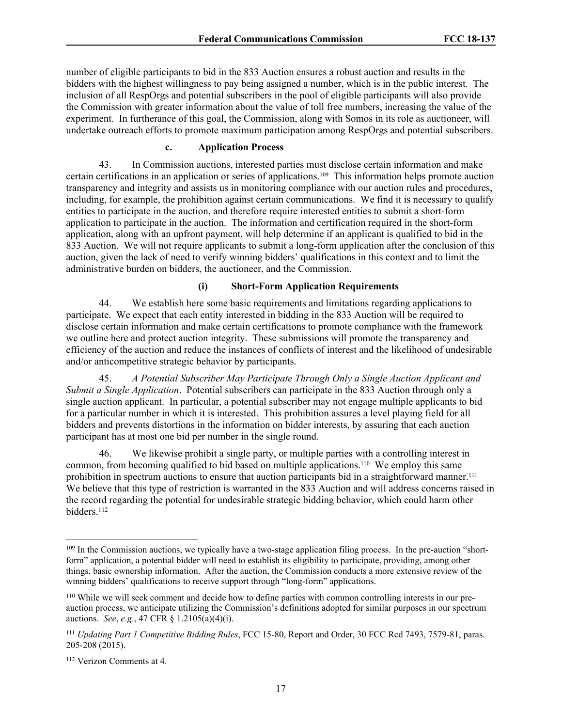number of eligible participants to bid in the 833 Auction ensures a robust auction and results in the bidders with the highest willingness to pay being assigned a number, which is in the public interest. The inclusion of all RespOrgs and potential subscribers in the pool of eligible participants will also provide the Commission with greater information about the value of toll free numbers, increasing the value of the experiment. In furtherance of this goal, the Commission, along with Somos in its role as auctioneer, will undertake outreach efforts to promote maximum participation among RespOrgs and potential subscribers.

### **c. Application Process**

43. In Commission auctions, interested parties must disclose certain information and make certain certifications in an application or series of applications.109 This information helps promote auction transparency and integrity and assists us in monitoring compliance with our auction rules and procedures, including, for example, the prohibition against certain communications. We find it is necessary to qualify entities to participate in the auction, and therefore require interested entities to submit a short-form application to participate in the auction. The information and certification required in the short-form application, along with an upfront payment, will help determine if an applicant is qualified to bid in the 833 Auction. We will not require applicants to submit a long-form application after the conclusion of this auction, given the lack of need to verify winning bidders' qualifications in this context and to limit the administrative burden on bidders, the auctioneer, and the Commission.

### **(i) Short-Form Application Requirements**

44. We establish here some basic requirements and limitations regarding applications to participate. We expect that each entity interested in bidding in the 833 Auction will be required to disclose certain information and make certain certifications to promote compliance with the framework we outline here and protect auction integrity. These submissions will promote the transparency and efficiency of the auction and reduce the instances of conflicts of interest and the likelihood of undesirable and/or anticompetitive strategic behavior by participants.

45. *A Potential Subscriber May Participate Through Only a Single Auction Applicant and Submit a Single Application*. Potential subscribers can participate in the 833 Auction through only a single auction applicant. In particular, a potential subscriber may not engage multiple applicants to bid for a particular number in which it is interested. This prohibition assures a level playing field for all bidders and prevents distortions in the information on bidder interests, by assuring that each auction participant has at most one bid per number in the single round.

46. We likewise prohibit a single party, or multiple parties with a controlling interest in common, from becoming qualified to bid based on multiple applications.110 We employ this same prohibition in spectrum auctions to ensure that auction participants bid in a straightforward manner.<sup>111</sup> We believe that this type of restriction is warranted in the 833 Auction and will address concerns raised in the record regarding the potential for undesirable strategic bidding behavior, which could harm other bidders.<sup>112</sup>

<sup>&</sup>lt;sup>109</sup> In the Commission auctions, we typically have a two-stage application filing process. In the pre-auction "shortform" application, a potential bidder will need to establish its eligibility to participate, providing, among other things, basic ownership information. After the auction, the Commission conducts a more extensive review of the winning bidders' qualifications to receive support through "long-form" applications.

<sup>110</sup> While we will seek comment and decide how to define parties with common controlling interests in our preauction process, we anticipate utilizing the Commission's definitions adopted for similar purposes in our spectrum auctions. *See*, *e*.*g*., 47 CFR § 1.2105(a)(4)(i).

<sup>111</sup> *Updating Part 1 Competitive Bidding Rules*, FCC 15-80, Report and Order, 30 FCC Rcd 7493, 7579-81, paras. 205-208 (2015).

<sup>112</sup> Verizon Comments at 4.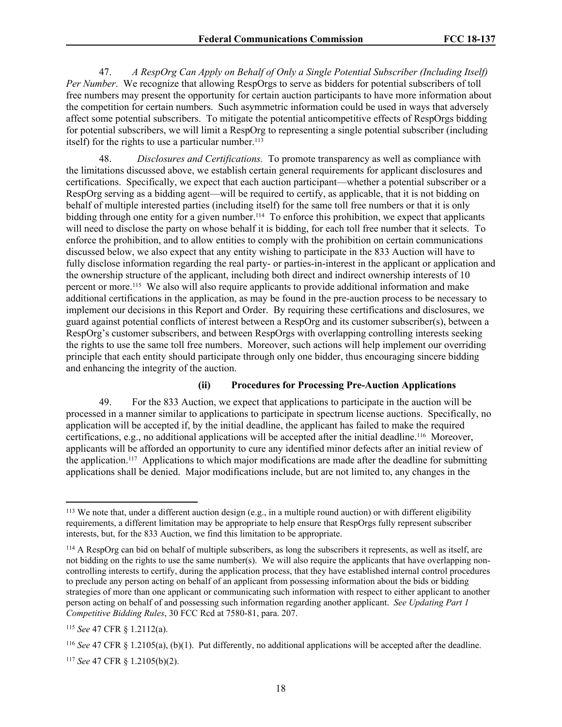47. *A RespOrg Can Apply on Behalf of Only a Single Potential Subscriber (Including Itself) Per Number*. We recognize that allowing RespOrgs to serve as bidders for potential subscribers of toll free numbers may present the opportunity for certain auction participants to have more information about the competition for certain numbers. Such asymmetric information could be used in ways that adversely affect some potential subscribers. To mitigate the potential anticompetitive effects of RespOrgs bidding for potential subscribers, we will limit a RespOrg to representing a single potential subscriber (including itself) for the rights to use a particular number.<sup>113</sup>

48. *Disclosures and Certifications.* To promote transparency as well as compliance with the limitations discussed above, we establish certain general requirements for applicant disclosures and certifications. Specifically, we expect that each auction participant—whether a potential subscriber or a RespOrg serving as a bidding agent—will be required to certify, as applicable, that it is not bidding on behalf of multiple interested parties (including itself) for the same toll free numbers or that it is only bidding through one entity for a given number.<sup>114</sup> To enforce this prohibition, we expect that applicants will need to disclose the party on whose behalf it is bidding, for each toll free number that it selects. To enforce the prohibition, and to allow entities to comply with the prohibition on certain communications discussed below, we also expect that any entity wishing to participate in the 833 Auction will have to fully disclose information regarding the real party- or parties-in-interest in the applicant or application and the ownership structure of the applicant, including both direct and indirect ownership interests of 10 percent or more.<sup>115</sup> We also will also require applicants to provide additional information and make additional certifications in the application, as may be found in the pre-auction process to be necessary to implement our decisions in this Report and Order. By requiring these certifications and disclosures, we guard against potential conflicts of interest between a RespOrg and its customer subscriber(s), between a RespOrg's customer subscribers, and between RespOrgs with overlapping controlling interests seeking the rights to use the same toll free numbers. Moreover, such actions will help implement our overriding principle that each entity should participate through only one bidder, thus encouraging sincere bidding and enhancing the integrity of the auction.

## **(ii) Procedures for Processing Pre-Auction Applications**

49. For the 833 Auction, we expect that applications to participate in the auction will be processed in a manner similar to applications to participate in spectrum license auctions. Specifically, no application will be accepted if, by the initial deadline, the applicant has failed to make the required certifications, e.g., no additional applications will be accepted after the initial deadline.116 Moreover, applicants will be afforded an opportunity to cure any identified minor defects after an initial review of the application.117 Applications to which major modifications are made after the deadline for submitting applications shall be denied. Major modifications include, but are not limited to, any changes in the

 $113$  We note that, under a different auction design (e.g., in a multiple round auction) or with different eligibility requirements, a different limitation may be appropriate to help ensure that RespOrgs fully represent subscriber interests, but, for the 833 Auction, we find this limitation to be appropriate.

<sup>114</sup> A RespOrg can bid on behalf of multiple subscribers, as long the subscribers it represents, as well as itself, are not bidding on the rights to use the same number(s). We will also require the applicants that have overlapping noncontrolling interests to certify, during the application process, that they have established internal control procedures to preclude any person acting on behalf of an applicant from possessing information about the bids or bidding strategies of more than one applicant or communicating such information with respect to either applicant to another person acting on behalf of and possessing such information regarding another applicant. *See Updating Part 1 Competitive Bidding Rules*, 30 FCC Rcd at 7580-81, para. 207.

<sup>115</sup> *See* 47 CFR § 1.2112(a).

<sup>116</sup> *See* 47 CFR § 1.2105(a), (b)(1). Put differently, no additional applications will be accepted after the deadline.

<sup>117</sup> *See* 47 CFR § 1.2105(b)(2).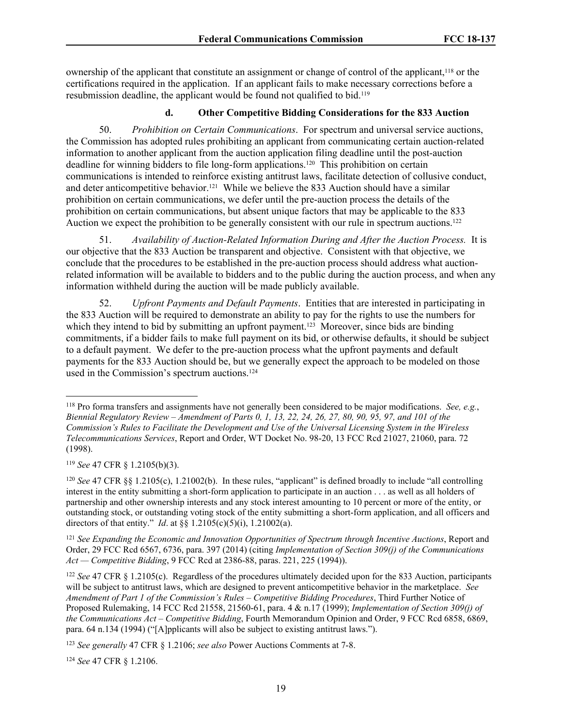ownership of the applicant that constitute an assignment or change of control of the applicant,118 or the certifications required in the application. If an applicant fails to make necessary corrections before a resubmission deadline, the applicant would be found not qualified to bid.<sup>119</sup>

### **d. Other Competitive Bidding Considerations for the 833 Auction**

50. *Prohibition on Certain Communications*. For spectrum and universal service auctions, the Commission has adopted rules prohibiting an applicant from communicating certain auction-related information to another applicant from the auction application filing deadline until the post-auction deadline for winning bidders to file long-form applications.120 This prohibition on certain communications is intended to reinforce existing antitrust laws, facilitate detection of collusive conduct, and deter anticompetitive behavior.121 While we believe the 833 Auction should have a similar prohibition on certain communications, we defer until the pre-auction process the details of the prohibition on certain communications, but absent unique factors that may be applicable to the 833 Auction we expect the prohibition to be generally consistent with our rule in spectrum auctions.<sup>122</sup>

51. *Availability of Auction-Related Information During and After the Auction Process.* It is our objective that the 833 Auction be transparent and objective. Consistent with that objective, we conclude that the procedures to be established in the pre-auction process should address what auctionrelated information will be available to bidders and to the public during the auction process, and when any information withheld during the auction will be made publicly available.

52. *Upfront Payments and Default Payments*. Entities that are interested in participating in the 833 Auction will be required to demonstrate an ability to pay for the rights to use the numbers for which they intend to bid by submitting an upfront payment.<sup>123</sup> Moreover, since bids are binding commitments, if a bidder fails to make full payment on its bid, or otherwise defaults, it should be subject to a default payment. We defer to the pre-auction process what the upfront payments and default payments for the 833 Auction should be, but we generally expect the approach to be modeled on those used in the Commission's spectrum auctions.<sup>124</sup>

<sup>119</sup> *See* 47 CFR § 1.2105(b)(3).

<sup>121</sup> *See Expanding the Economic and Innovation Opportunities of Spectrum through Incentive Auctions*, Report and Order, 29 FCC Rcd 6567, 6736, para. 397 (2014) (citing *Implementation of Section 309(j) of the Communications Act — Competitive Bidding*, 9 FCC Rcd at 2386-88, paras. 221, 225 (1994)).

<sup>122</sup> *See* 47 CFR § 1.2105(c). Regardless of the procedures ultimately decided upon for the 833 Auction, participants will be subject to antitrust laws, which are designed to prevent anticompetitive behavior in the marketplace. *See Amendment of Part 1 of the Commission's Rules – Competitive Bidding Procedures*, Third Further Notice of Proposed Rulemaking, 14 FCC Rcd 21558, 21560-61, para. 4 & n.17 (1999); *Implementation of Section 309(j) of the Communications Act – Competitive Bidding*, Fourth Memorandum Opinion and Order, 9 FCC Rcd 6858, 6869, para. 64 n.134 (1994) ("[A]pplicants will also be subject to existing antitrust laws.").

<sup>124</sup> *See* 47 CFR § 1.2106.

<sup>118</sup> Pro forma transfers and assignments have not generally been considered to be major modifications. *See, e.g.*, *Biennial Regulatory Review – Amendment of Parts 0, 1, 13, 22, 24, 26, 27, 80, 90, 95, 97, and 101 of the Commission's Rules to Facilitate the Development and Use of the Universal Licensing System in the Wireless Telecommunications Services*, Report and Order, WT Docket No. 98-20, 13 FCC Rcd 21027, 21060, para. 72 (1998).

<sup>120</sup> *See* 47 CFR §§ 1.2105(c), 1.21002(b). In these rules, "applicant" is defined broadly to include "all controlling interest in the entity submitting a short-form application to participate in an auction . . . as well as all holders of partnership and other ownership interests and any stock interest amounting to 10 percent or more of the entity, or outstanding stock, or outstanding voting stock of the entity submitting a short-form application, and all officers and directors of that entity." *Id.* at §§  $1.2105(c)(5)(i)$ ,  $1.21002(a)$ .

<sup>123</sup> *See generally* 47 CFR § 1.2106; *see also* Power Auctions Comments at 7-8.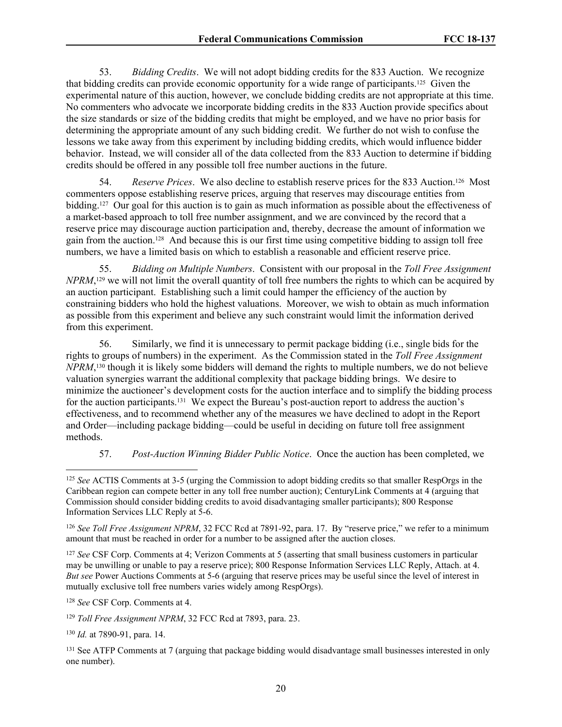53. *Bidding Credits*. We will not adopt bidding credits for the 833 Auction. We recognize that bidding credits can provide economic opportunity for a wide range of participants.125 Given the experimental nature of this auction, however, we conclude bidding credits are not appropriate at this time. No commenters who advocate we incorporate bidding credits in the 833 Auction provide specifics about the size standards or size of the bidding credits that might be employed, and we have no prior basis for determining the appropriate amount of any such bidding credit. We further do not wish to confuse the lessons we take away from this experiment by including bidding credits, which would influence bidder behavior. Instead, we will consider all of the data collected from the 833 Auction to determine if bidding credits should be offered in any possible toll free number auctions in the future.

54. *Reserve Prices*. We also decline to establish reserve prices for the 833 Auction.126 Most commenters oppose establishing reserve prices, arguing that reserves may discourage entities from bidding.127 Our goal for this auction is to gain as much information as possible about the effectiveness of a market-based approach to toll free number assignment, and we are convinced by the record that a reserve price may discourage auction participation and, thereby, decrease the amount of information we gain from the auction.128 And because this is our first time using competitive bidding to assign toll free numbers, we have a limited basis on which to establish a reasonable and efficient reserve price.

55. *Bidding on Multiple Numbers*. Consistent with our proposal in the *Toll Free Assignment NPRM*,<sup>129</sup> we will not limit the overall quantity of toll free numbers the rights to which can be acquired by an auction participant. Establishing such a limit could hamper the efficiency of the auction by constraining bidders who hold the highest valuations. Moreover, we wish to obtain as much information as possible from this experiment and believe any such constraint would limit the information derived from this experiment.

56. Similarly, we find it is unnecessary to permit package bidding (i.e., single bids for the rights to groups of numbers) in the experiment. As the Commission stated in the *Toll Free Assignment NPRM*, <sup>130</sup> though it is likely some bidders will demand the rights to multiple numbers, we do not believe valuation synergies warrant the additional complexity that package bidding brings. We desire to minimize the auctioneer's development costs for the auction interface and to simplify the bidding process for the auction participants.131 We expect the Bureau's post-auction report to address the auction's effectiveness, and to recommend whether any of the measures we have declined to adopt in the Report and Order—including package bidding—could be useful in deciding on future toll free assignment methods.

# 57. *Post-Auction Winning Bidder Public Notice*. Once the auction has been completed, we

<sup>127</sup> *See* CSF Corp. Comments at 4; Verizon Comments at 5 (asserting that small business customers in particular may be unwilling or unable to pay a reserve price); 800 Response Information Services LLC Reply, Attach. at 4. *But see* Power Auctions Comments at 5-6 (arguing that reserve prices may be useful since the level of interest in mutually exclusive toll free numbers varies widely among RespOrgs).

<sup>128</sup> *See* CSF Corp. Comments at 4.

<sup>129</sup> *Toll Free Assignment NPRM*, 32 FCC Rcd at 7893, para. 23.

<sup>130</sup> *Id.* at 7890-91, para. 14.

<sup>125</sup> *See* ACTIS Comments at 3-5 (urging the Commission to adopt bidding credits so that smaller RespOrgs in the Caribbean region can compete better in any toll free number auction); CenturyLink Comments at 4 (arguing that Commission should consider bidding credits to avoid disadvantaging smaller participants); 800 Response Information Services LLC Reply at 5-6.

<sup>126</sup> *See Toll Free Assignment NPRM*, 32 FCC Rcd at 7891-92, para. 17. By "reserve price," we refer to a minimum amount that must be reached in order for a number to be assigned after the auction closes.

<sup>&</sup>lt;sup>131</sup> See ATFP Comments at 7 (arguing that package bidding would disadvantage small businesses interested in only one number).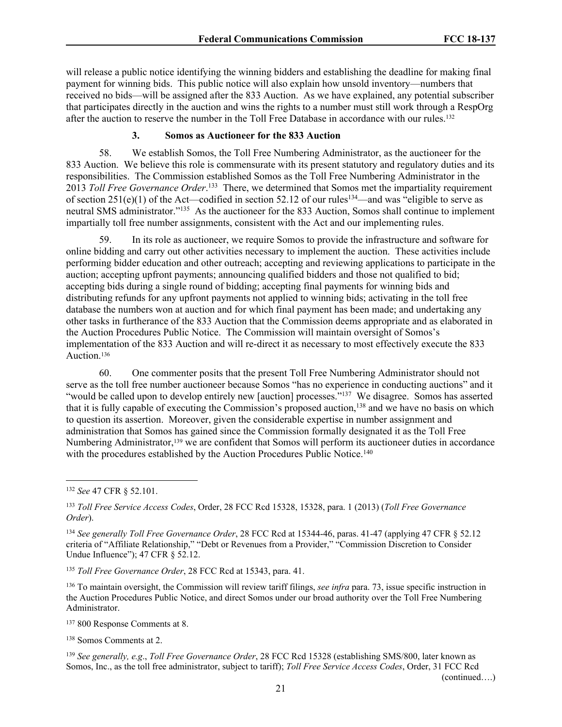will release a public notice identifying the winning bidders and establishing the deadline for making final payment for winning bids. This public notice will also explain how unsold inventory—numbers that received no bids—will be assigned after the 833 Auction. As we have explained, any potential subscriber that participates directly in the auction and wins the rights to a number must still work through a RespOrg after the auction to reserve the number in the Toll Free Database in accordance with our rules.<sup>132</sup>

## **3. Somos as Auctioneer for the 833 Auction**

58. We establish Somos, the Toll Free Numbering Administrator, as the auctioneer for the 833 Auction. We believe this role is commensurate with its present statutory and regulatory duties and its responsibilities. The Commission established Somos as the Toll Free Numbering Administrator in the 2013 *Toll Free Governance Order*.<sup>133</sup> There, we determined that Somos met the impartiality requirement of section  $251(e)(1)$  of the Act—codified in section 52.12 of our rules<sup>134</sup>—and was "eligible to serve as neutral SMS administrator."<sup>135</sup> As the auctioneer for the 833 Auction, Somos shall continue to implement impartially toll free number assignments, consistent with the Act and our implementing rules.

59. In its role as auctioneer, we require Somos to provide the infrastructure and software for online bidding and carry out other activities necessary to implement the auction. These activities include performing bidder education and other outreach; accepting and reviewing applications to participate in the auction; accepting upfront payments; announcing qualified bidders and those not qualified to bid; accepting bids during a single round of bidding; accepting final payments for winning bids and distributing refunds for any upfront payments not applied to winning bids; activating in the toll free database the numbers won at auction and for which final payment has been made; and undertaking any other tasks in furtherance of the 833 Auction that the Commission deems appropriate and as elaborated in the Auction Procedures Public Notice. The Commission will maintain oversight of Somos's implementation of the 833 Auction and will re-direct it as necessary to most effectively execute the 833 Auction.<sup>136</sup>

60. One commenter posits that the present Toll Free Numbering Administrator should not serve as the toll free number auctioneer because Somos "has no experience in conducting auctions" and it "would be called upon to develop entirely new [auction] processes."<sup>137</sup> We disagree. Somos has asserted that it is fully capable of executing the Commission's proposed auction,<sup>138</sup> and we have no basis on which to question its assertion. Moreover, given the considerable expertise in number assignment and administration that Somos has gained since the Commission formally designated it as the Toll Free Numbering Administrator,<sup>139</sup> we are confident that Somos will perform its auctioneer duties in accordance with the procedures established by the Auction Procedures Public Notice.<sup>140</sup>

<sup>135</sup> *Toll Free Governance Order*, 28 FCC Rcd at 15343, para. 41.

<sup>136</sup> To maintain oversight, the Commission will review tariff filings, *see infra* para. 73, issue specific instruction in the Auction Procedures Public Notice, and direct Somos under our broad authority over the Toll Free Numbering Administrator.

<sup>137</sup> 800 Response Comments at 8.

<sup>138</sup> Somos Comments at 2.

<sup>139</sup> *See generally, e.g*., *Toll Free Governance Order*, 28 FCC Rcd 15328 (establishing SMS/800, later known as Somos, Inc., as the toll free administrator, subject to tariff); *Toll Free Service Access Codes*, Order, 31 FCC Rcd

<sup>132</sup> *See* 47 CFR § 52.101.

<sup>133</sup> *Toll Free Service Access Codes*, Order, 28 FCC Rcd 15328, 15328, para. 1 (2013) (*Toll Free Governance Order*).

<sup>134</sup> *See generally Toll Free Governance Order*, 28 FCC Rcd at 15344-46, paras. 41-47 (applying 47 CFR § 52.12 criteria of "Affiliate Relationship," "Debt or Revenues from a Provider," "Commission Discretion to Consider Undue Influence"); 47 CFR § 52.12.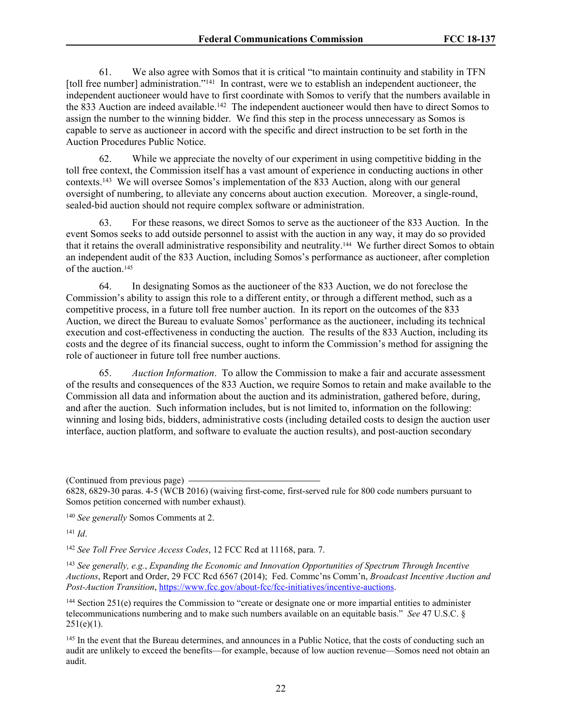61. We also agree with Somos that it is critical "to maintain continuity and stability in TFN [toll free number] administration."<sup>141</sup> In contrast, were we to establish an independent auctioneer, the independent auctioneer would have to first coordinate with Somos to verify that the numbers available in the 833 Auction are indeed available.<sup>142</sup> The independent auctioneer would then have to direct Somos to assign the number to the winning bidder. We find this step in the process unnecessary as Somos is capable to serve as auctioneer in accord with the specific and direct instruction to be set forth in the Auction Procedures Public Notice.

62. While we appreciate the novelty of our experiment in using competitive bidding in the toll free context, the Commission itself has a vast amount of experience in conducting auctions in other contexts.<sup>143</sup> We will oversee Somos's implementation of the 833 Auction, along with our general oversight of numbering, to alleviate any concerns about auction execution. Moreover, a single-round, sealed-bid auction should not require complex software or administration.

63. For these reasons, we direct Somos to serve as the auctioneer of the 833 Auction. In the event Somos seeks to add outside personnel to assist with the auction in any way, it may do so provided that it retains the overall administrative responsibility and neutrality.144 We further direct Somos to obtain an independent audit of the 833 Auction, including Somos's performance as auctioneer, after completion of the auction.<sup>145</sup>

64. In designating Somos as the auctioneer of the 833 Auction, we do not foreclose the Commission's ability to assign this role to a different entity, or through a different method, such as a competitive process, in a future toll free number auction. In its report on the outcomes of the 833 Auction, we direct the Bureau to evaluate Somos' performance as the auctioneer, including its technical execution and cost-effectiveness in conducting the auction. The results of the 833 Auction, including its costs and the degree of its financial success, ought to inform the Commission's method for assigning the role of auctioneer in future toll free number auctions.

65. *Auction Information*. To allow the Commission to make a fair and accurate assessment of the results and consequences of the 833 Auction, we require Somos to retain and make available to the Commission all data and information about the auction and its administration, gathered before, during, and after the auction. Such information includes, but is not limited to, information on the following: winning and losing bids, bidders, administrative costs (including detailed costs to design the auction user interface, auction platform, and software to evaluate the auction results), and post-auction secondary

(Continued from previous page)

<sup>140</sup> *See generally* Somos Comments at 2.

<sup>141</sup> *Id*.

<sup>142</sup> *See Toll Free Service Access Codes*, 12 FCC Rcd at 11168, para. 7.

<sup>143</sup> *See generally, e.g.*, *Expanding the Economic and Innovation Opportunities of Spectrum Through Incentive Auctions*, Report and Order, 29 FCC Rcd 6567 (2014); Fed. Commc'ns Comm'n, *Broadcast Incentive Auction and Post-Auction Transition*,<https://www.fcc.gov/about-fcc/fcc-initiatives/incentive-auctions>.

<sup>144</sup> Section 251(e) requires the Commission to "create or designate one or more impartial entities to administer telecommunications numbering and to make such numbers available on an equitable basis." *See* 47 U.S.C. §  $251(e)(1)$ .

<sup>145</sup> In the event that the Bureau determines, and announces in a Public Notice, that the costs of conducting such an audit are unlikely to exceed the benefits—for example, because of low auction revenue—Somos need not obtain an audit.

<sup>6828, 6829-30</sup> paras. 4-5 (WCB 2016) (waiving first-come, first-served rule for 800 code numbers pursuant to Somos petition concerned with number exhaust).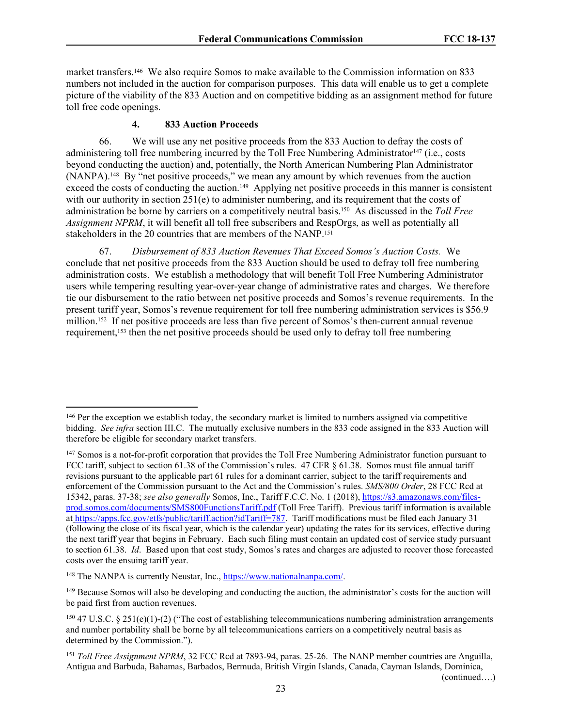market transfers.146 We also require Somos to make available to the Commission information on 833 numbers not included in the auction for comparison purposes. This data will enable us to get a complete picture of the viability of the 833 Auction and on competitive bidding as an assignment method for future toll free code openings.

### **4. 833 Auction Proceeds**

66. We will use any net positive proceeds from the 833 Auction to defray the costs of administering toll free numbering incurred by the Toll Free Numbering Administrator<sup>147</sup> (i.e., costs beyond conducting the auction) and, potentially, the North American Numbering Plan Administrator (NANPA).148 By "net positive proceeds," we mean any amount by which revenues from the auction exceed the costs of conducting the auction.<sup>149</sup> Applying net positive proceeds in this manner is consistent with our authority in section  $251(e)$  to administer numbering, and its requirement that the costs of administration be borne by carriers on a competitively neutral basis.150 As discussed in the *Toll Free Assignment NPRM*, it will benefit all toll free subscribers and RespOrgs, as well as potentially all stakeholders in the 20 countries that are members of the NANP.<sup>151</sup>

67. *Disbursement of 833 Auction Revenues That Exceed Somos's Auction Costs.* We conclude that net positive proceeds from the 833 Auction should be used to defray toll free numbering administration costs. We establish a methodology that will benefit Toll Free Numbering Administrator users while tempering resulting year-over-year change of administrative rates and charges. We therefore tie our disbursement to the ratio between net positive proceeds and Somos's revenue requirements. In the present tariff year, Somos's revenue requirement for toll free numbering administration services is \$56.9 million.152 If net positive proceeds are less than five percent of Somos's then-current annual revenue requirement,153 then the net positive proceeds should be used only to defray toll free numbering

<sup>146</sup> Per the exception we establish today, the secondary market is limited to numbers assigned via competitive bidding. *See infra* section III.C. The mutually exclusive numbers in the 833 code assigned in the 833 Auction will therefore be eligible for secondary market transfers.

<sup>&</sup>lt;sup>147</sup> Somos is a not-for-profit corporation that provides the Toll Free Numbering Administrator function pursuant to FCC tariff, subject to section 61.38 of the Commission's rules. 47 CFR § 61.38. Somos must file annual tariff revisions pursuant to the applicable part 61 rules for a dominant carrier, subject to the tariff requirements and enforcement of the Commission pursuant to the Act and the Commission's rules. *SMS/800 Order*, 28 FCC Rcd at 15342, paras. 37-38; *see also generally* Somos, Inc., Tariff F.C.C. No. 1 (2018), [https://s3.amazonaws.com/files](https://s3.amazonaws.com/files-prod.somos.com/documents/SMS800FunctionsTariff.pdf)[prod.somos.com/documents/SMS800FunctionsTariff.pdf](https://s3.amazonaws.com/files-prod.somos.com/documents/SMS800FunctionsTariff.pdf) (Toll Free Tariff). Previous tariff information is available at [https://apps.fcc.gov/etfs/public/tariff.action?idTariff=787.](https://apps.fcc.gov/etfs/public/tariff.action?idTariff=787) Tariff modifications must be filed each January 31 (following the close of its fiscal year, which is the calendar year) updating the rates for its services, effective during the next tariff year that begins in February. Each such filing must contain an updated cost of service study pursuant to section 61.38. *Id*. Based upon that cost study, Somos's rates and charges are adjusted to recover those forecasted costs over the ensuing tariff year.

<sup>148</sup> The NANPA is currently Neustar, Inc., [https://www.nationalnanpa.com/.](https://www.nationalnanpa.com/)

<sup>&</sup>lt;sup>149</sup> Because Somos will also be developing and conducting the auction, the administrator's costs for the auction will be paid first from auction revenues.

 $150$  47 U.S.C. § 251(e)(1)-(2) ("The cost of establishing telecommunications numbering administration arrangements and number portability shall be borne by all telecommunications carriers on a competitively neutral basis as determined by the Commission.").

<sup>&</sup>lt;sup>151</sup> *Toll Free Assignment NPRM*, 32 FCC Rcd at 7893-94, paras. 25-26. The NANP member countries are Anguilla, Antigua and Barbuda, Bahamas, Barbados, Bermuda, British Virgin Islands, Canada, Cayman Islands, Dominica,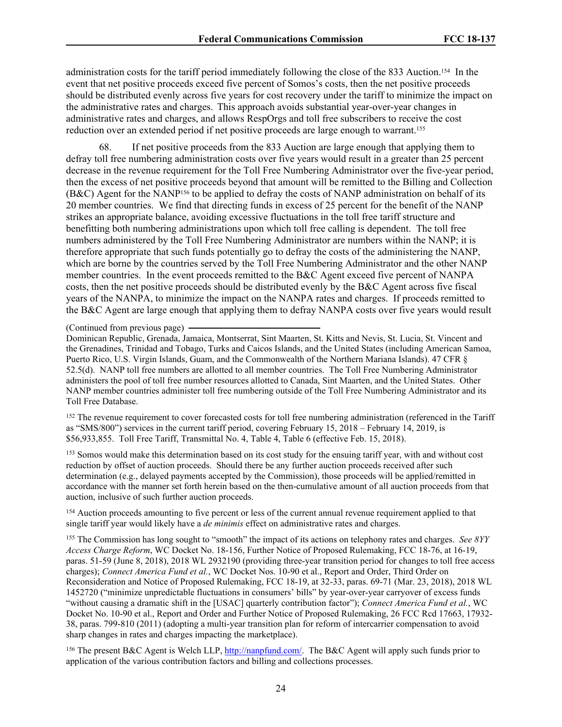administration costs for the tariff period immediately following the close of the 833 Auction.154 In the event that net positive proceeds exceed five percent of Somos's costs, then the net positive proceeds should be distributed evenly across five years for cost recovery under the tariff to minimize the impact on the administrative rates and charges. This approach avoids substantial year-over-year changes in administrative rates and charges, and allows RespOrgs and toll free subscribers to receive the cost reduction over an extended period if net positive proceeds are large enough to warrant.<sup>155</sup>

68. If net positive proceeds from the 833 Auction are large enough that applying them to defray toll free numbering administration costs over five years would result in a greater than 25 percent decrease in the revenue requirement for the Toll Free Numbering Administrator over the five-year period, then the excess of net positive proceeds beyond that amount will be remitted to the Billing and Collection (B&C) Agent for the NANP156 to be applied to defray the costs of NANP administration on behalf of its 20 member countries. We find that directing funds in excess of 25 percent for the benefit of the NANP strikes an appropriate balance, avoiding excessive fluctuations in the toll free tariff structure and benefitting both numbering administrations upon which toll free calling is dependent. The toll free numbers administered by the Toll Free Numbering Administrator are numbers within the NANP; it is therefore appropriate that such funds potentially go to defray the costs of the administering the NANP, which are borne by the countries served by the Toll Free Numbering Administrator and the other NANP member countries. In the event proceeds remitted to the B&C Agent exceed five percent of NANPA costs, then the net positive proceeds should be distributed evenly by the B&C Agent across five fiscal years of the NANPA, to minimize the impact on the NANPA rates and charges. If proceeds remitted to the B&C Agent are large enough that applying them to defray NANPA costs over five years would result

#### (Continued from previous page)

Dominican Republic, Grenada, Jamaica, Montserrat, Sint Maarten, St. Kitts and Nevis, St. Lucia, St. Vincent and the Grenadines, Trinidad and Tobago, Turks and Caicos Islands, and the United States (including American Samoa, Puerto Rico, U.S. Virgin Islands, Guam, and the Commonwealth of the Northern Mariana Islands). 47 CFR § 52.5(d). NANP toll free numbers are allotted to all member countries. The Toll Free Numbering Administrator administers the pool of toll free number resources allotted to Canada, Sint Maarten, and the United States. Other NANP member countries administer toll free numbering outside of the Toll Free Numbering Administrator and its Toll Free Database.

<sup>152</sup> The revenue requirement to cover forecasted costs for toll free numbering administration (referenced in the Tariff as "SMS/800") services in the current tariff period, covering February 15, 2018 – February 14, 2019, is \$56,933,855. Toll Free Tariff, Transmittal No. 4, Table 4, Table 6 (effective Feb. 15, 2018).

<sup>153</sup> Somos would make this determination based on its cost study for the ensuing tariff year, with and without cost reduction by offset of auction proceeds. Should there be any further auction proceeds received after such determination (e.g., delayed payments accepted by the Commission), those proceeds will be applied/remitted in accordance with the manner set forth herein based on the then-cumulative amount of all auction proceeds from that auction, inclusive of such further auction proceeds.

<sup>154</sup> Auction proceeds amounting to five percent or less of the current annual revenue requirement applied to that single tariff year would likely have a *de minimis* effect on administrative rates and charges.

<sup>155</sup> The Commission has long sought to "smooth" the impact of its actions on telephony rates and charges. *See 8YY Access Charge Reform*, WC Docket No. 18-156, Further Notice of Proposed Rulemaking, FCC 18-76, at 16-19, paras. 51-59 (June 8, 2018), 2018 WL 2932190 (providing three-year transition period for changes to toll free access charges); *Connect America Fund et al.*, WC Docket Nos. 10-90 et al., Report and Order, Third Order on Reconsideration and Notice of Proposed Rulemaking, FCC 18-19, at 32-33, paras. 69-71 (Mar. 23, 2018), 2018 WL 1452720 ("minimize unpredictable fluctuations in consumers' bills" by year-over-year carryover of excess funds "without causing a dramatic shift in the [USAC] quarterly contribution factor"); *Connect America Fund et al.*, WC Docket No. 10-90 et al., Report and Order and Further Notice of Proposed Rulemaking, 26 FCC Rcd 17663, 17932- 38, paras. 799-810 (2011) (adopting a multi-year transition plan for reform of intercarrier compensation to avoid sharp changes in rates and charges impacting the marketplace).

<sup>156</sup> The present B&C Agent is Welch LLP, [http://nanpfund.com/.](http://nanpfund.com/) The B&C Agent will apply such funds prior to application of the various contribution factors and billing and collections processes.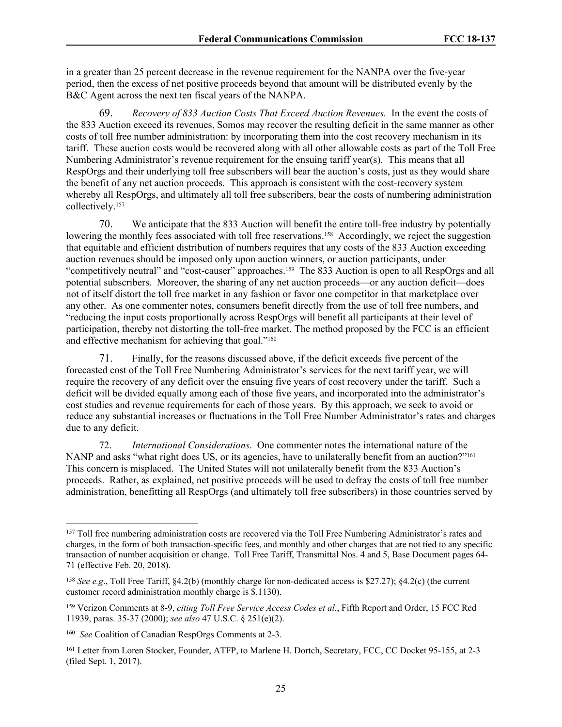in a greater than 25 percent decrease in the revenue requirement for the NANPA over the five-year period, then the excess of net positive proceeds beyond that amount will be distributed evenly by the B&C Agent across the next ten fiscal years of the NANPA.

69. *Recovery of 833 Auction Costs That Exceed Auction Revenues.* In the event the costs of the 833 Auction exceed its revenues, Somos may recover the resulting deficit in the same manner as other costs of toll free number administration: by incorporating them into the cost recovery mechanism in its tariff. These auction costs would be recovered along with all other allowable costs as part of the Toll Free Numbering Administrator's revenue requirement for the ensuing tariff year(s). This means that all RespOrgs and their underlying toll free subscribers will bear the auction's costs, just as they would share the benefit of any net auction proceeds. This approach is consistent with the cost-recovery system whereby all RespOrgs, and ultimately all toll free subscribers, bear the costs of numbering administration collectively.<sup>157</sup>

70. We anticipate that the 833 Auction will benefit the entire toll-free industry by potentially lowering the monthly fees associated with toll free reservations.<sup>158</sup> Accordingly, we reject the suggestion that equitable and efficient distribution of numbers requires that any costs of the 833 Auction exceeding auction revenues should be imposed only upon auction winners, or auction participants, under "competitively neutral" and "cost-causer" approaches.159 The 833 Auction is open to all RespOrgs and all potential subscribers. Moreover, the sharing of any net auction proceeds—or any auction deficit—does not of itself distort the toll free market in any fashion or favor one competitor in that marketplace over any other. As one commenter notes, consumers benefit directly from the use of toll free numbers, and "reducing the input costs proportionally across RespOrgs will benefit all participants at their level of participation, thereby not distorting the toll-free market. The method proposed by the FCC is an efficient and effective mechanism for achieving that goal."<sup>160</sup>

71. Finally, for the reasons discussed above, if the deficit exceeds five percent of the forecasted cost of the Toll Free Numbering Administrator's services for the next tariff year, we will require the recovery of any deficit over the ensuing five years of cost recovery under the tariff. Such a deficit will be divided equally among each of those five years, and incorporated into the administrator's cost studies and revenue requirements for each of those years. By this approach, we seek to avoid or reduce any substantial increases or fluctuations in the Toll Free Number Administrator's rates and charges due to any deficit.

72. *International Considerations*. One commenter notes the international nature of the NANP and asks "what right does US, or its agencies, have to unilaterally benefit from an auction?"<sup>161</sup> This concern is misplaced. The United States will not unilaterally benefit from the 833 Auction's proceeds. Rather, as explained, net positive proceeds will be used to defray the costs of toll free number administration, benefitting all RespOrgs (and ultimately toll free subscribers) in those countries served by

<sup>&</sup>lt;sup>157</sup> Toll free numbering administration costs are recovered via the Toll Free Numbering Administrator's rates and charges, in the form of both transaction-specific fees, and monthly and other charges that are not tied to any specific transaction of number acquisition or change. Toll Free Tariff, Transmittal Nos. 4 and 5, Base Document pages 64- 71 (effective Feb. 20, 2018).

<sup>158</sup> *See e.g*., Toll Free Tariff, §4.2(b) (monthly charge for non-dedicated access is \$27.27); §4.2(c) (the current customer record administration monthly charge is \$.1130).

<sup>159</sup> Verizon Comments at 8-9, *citing Toll Free Service Access Codes et al.*, Fifth Report and Order, 15 FCC Rcd 11939, paras. 35-37 (2000); *see also* 47 U.S.C. § 251(e)(2).

<sup>160</sup> *See* Coalition of Canadian RespOrgs Comments at 2-3.

<sup>161</sup> Letter from Loren Stocker, Founder, ATFP, to Marlene H. Dortch, Secretary, FCC, CC Docket 95-155, at 2-3 (filed Sept. 1, 2017).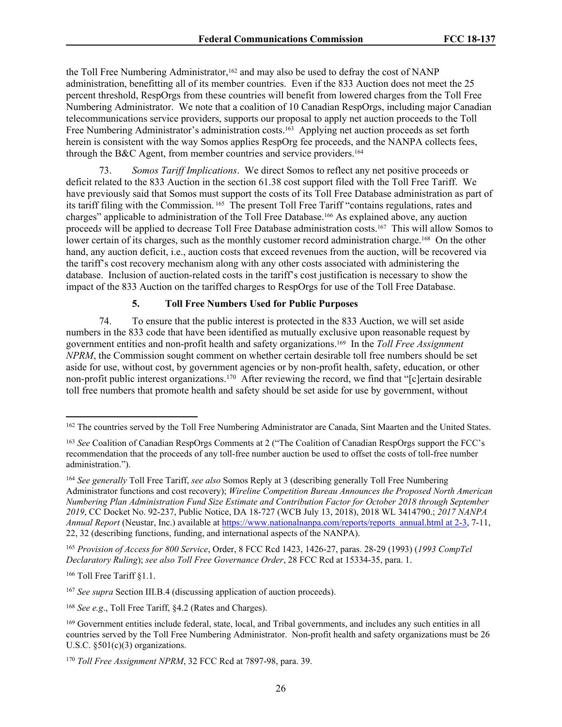the Toll Free Numbering Administrator,<sup>162</sup> and may also be used to defray the cost of NANP administration, benefitting all of its member countries. Even if the 833 Auction does not meet the 25 percent threshold, RespOrgs from these countries will benefit from lowered charges from the Toll Free Numbering Administrator. We note that a coalition of 10 Canadian RespOrgs, including major Canadian telecommunications service providers, supports our proposal to apply net auction proceeds to the Toll Free Numbering Administrator's administration costs.<sup>163</sup> Applying net auction proceeds as set forth herein is consistent with the way Somos applies RespOrg fee proceeds, and the NANPA collects fees, through the B&C Agent, from member countries and service providers.<sup>164</sup>

73. *Somos Tariff Implications*. We direct Somos to reflect any net positive proceeds or deficit related to the 833 Auction in the section 61.38 cost support filed with the Toll Free Tariff. We have previously said that Somos must support the costs of its Toll Free Database administration as part of its tariff filing with the Commission. 165 The present Toll Free Tariff "contains regulations, rates and charges" applicable to administration of the Toll Free Database.166 As explained above, any auction proceed*s* will be applied to decrease Toll Free Database administration costs.167 This will allow Somos to lower certain of its charges, such as the monthly customer record administration charge.<sup>168</sup> On the other hand, any auction deficit, i.e., auction costs that exceed revenues from the auction, will be recovered via the tariff's cost recovery mechanism along with any other costs associated with administering the database. Inclusion of auction-related costs in the tariff's cost justification is necessary to show the impact of the 833 Auction on the tariffed charges to RespOrgs for use of the Toll Free Database.

## **5. Toll Free Numbers Used for Public Purposes**

74. To ensure that the public interest is protected in the 833 Auction, we will set aside numbers in the 833 code that have been identified as mutually exclusive upon reasonable request by government entities and non-profit health and safety organizations.169 In the *Toll Free Assignment NPRM*, the Commission sought comment on whether certain desirable toll free numbers should be set aside for use, without cost, by government agencies or by non-profit health, safety, education, or other non-profit public interest organizations.<sup>170</sup> After reviewing the record, we find that "[c]ertain desirable toll free numbers that promote health and safety should be set aside for use by government, without

<sup>165</sup> *Provision of Access for 800 Service*, Order, 8 FCC Rcd 1423, 1426-27, paras. 28-29 (1993) (*1993 CompTel Declaratory Ruling*); *see also Toll Free Governance Order*, 28 FCC Rcd at 15334-35, para. 1.

<sup>166</sup> Toll Free Tariff §1.1.

<sup>167</sup> *See supra* Section III.B.4 (discussing application of auction proceeds).

<sup>168</sup> *See e.g*., Toll Free Tariff, §4.2 (Rates and Charges).

<sup>&</sup>lt;sup>162</sup> The countries served by the Toll Free Numbering Administrator are Canada, Sint Maarten and the United States.

<sup>163</sup> *See* Coalition of Canadian RespOrgs Comments at 2 ("The Coalition of Canadian RespOrgs support the FCC's recommendation that the proceeds of any toll-free number auction be used to offset the costs of toll-free number administration.").

<sup>164</sup> *See generally* Toll Free Tariff, *see also* Somos Reply at 3 (describing generally Toll Free Numbering Administrator functions and cost recovery); *Wireline Competition Bureau Announces the Proposed North American Numbering Plan Administration Fund Size Estimate and Contribution Factor for October 2018 through September 2019*, CC Docket No. 92-237, Public Notice, DA 18-727 (WCB July 13, 2018), 2018 WL 3414790.; *2017 NANPA Annual Report* (Neustar, Inc.) available at [https://www.nationalnanpa.com/reports/reports\\_annual.html at 2-3,](https://www.nationalnanpa.com/reports/reports_annual.html%20at%202-3) 7-11, 22, 32 (describing functions, funding, and international aspects of the NANPA).

<sup>169</sup> Government entities include federal, state, local, and Tribal governments, and includes any such entities in all countries served by the Toll Free Numbering Administrator. Non-profit health and safety organizations must be 26 U.S.C. §501(c)(3) organizations.

<sup>170</sup> *Toll Free Assignment NPRM*, 32 FCC Rcd at 7897-98, para. 39.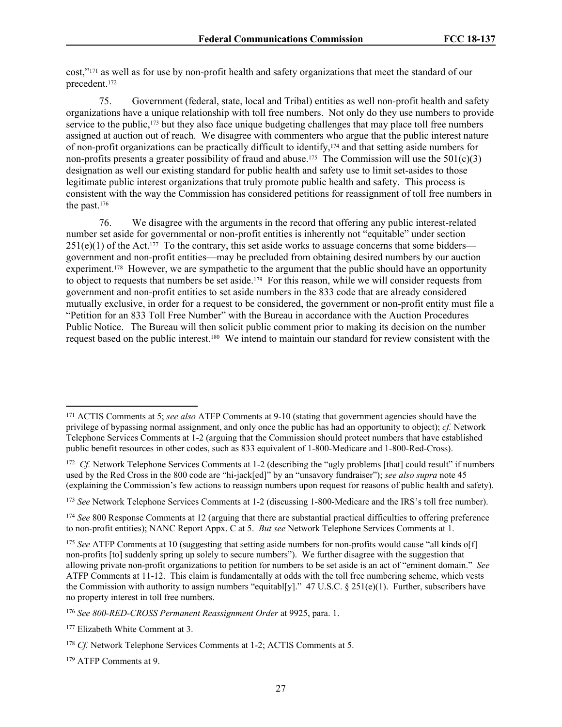cost,"171 as well as for use by non-profit health and safety organizations that meet the standard of our precedent.<sup>172</sup>

75. Government (federal, state, local and Tribal) entities as well non-profit health and safety organizations have a unique relationship with toll free numbers. Not only do they use numbers to provide service to the public,<sup>173</sup> but they also face unique budgeting challenges that may place toll free numbers assigned at auction out of reach. We disagree with commenters who argue that the public interest nature of non-profit organizations can be practically difficult to identify,174 and that setting aside numbers for non-profits presents a greater possibility of fraud and abuse.<sup>175</sup> The Commission will use the  $501(c)(3)$ designation as well our existing standard for public health and safety use to limit set-asides to those legitimate public interest organizations that truly promote public health and safety. This process is consistent with the way the Commission has considered petitions for reassignment of toll free numbers in the past.<sup>176</sup>

76. We disagree with the arguments in the record that offering any public interest-related number set aside for governmental or non-profit entities is inherently not "equitable" under section  $251(e)(1)$  of the Act.<sup>177</sup> To the contrary, this set aside works to assuage concerns that some bidders government and non-profit entities—may be precluded from obtaining desired numbers by our auction experiment.<sup>178</sup> However, we are sympathetic to the argument that the public should have an opportunity to object to requests that numbers be set aside.<sup>179</sup> For this reason, while we will consider requests from government and non-profit entities to set aside numbers in the 833 code that are already considered mutually exclusive, in order for a request to be considered, the government or non-profit entity must file a "Petition for an 833 Toll Free Number" with the Bureau in accordance with the Auction Procedures Public Notice. The Bureau will then solicit public comment prior to making its decision on the number request based on the public interest.180 We intend to maintain our standard for review consistent with the

<sup>171</sup> ACTIS Comments at 5; *see also* ATFP Comments at 9-10 (stating that government agencies should have the privilege of bypassing normal assignment, and only once the public has had an opportunity to object); *cf.* Network Telephone Services Comments at 1-2 (arguing that the Commission should protect numbers that have established public benefit resources in other codes, such as 833 equivalent of 1-800-Medicare and 1-800-Red-Cross).

<sup>&</sup>lt;sup>172</sup> Cf. Network Telephone Services Comments at 1-2 (describing the "ugly problems [that] could result" if numbers used by the Red Cross in the 800 code are "hi-jack[ed]" by an "unsavory fundraiser"); *see also supra* note 45 (explaining the Commission's few actions to reassign numbers upon request for reasons of public health and safety).

<sup>173</sup> *See* Network Telephone Services Comments at 1-2 (discussing 1-800-Medicare and the IRS's toll free number).

<sup>174</sup> *See* 800 Response Comments at 12 (arguing that there are substantial practical difficulties to offering preference to non-profit entities); NANC Report Appx. C at 5. *But see* Network Telephone Services Comments at 1.

<sup>&</sup>lt;sup>175</sup> *See* ATFP Comments at 10 (suggesting that setting aside numbers for non-profits would cause "all kinds of f non-profits [to] suddenly spring up solely to secure numbers"). We further disagree with the suggestion that allowing private non-profit organizations to petition for numbers to be set aside is an act of "eminent domain." *See* ATFP Comments at 11-12. This claim is fundamentally at odds with the toll free numbering scheme, which vests the Commission with authority to assign numbers "equitabl[y]."  $47 \text{ U.S.C.}$  §  $251(e)(1)$ . Further, subscribers have no property interest in toll free numbers.

<sup>176</sup> *See 800-RED-CROSS Permanent Reassignment Order* at 9925, para. 1.

<sup>&</sup>lt;sup>177</sup> Elizabeth White Comment at 3.

<sup>&</sup>lt;sup>178</sup> *Cf.* Network Telephone Services Comments at 1-2; ACTIS Comments at 5.

<sup>179</sup> ATFP Comments at 9.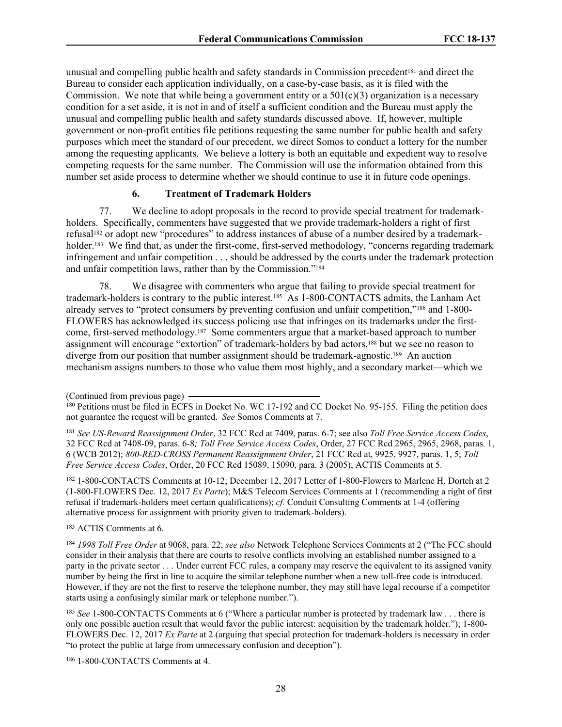unusual and compelling public health and safety standards in Commission precedent<sup>[81</sup>] and direct the Bureau to consider each application individually, on a case-by-case basis, as it is filed with the Commission. We note that while being a government entity or a  $501(c)(3)$  organization is a necessary condition for a set aside, it is not in and of itself a sufficient condition and the Bureau must apply the unusual and compelling public health and safety standards discussed above. If, however, multiple government or non-profit entities file petitions requesting the same number for public health and safety purposes which meet the standard of our precedent, we direct Somos to conduct a lottery for the number among the requesting applicants. We believe a lottery is both an equitable and expedient way to resolve competing requests for the same number. The Commission will use the information obtained from this number set aside process to determine whether we should continue to use it in future code openings.

### **6. Treatment of Trademark Holders**

77. We decline to adopt proposals in the record to provide special treatment for trademarkholders. Specifically, commenters have suggested that we provide trademark-holders a right of first refusal182 or adopt new "procedures" to address instances of abuse of a number desired by a trademarkholder.<sup>183</sup> We find that, as under the first-come, first-served methodology, "concerns regarding trademark infringement and unfair competition . . . should be addressed by the courts under the trademark protection and unfair competition laws, rather than by the Commission."<sup>184</sup>

78. We disagree with commenters who argue that failing to provide special treatment for trademark-holders is contrary to the public interest.185 As 1-800-CONTACTS admits, the Lanham Act already serves to "protect consumers by preventing confusion and unfair competition,"186 and 1-800- FLOWERS has acknowledged its success policing use that infringes on its trademarks under the firstcome, first-served methodology.187 Some commenters argue that a market-based approach to number assignment will encourage "extortion" of trademark-holders by bad actors,188 but we see no reason to diverge from our position that number assignment should be trademark-agnostic.189 An auction mechanism assigns numbers to those who value them most highly, and a secondary market—which we

<sup>181</sup> *See US-Reward Reassignment Order*, 32 FCC Rcd at 7409, paras. 6-7; see also *Toll Free Service Access Codes*, 32 FCC Rcd at 7408-09, paras. 6-8*; Toll Free Service Access Codes*, Order, 27 FCC Rcd 2965, 2965, 2968, paras. 1, 6 (WCB 2012); *800-RED-CROSS Permanent Reassignment Order*, 21 FCC Rcd at, 9925, 9927, paras. 1, 5; *Toll Free Service Access Codes*, Order, 20 FCC Rcd 15089, 15090, para. 3 (2005); ACTIS Comments at 5.

<sup>182</sup> 1-800-CONTACTS Comments at 10-12; December 12, 2017 Letter of 1-800-Flowers to Marlene H. Dortch at 2 (1-800-FLOWERS Dec. 12, 2017 *Ex Parte*); M&S Telecom Services Comments at 1 (recommending a right of first refusal if trademark-holders meet certain qualifications); *cf.* Conduit Consulting Comments at 1-4 (offering alternative process for assignment with priority given to trademark-holders).

<sup>183</sup> ACTIS Comments at 6.

<sup>184</sup> *1998 Toll Free Order* at 9068, para. 22; *see also* Network Telephone Services Comments at 2 ("The FCC should consider in their analysis that there are courts to resolve conflicts involving an established number assigned to a party in the private sector . . . Under current FCC rules, a company may reserve the equivalent to its assigned vanity number by being the first in line to acquire the similar telephone number when a new toll-free code is introduced. However, if they are not the first to reserve the telephone number, they may still have legal recourse if a competitor starts using a confusingly similar mark or telephone number.").

<sup>185</sup> *See* 1-800-CONTACTS Comments at 6 ("Where a particular number is protected by trademark law . . . there is only one possible auction result that would favor the public interest: acquisition by the trademark holder."); 1-800- FLOWERS Dec. 12, 2017 *Ex Parte* at 2 (arguing that special protection for trademark-holders is necessary in order "to protect the public at large from unnecessary confusion and deception").

186 1-800-CONTACTS Comments at 4.

<sup>(</sup>Continued from previous page)

<sup>&</sup>lt;sup>180</sup> Petitions must be filed in ECFS in Docket No. WC 17-192 and CC Docket No. 95-155. Filing the petition does not guarantee the request will be granted. *See* Somos Comments at 7.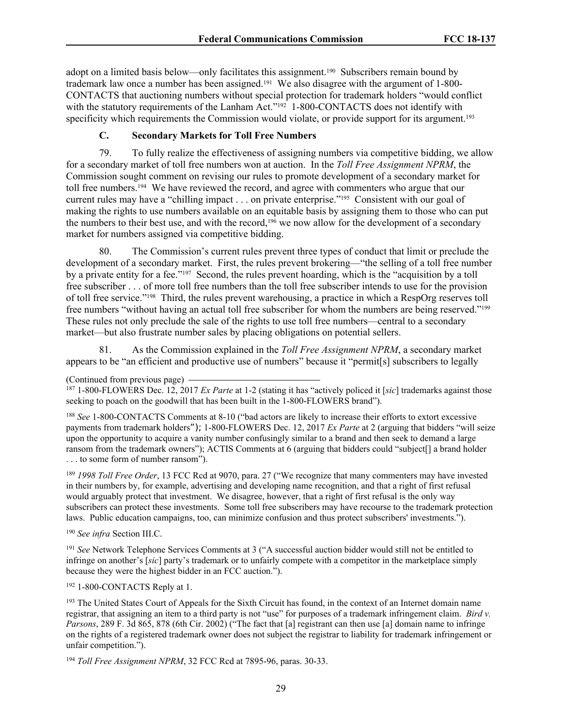adopt on a limited basis below—only facilitates this assignment.190 Subscribers remain bound by trademark law once a number has been assigned.191 We also disagree with the argument of 1-800- CONTACTS that auctioning numbers without special protection for trademark holders "would conflict with the statutory requirements of the Lanham Act."<sup>192</sup> 1-800-CONTACTS does not identify with specificity which requirements the Commission would violate, or provide support for its argument.<sup>193</sup>

# **C. Secondary Markets for Toll Free Numbers**

79. To fully realize the effectiveness of assigning numbers via competitive bidding, we allow for a secondary market of toll free numbers won at auction. In the *Toll Free Assignment NPRM*, the Commission sought comment on revising our rules to promote development of a secondary market for toll free numbers.194 We have reviewed the record, and agree with commenters who argue that our current rules may have a "chilling impact . . . on private enterprise."195 Consistent with our goal of making the rights to use numbers available on an equitable basis by assigning them to those who can put the numbers to their best use, and with the record,<sup>196</sup> we now allow for the development of a secondary market for numbers assigned via competitive bidding.

80. The Commission's current rules prevent three types of conduct that limit or preclude the development of a secondary market. First, the rules prevent brokering—"the selling of a toll free number by a private entity for a fee."197 Second, the rules prevent hoarding, which is the "acquisition by a toll free subscriber . . . of more toll free numbers than the toll free subscriber intends to use for the provision of toll free service."198 Third, the rules prevent warehousing, a practice in which a RespOrg reserves toll free numbers "without having an actual toll free subscriber for whom the numbers are being reserved."<sup>199</sup> These rules not only preclude the sale of the rights to use toll free numbers—central to a secondary market—but also frustrate number sales by placing obligations on potential sellers.

81. As the Commission explained in the *Toll Free Assignment NPRM*, a secondary market appears to be "an efficient and productive use of numbers" because it "permit[s] subscribers to legally

<sup>188</sup> *See* 1-800-CONTACTS Comments at 8-10 ("bad actors are likely to increase their efforts to extort excessive payments from trademark holders"); 1-800-FLOWERS Dec. 12, 2017 *Ex Parte* at 2 (arguing that bidders "will seize upon the opportunity to acquire a vanity number confusingly similar to a brand and then seek to demand a large ransom from the trademark owners"); ACTIS Comments at 6 (arguing that bidders could "subject[] a brand holder . . . to some form of number ransom").

<sup>189</sup> *1998 Toll Free Order*, 13 FCC Rcd at 9070, para. 27 ("We recognize that many commenters may have invested in their numbers by, for example, advertising and developing name recognition, and that a right of first refusal would arguably protect that investment. We disagree, however, that a right of first refusal is the only way subscribers can protect these investments. Some toll free subscribers may have recourse to the trademark protection laws. Public education campaigns, too, can minimize confusion and thus protect subscribers' investments.").

<sup>190</sup> *See infra* Section III.C.

<sup>191</sup> *See* Network Telephone Services Comments at 3 ("A successful auction bidder would still not be entitled to infringe on another's [*sic*] party's trademark or to unfairly compete with a competitor in the marketplace simply because they were the highest bidder in an FCC auction.").

<sup>192</sup> 1-800-CONTACTS Reply at 1.

<sup>193</sup> The United States Court of Appeals for the Sixth Circuit has found, in the context of an Internet domain name registrar, that assigning an item to a third party is not "use" for purposes of a trademark infringement claim. *Bird v. Parsons*, 289 F. 3d 865, 878 (6th Cir. 2002) ("The fact that [a] registrant can then use [a] domain name to infringe on the rights of a registered trademark owner does not subject the registrar to liability for trademark infringement or unfair competition.").

<sup>194</sup> *Toll Free Assignment NPRM*, 32 FCC Rcd at 7895-96, paras. 30-33.

<sup>(</sup>Continued from previous page)

<sup>187</sup> 1-800-FLOWERS Dec. 12, 2017 *Ex Parte* at 1-2 (stating it has "actively policed it [*sic*] trademarks against those seeking to poach on the goodwill that has been built in the 1-800-FLOWERS brand").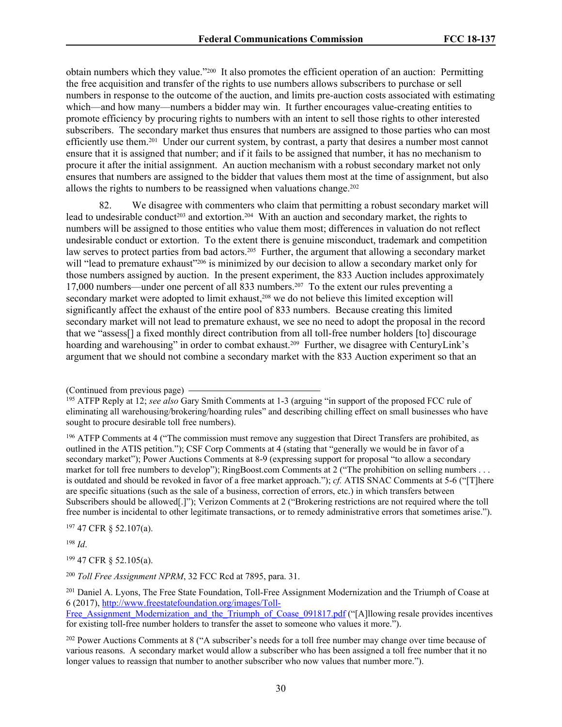obtain numbers which they value."200 It also promotes the efficient operation of an auction: Permitting the free acquisition and transfer of the rights to use numbers allows subscribers to purchase or sell numbers in response to the outcome of the auction, and limits pre-auction costs associated with estimating which—and how many—numbers a bidder may win. It further encourages value-creating entities to promote efficiency by procuring rights to numbers with an intent to sell those rights to other interested subscribers. The secondary market thus ensures that numbers are assigned to those parties who can most efficiently use them.<sup>201</sup> Under our current system, by contrast, a party that desires a number most cannot ensure that it is assigned that number; and if it fails to be assigned that number, it has no mechanism to procure it after the initial assignment. An auction mechanism with a robust secondary market not only ensures that numbers are assigned to the bidder that values them most at the time of assignment, but also allows the rights to numbers to be reassigned when valuations change.<sup>202</sup>

82. We disagree with commenters who claim that permitting a robust secondary market will lead to undesirable conduct<sup>203</sup> and extortion.<sup>204</sup> With an auction and secondary market, the rights to numbers will be assigned to those entities who value them most; differences in valuation do not reflect undesirable conduct or extortion. To the extent there is genuine misconduct, trademark and competition law serves to protect parties from bad actors.205 Further, the argument that allowing a secondary market will "lead to premature exhaust"<sup>206</sup> is minimized by our decision to allow a secondary market only for those numbers assigned by auction. In the present experiment, the 833 Auction includes approximately 17,000 numbers—under one percent of all 833 numbers.207 To the extent our rules preventing a secondary market were adopted to limit exhaust,<sup>208</sup> we do not believe this limited exception will significantly affect the exhaust of the entire pool of 833 numbers. Because creating this limited secondary market will not lead to premature exhaust, we see no need to adopt the proposal in the record that we "assess[] a fixed monthly direct contribution from all toll-free number holders [to] discourage hoarding and warehousing" in order to combat exhaust.<sup>209</sup> Further, we disagree with CenturyLink's argument that we should not combine a secondary market with the 833 Auction experiment so that an

<sup>197</sup> 47 CFR § 52.107(a).

<sup>198</sup> *Id*.

<sup>199</sup> 47 CFR § 52.105(a).

<sup>201</sup> Daniel A. Lyons, The Free State Foundation, Toll-Free Assignment Modernization and the Triumph of Coase at 6 (2017), [http://www.freestatefoundation.org/images/Toll-](http://www.freestatefoundation.org/images/Toll-Free_Assignment_Modernization_and_the_Triumph_of_Coase_091817.pdf)

Free Assignment Modernization and the Triumph of Coase 091817.pdf ("[A]llowing resale provides incentives for existing toll-free number holders to transfer the asset to someone who values it more.").

<sup>(</sup>Continued from previous page)

<sup>195</sup> ATFP Reply at 12; *see also* Gary Smith Comments at 1-3 (arguing "in support of the proposed FCC rule of eliminating all warehousing/brokering/hoarding rules" and describing chilling effect on small businesses who have sought to procure desirable toll free numbers).

<sup>196</sup> ATFP Comments at 4 ("The commission must remove any suggestion that Direct Transfers are prohibited, as outlined in the ATIS petition."); CSF Corp Comments at 4 (stating that "generally we would be in favor of a secondary market"); Power Auctions Comments at 8-9 (expressing support for proposal "to allow a secondary market for toll free numbers to develop"); RingBoost.com Comments at 2 ("The prohibition on selling numbers . . . is outdated and should be revoked in favor of a free market approach."); *cf.* ATIS SNAC Comments at 5-6 ("[T]here are specific situations (such as the sale of a business, correction of errors, etc.) in which transfers between Subscribers should be allowed[.]"); Verizon Comments at 2 ("Brokering restrictions are not required where the toll free number is incidental to other legitimate transactions, or to remedy administrative errors that sometimes arise.").

<sup>200</sup> *Toll Free Assignment NPRM*, 32 FCC Rcd at 7895, para. 31.

<sup>&</sup>lt;sup>202</sup> Power Auctions Comments at 8 ("A subscriber's needs for a toll free number may change over time because of various reasons. A secondary market would allow a subscriber who has been assigned a toll free number that it no longer values to reassign that number to another subscriber who now values that number more.").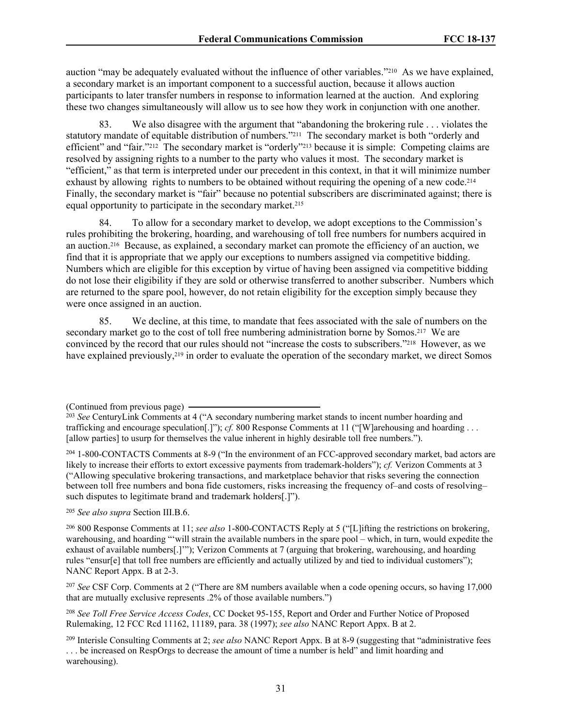auction "may be adequately evaluated without the influence of other variables."210 As we have explained, a secondary market is an important component to a successful auction, because it allows auction participants to later transfer numbers in response to information learned at the auction. And exploring these two changes simultaneously will allow us to see how they work in conjunction with one another.

83. We also disagree with the argument that "abandoning the brokering rule . . . violates the statutory mandate of equitable distribution of numbers."211 The secondary market is both "orderly and efficient" and "fair."<sup>212</sup> The secondary market is "orderly"<sup>213</sup> because it is simple: Competing claims are resolved by assigning rights to a number to the party who values it most. The secondary market is "efficient," as that term is interpreted under our precedent in this context, in that it will minimize number exhaust by allowing rights to numbers to be obtained without requiring the opening of a new code.<sup>214</sup> Finally, the secondary market is "fair" because no potential subscribers are discriminated against; there is equal opportunity to participate in the secondary market.<sup>215</sup>

84. To allow for a secondary market to develop, we adopt exceptions to the Commission's rules prohibiting the brokering, hoarding, and warehousing of toll free numbers for numbers acquired in an auction.216 Because, as explained, a secondary market can promote the efficiency of an auction, we find that it is appropriate that we apply our exceptions to numbers assigned via competitive bidding. Numbers which are eligible for this exception by virtue of having been assigned via competitive bidding do not lose their eligibility if they are sold or otherwise transferred to another subscriber. Numbers which are returned to the spare pool, however, do not retain eligibility for the exception simply because they were once assigned in an auction.

85. We decline, at this time, to mandate that fees associated with the sale of numbers on the secondary market go to the cost of toll free numbering administration borne by Somos.<sup>217</sup> We are convinced by the record that our rules should not "increase the costs to subscribers."218 However, as we have explained previously,<sup>219</sup> in order to evaluate the operation of the secondary market, we direct Somos

<sup>205</sup> *See also supra* Section III.B.6.

<sup>206</sup> 800 Response Comments at 11; *see also* 1-800-CONTACTS Reply at 5 ("[L]ifting the restrictions on brokering, warehousing, and hoarding "'will strain the available numbers in the spare pool – which, in turn, would expedite the exhaust of available numbers[.]'"); Verizon Comments at 7 (arguing that brokering, warehousing, and hoarding rules "ensur[e] that toll free numbers are efficiently and actually utilized by and tied to individual customers"); NANC Report Appx. B at 2-3.

<sup>207</sup> *See* CSF Corp. Comments at 2 ("There are 8M numbers available when a code opening occurs, so having 17,000 that are mutually exclusive represents .2% of those available numbers.")

<sup>208</sup> *See Toll Free Service Access Codes*, CC Docket 95-155, Report and Order and Further Notice of Proposed Rulemaking, 12 FCC Rcd 11162, 11189, para. 38 (1997); *see also* NANC Report Appx. B at 2.

<sup>(</sup>Continued from previous page)

<sup>&</sup>lt;sup>203</sup> See CenturyLink Comments at 4 ("A secondary numbering market stands to incent number hoarding and trafficking and encourage speculation[.]"); *cf.* 800 Response Comments at 11 ("[W]arehousing and hoarding . . . [allow parties] to usurp for themselves the value inherent in highly desirable toll free numbers.").

<sup>204</sup> 1-800-CONTACTS Comments at 8-9 ("In the environment of an FCC-approved secondary market, bad actors are likely to increase their efforts to extort excessive payments from trademark-holders"); *cf.* Verizon Comments at 3 ("Allowing speculative brokering transactions, and marketplace behavior that risks severing the connection between toll free numbers and bona fide customers, risks increasing the frequency of–and costs of resolving– such disputes to legitimate brand and trademark holders[.]").

<sup>209</sup> Interisle Consulting Comments at 2; *see also* NANC Report Appx. B at 8-9 (suggesting that "administrative fees . . . be increased on RespOrgs to decrease the amount of time a number is held" and limit hoarding and warehousing).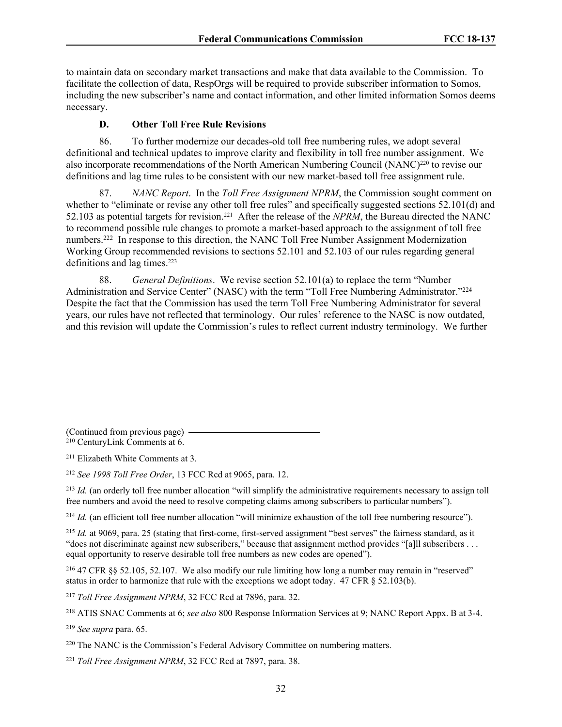to maintain data on secondary market transactions and make that data available to the Commission. To facilitate the collection of data, RespOrgs will be required to provide subscriber information to Somos, including the new subscriber's name and contact information, and other limited information Somos deems necessary.

## **D. Other Toll Free Rule Revisions**

86. To further modernize our decades-old toll free numbering rules, we adopt several definitional and technical updates to improve clarity and flexibility in toll free number assignment. We also incorporate recommendations of the North American Numbering Council (NANC)<sup>220</sup> to revise our definitions and lag time rules to be consistent with our new market-based toll free assignment rule.

87. *NANC Report*. In the *Toll Free Assignment NPRM*, the Commission sought comment on whether to "eliminate or revise any other toll free rules" and specifically suggested sections 52.101(d) and 52.103 as potential targets for revision.221 After the release of the *NPRM*, the Bureau directed the NANC to recommend possible rule changes to promote a market-based approach to the assignment of toll free numbers.<sup>222</sup> In response to this direction, the NANC Toll Free Number Assignment Modernization Working Group recommended revisions to sections 52.101 and 52.103 of our rules regarding general definitions and lag times.<sup>223</sup>

88. *General Definitions*. We revise section 52.101(a) to replace the term "Number Administration and Service Center" (NASC) with the term "Toll Free Numbering Administrator."<sup>224</sup> Despite the fact that the Commission has used the term Toll Free Numbering Administrator for several years, our rules have not reflected that terminology. Our rules' reference to the NASC is now outdated, and this revision will update the Commission's rules to reflect current industry terminology. We further

(Continued from previous page)

<sup>210</sup> CenturyLink Comments at 6.

<sup>211</sup> Elizabeth White Comments at 3.

<sup>212</sup> *See 1998 Toll Free Order*, 13 FCC Rcd at 9065, para. 12.

<sup>213</sup> *Id.* (an orderly toll free number allocation "will simplify the administrative requirements necessary to assign toll free numbers and avoid the need to resolve competing claims among subscribers to particular numbers").

<sup>214</sup> *Id.* (an efficient toll free number allocation "will minimize exhaustion of the toll free numbering resource").

<sup>215</sup> *Id.* at 9069, para. 25 (stating that first-come, first-served assignment "best serves" the fairness standard, as it "does not discriminate against new subscribers," because that assignment method provides "[a]ll subscribers . . . equal opportunity to reserve desirable toll free numbers as new codes are opened").

<sup>216</sup> 47 CFR §§ 52.105, 52.107. We also modify our rule limiting how long a number may remain in "reserved" status in order to harmonize that rule with the exceptions we adopt today. 47 CFR § 52.103(b).

<sup>217</sup> *Toll Free Assignment NPRM*, 32 FCC Rcd at 7896, para. 32.

<sup>218</sup> ATIS SNAC Comments at 6; *see also* 800 Response Information Services at 9; NANC Report Appx. B at 3-4.

<sup>219</sup> *See supra* para. 65.

<sup>220</sup> The NANC is the Commission's Federal Advisory Committee on numbering matters.

<sup>221</sup> *Toll Free Assignment NPRM*, 32 FCC Rcd at 7897, para. 38.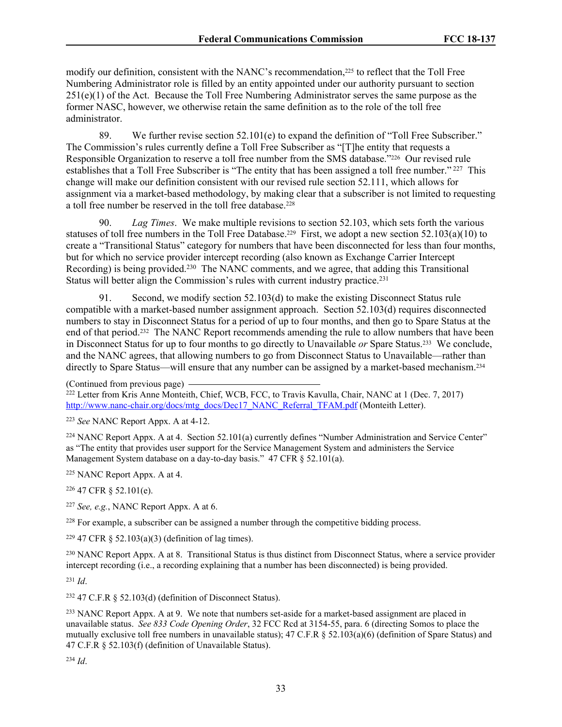modify our definition, consistent with the NANC's recommendation,<sup>225</sup> to reflect that the Toll Free Numbering Administrator role is filled by an entity appointed under our authority pursuant to section 251(e)(1) of the Act. Because the Toll Free Numbering Administrator serves the same purpose as the former NASC, however, we otherwise retain the same definition as to the role of the toll free administrator.

89. We further revise section 52.101(e) to expand the definition of "Toll Free Subscriber." The Commission's rules currently define a Toll Free Subscriber as "[T]he entity that requests a Responsible Organization to reserve a toll free number from the SMS database."226 Our revised rule establishes that a Toll Free Subscriber is "The entity that has been assigned a toll free number."<sup>227</sup> This change will make our definition consistent with our revised rule section 52.111, which allows for assignment via a market-based methodology, by making clear that a subscriber is not limited to requesting a toll free number be reserved in the toll free database.<sup>228</sup>

90. *Lag Times*. We make multiple revisions to section 52.103, which sets forth the various statuses of toll free numbers in the Toll Free Database.<sup>229</sup> First, we adopt a new section 52.103(a)(10) to create a "Transitional Status" category for numbers that have been disconnected for less than four months, but for which no service provider intercept recording (also known as Exchange Carrier Intercept Recording) is being provided.<sup>230</sup> The NANC comments, and we agree, that adding this Transitional Status will better align the Commission's rules with current industry practice.<sup>231</sup>

91. Second, we modify section 52.103(d) to make the existing Disconnect Status rule compatible with a market-based number assignment approach. Section 52.103(d) requires disconnected numbers to stay in Disconnect Status for a period of up to four months, and then go to Spare Status at the end of that period.232 The NANC Report recommends amending the rule to allow numbers that have been in Disconnect Status for up to four months to go directly to Unavailable *or* Spare Status.233 We conclude, and the NANC agrees, that allowing numbers to go from Disconnect Status to Unavailable—rather than directly to Spare Status—will ensure that any number can be assigned by a market-based mechanism.<sup>234</sup>

<sup>223</sup> *See* NANC Report Appx. A at 4-12.

<sup>224</sup> NANC Report Appx. A at 4. Section 52.101(a) currently defines "Number Administration and Service Center" as "The entity that provides user support for the Service Management System and administers the Service Management System database on a day-to-day basis." 47 CFR § 52.101(a).

<sup>225</sup> NANC Report Appx. A at 4.

<sup>226</sup> 47 CFR § 52.101(e).

<sup>227</sup> *See, e.g.*, NANC Report Appx. A at 6.

<sup>228</sup> For example, a subscriber can be assigned a number through the competitive bidding process.

<sup>229</sup> 47 CFR § 52.103(a)(3) (definition of lag times).

<sup>230</sup> NANC Report Appx. A at 8. Transitional Status is thus distinct from Disconnect Status, where a service provider intercept recording (i.e., a recording explaining that a number has been disconnected) is being provided.

<sup>231</sup> *Id*.

<sup>232</sup> 47 C.F.R  $\frac{52.103}{d}$  (definition of Disconnect Status).

<sup>233</sup> NANC Report Appx. A at 9. We note that numbers set-aside for a market-based assignment are placed in unavailable status. *See 833 Code Opening Order*, 32 FCC Rcd at 3154-55, para. 6 (directing Somos to place the mutually exclusive toll free numbers in unavailable status); 47 C.F.R § 52.103(a)(6) (definition of Spare Status) and 47 C.F.R § 52.103(f) (definition of Unavailable Status).

<sup>234</sup> *Id*.

<sup>(</sup>Continued from previous page) <sup>222</sup> Letter from Kris Anne Monteith, Chief, WCB, FCC, to Travis Kavulla, Chair, NANC at 1 (Dec. 7, 2017) [http://www.nanc-chair.org/docs/mtg\\_docs/Dec17\\_NANC\\_Referral\\_TFAM.pdf](http://www.nanc-chair.org/docs/mtg_docs/Dec17_NANC_Referral_TFAM.pdf) (Monteith Letter).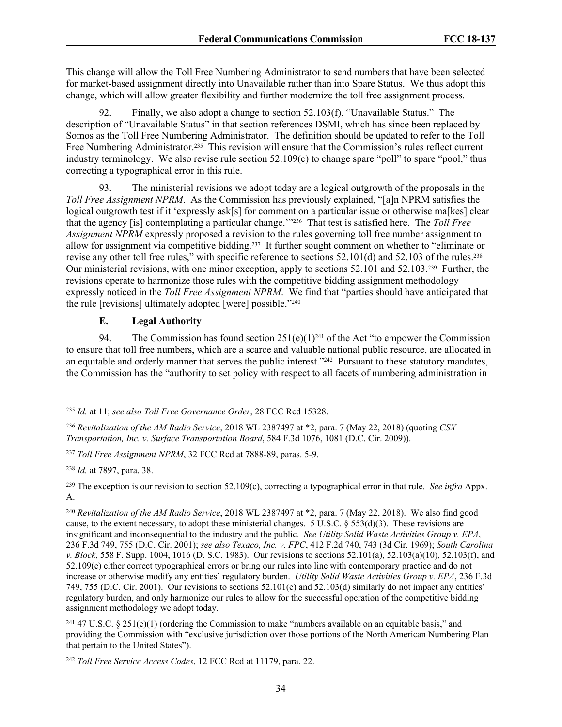This change will allow the Toll Free Numbering Administrator to send numbers that have been selected for market-based assignment directly into Unavailable rather than into Spare Status. We thus adopt this change, which will allow greater flexibility and further modernize the toll free assignment process.

92. Finally, we also adopt a change to section 52.103(f), "Unavailable Status." The description of "Unavailable Status" in that section references DSMI, which has since been replaced by Somos as the Toll Free Numbering Administrator. The definition should be updated to refer to the Toll Free Numbering Administrator.<sup>235</sup> This revision will ensure that the Commission's rules reflect current industry terminology. We also revise rule section 52.109(c) to change spare "poll" to spare "pool," thus correcting a typographical error in this rule.

93. The ministerial revisions we adopt today are a logical outgrowth of the proposals in the *Toll Free Assignment NPRM*. As the Commission has previously explained, "[a]n NPRM satisfies the logical outgrowth test if it 'expressly ask[s] for comment on a particular issue or otherwise ma[kes] clear that the agency [is] contemplating a particular change.'"236 That test is satisfied here. The *Toll Free Assignment NPRM* expressly proposed a revision to the rules governing toll free number assignment to allow for assignment via competitive bidding.237 It further sought comment on whether to "eliminate or revise any other toll free rules," with specific reference to sections 52.101(d) and 52.103 of the rules.<sup>238</sup> Our ministerial revisions, with one minor exception, apply to sections 52.101 and 52.103.239 Further, the revisions operate to harmonize those rules with the competitive bidding assignment methodology expressly noticed in the *Toll Free Assignment NPRM*. We find that "parties should have anticipated that the rule [revisions] ultimately adopted [were] possible."<sup>240</sup>

## **E. Legal Authority**

94. The Commission has found section  $251(e)(1)^{241}$  of the Act "to empower the Commission to ensure that toll free numbers, which are a scarce and valuable national public resource, are allocated in an equitable and orderly manner that serves the public interest."242 Pursuant to these statutory mandates, the Commission has the "authority to set policy with respect to all facets of numbering administration in

<sup>237</sup> *Toll Free Assignment NPRM*, 32 FCC Rcd at 7888-89, paras. 5-9.

<sup>238</sup> *Id.* at 7897, para. 38.

<sup>239</sup> The exception is our revision to section 52.109(c), correcting a typographical error in that rule. *See infra* Appx. A.

<sup>240</sup> *Revitalization of the AM Radio Service*, 2018 WL 2387497 at \*2, para. 7 (May 22, 2018). We also find good cause, to the extent necessary, to adopt these ministerial changes. 5 U.S.C. § 553(d)(3). These revisions are insignificant and inconsequential to the industry and the public. *See Utility Solid Waste Activities Group v. EPA*, 236 F.3d 749, 755 (D.C. Cir. 2001); *see also Texaco, Inc. v. FPC*, 412 F.2d 740, 743 (3d Cir. 1969); *South Carolina v. Block*, 558 F. Supp. 1004, 1016 (D. S.C. 1983). Our revisions to sections 52.101(a), 52.103(a)(10), 52.103(f), and 52.109(c) either correct typographical errors or bring our rules into line with contemporary practice and do not increase or otherwise modify any entities' regulatory burden. *Utility Solid Waste Activities Group v. EPA*, 236 F.3d 749, 755 (D.C. Cir. 2001). Our revisions to sections 52.101(e) and 52.103(d) similarly do not impact any entities' regulatory burden, and only harmonize our rules to allow for the successful operation of the competitive bidding assignment methodology we adopt today.

<sup>241</sup> 47 U.S.C. § 251(e)(1) (ordering the Commission to make "numbers available on an equitable basis," and providing the Commission with "exclusive jurisdiction over those portions of the North American Numbering Plan that pertain to the United States").

<sup>242</sup> *Toll Free Service Access Codes*, 12 FCC Rcd at 11179, para. 22.

<sup>235</sup> *Id.* at 11; *see also Toll Free Governance Order*, 28 FCC Rcd 15328.

<sup>236</sup> *Revitalization of the AM Radio Service*, 2018 WL 2387497 at \*2, para. 7 (May 22, 2018) (quoting *CSX Transportation, Inc. v. Surface Transportation Board*, 584 F.3d 1076, 1081 (D.C. Cir. 2009)).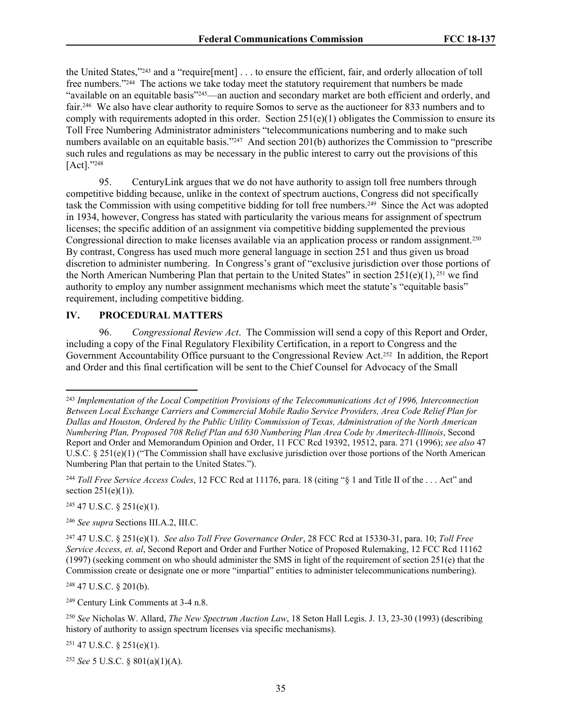the United States,"243 and a "require[ment] . . . to ensure the efficient, fair, and orderly allocation of toll free numbers."244 The actions we take today meet the statutory requirement that numbers be made "available on an equitable basis"245—an auction and secondary market are both efficient and orderly, and fair.246 We also have clear authority to require Somos to serve as the auctioneer for 833 numbers and to comply with requirements adopted in this order. Section  $251(e)(1)$  obligates the Commission to ensure its Toll Free Numbering Administrator administers "telecommunications numbering and to make such numbers available on an equitable basis."<sup>247</sup> And section 201(b) authorizes the Commission to "prescribe" such rules and regulations as may be necessary in the public interest to carry out the provisions of this [Act]."248

95. CenturyLink argues that we do not have authority to assign toll free numbers through competitive bidding because, unlike in the context of spectrum auctions, Congress did not specifically task the Commission with using competitive bidding for toll free numbers.249 Since the Act was adopted in 1934, however, Congress has stated with particularity the various means for assignment of spectrum licenses; the specific addition of an assignment via competitive bidding supplemented the previous Congressional direction to make licenses available via an application process or random assignment.<sup>250</sup> By contrast, Congress has used much more general language in section 251 and thus given us broad discretion to administer numbering. In Congress's grant of "exclusive jurisdiction over those portions of the North American Numbering Plan that pertain to the United States" in section 251(e)(1), 251 we find authority to employ any number assignment mechanisms which meet the statute's "equitable basis" requirement, including competitive bidding.

### **IV. PROCEDURAL MATTERS**

96. *Congressional Review Act*. The Commission will send a copy of this Report and Order, including a copy of the Final Regulatory Flexibility Certification, in a report to Congress and the Government Accountability Office pursuant to the Congressional Review Act.252 In addition, the Report and Order and this final certification will be sent to the Chief Counsel for Advocacy of the Small

 $245$  47 U.S.C. § 251(e)(1).

<sup>248</sup> 47 U.S.C. § 201(b).

<sup>249</sup> Century Link Comments at 3-4 n.8.

<sup>250</sup> *See* Nicholas W. Allard, *The New Spectrum Auction Law*, 18 Seton Hall Legis. J. 13, 23-30 (1993) (describing history of authority to assign spectrum licenses via specific mechanisms).

 $251$  47 U.S.C. § 251(e)(1).

<sup>252</sup> *See* 5 U.S.C. § 801(a)(1)(A).

<sup>243</sup> *Implementation of the Local Competition Provisions of the Telecommunications Act of 1996, Interconnection Between Local Exchange Carriers and Commercial Mobile Radio Service Providers, Area Code Relief Plan for Dallas and Houston, Ordered by the Public Utility Commission of Texas, Administration of the North American Numbering Plan, Proposed 708 Relief Plan and 630 Numbering Plan Area Code by Ameritech-Illinois*, Second Report and Order and Memorandum Opinion and Order, 11 FCC Rcd 19392, 19512, para. 271 (1996); *see also* 47 U.S.C. § 251(e)(1) ("The Commission shall have exclusive jurisdiction over those portions of the North American Numbering Plan that pertain to the United States.").

<sup>244</sup> *Toll Free Service Access Codes*, 12 FCC Rcd at 11176, para. 18 (citing "§ 1 and Title II of the . . . Act" and section  $251(e)(1)$ ).

<sup>246</sup> *See supra* Sections III.A.2, III.C.

<sup>247</sup> 47 U.S.C. § 251(e)(1). *See also Toll Free Governance Order*, 28 FCC Rcd at 15330-31, para. 10; *Toll Free Service Access, et. al*, Second Report and Order and Further Notice of Proposed Rulemaking, 12 FCC Rcd 11162 (1997) (seeking comment on who should administer the SMS in light of the requirement of section 251(e) that the Commission create or designate one or more "impartial" entities to administer telecommunications numbering).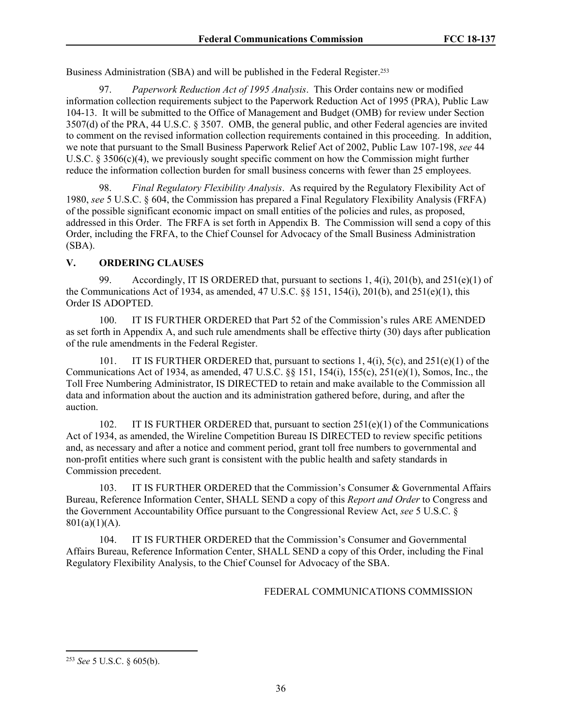Business Administration (SBA) and will be published in the Federal Register.<sup>253</sup>

97. *Paperwork Reduction Act of 1995 Analysis*. This Order contains new or modified information collection requirements subject to the Paperwork Reduction Act of 1995 (PRA), Public Law 104-13. It will be submitted to the Office of Management and Budget (OMB) for review under Section 3507(d) of the PRA, 44 U.S.C. § 3507. OMB, the general public, and other Federal agencies are invited to comment on the revised information collection requirements contained in this proceeding. In addition, we note that pursuant to the Small Business Paperwork Relief Act of 2002, Public Law 107-198, *see* 44 U.S.C. § 3506(c)(4), we previously sought specific comment on how the Commission might further reduce the information collection burden for small business concerns with fewer than 25 employees.

98. *Final Regulatory Flexibility Analysis*. As required by the Regulatory Flexibility Act of 1980, *see* 5 U.S.C. § 604, the Commission has prepared a Final Regulatory Flexibility Analysis (FRFA) of the possible significant economic impact on small entities of the policies and rules, as proposed, addressed in this Order. The FRFA is set forth in Appendix B. The Commission will send a copy of this Order, including the FRFA, to the Chief Counsel for Advocacy of the Small Business Administration (SBA).

# **V. ORDERING CLAUSES**

99. Accordingly, IT IS ORDERED that, pursuant to sections 1,  $4(i)$ ,  $201(b)$ , and  $251(e)(1)$  of the Communications Act of 1934, as amended,  $47 \text{ U.S.C.}$  §§ 151, 154(i), 201(b), and  $251(e)(1)$ , this Order IS ADOPTED.

100. IT IS FURTHER ORDERED that Part 52 of the Commission's rules ARE AMENDED as set forth in Appendix A, and such rule amendments shall be effective thirty (30) days after publication of the rule amendments in the Federal Register.

101. IT IS FURTHER ORDERED that, pursuant to sections 1, 4(i), 5(c), and 251(e)(1) of the Communications Act of 1934, as amended, 47 U.S.C. §§ 151, 154(i), 155(c), 251(e)(1), Somos, Inc., the Toll Free Numbering Administrator, IS DIRECTED to retain and make available to the Commission all data and information about the auction and its administration gathered before, during, and after the auction.

102. IT IS FURTHER ORDERED that, pursuant to section 251(e)(1) of the Communications Act of 1934, as amended, the Wireline Competition Bureau IS DIRECTED to review specific petitions and, as necessary and after a notice and comment period, grant toll free numbers to governmental and non-profit entities where such grant is consistent with the public health and safety standards in Commission precedent.

103. IT IS FURTHER ORDERED that the Commission's Consumer & Governmental Affairs Bureau, Reference Information Center, SHALL SEND a copy of this *Report and Order* to Congress and the Government Accountability Office pursuant to the Congressional Review Act, *see* 5 U.S.C. §  $801(a)(1)(A)$ .

104. IT IS FURTHER ORDERED that the Commission's Consumer and Governmental Affairs Bureau, Reference Information Center, SHALL SEND a copy of this Order, including the Final Regulatory Flexibility Analysis, to the Chief Counsel for Advocacy of the SBA.

### FEDERAL COMMUNICATIONS COMMISSION

<sup>253</sup> *See* 5 U.S.C. § 605(b).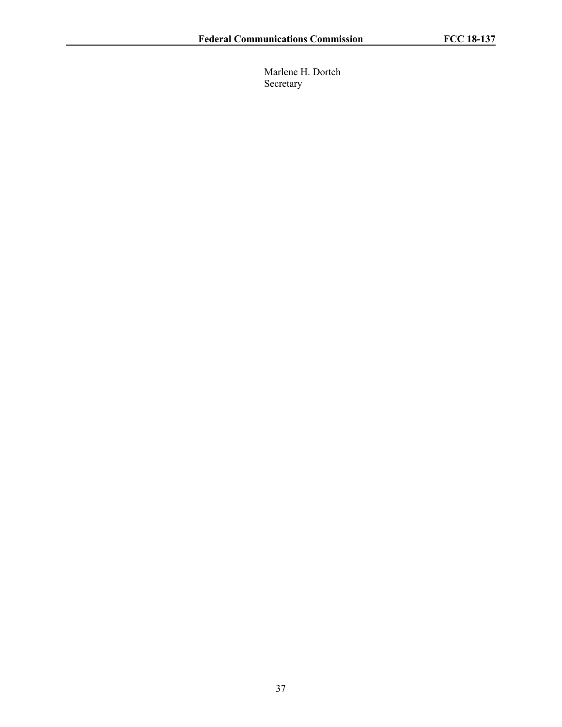Marlene H. Dortch Secretary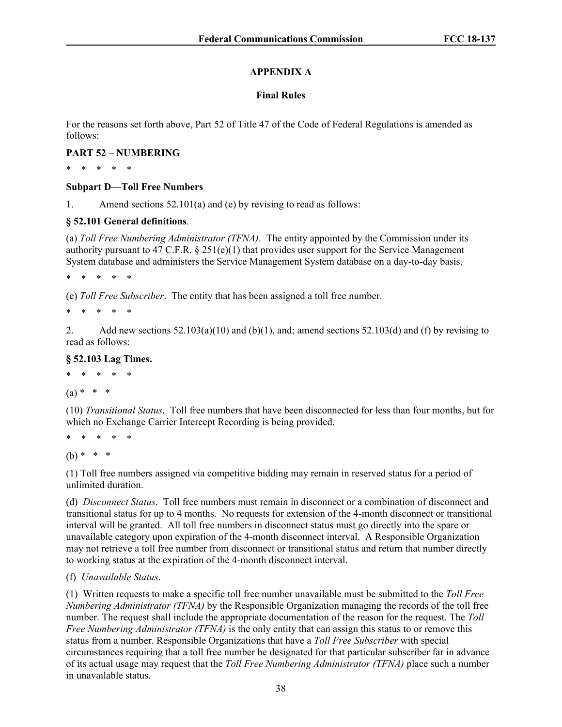# **APPENDIX A**

# **Final Rules**

For the reasons set forth above, Part 52 of Title 47 of the Code of Federal Regulations is amended as follows:

# **PART 52 – NUMBERING**

\* \* \* \* \*

# **Subpart D—Toll Free Numbers**

1. Amend sections 52.101(a) and (e) by revising to read as follows:

# **§ 52.101 General definitions**.

(a) *Toll Free Numbering Administrator (TFNA)*. The entity appointed by the Commission under its authority pursuant to 47 C.F.R.  $\S 251(e)(1)$  that provides user support for the Service Management System database and administers the Service Management System database on a day-to-day basis.

\* \* \* \* \*

(e) *Toll Free Subscriber*. The entity that has been assigned a toll free number.

\* \* \* \* \*

2. Add new sections  $52.103(a)(10)$  and (b)(1), and; amend sections  $52.103(d)$  and (f) by revising to read as follows:

# **§ 52.103 Lag Times.**

\* \* \* \* \*

# $(a) * * * *$

(10) *Transitional Status*. Toll free numbers that have been disconnected for less than four months, but for which no Exchange Carrier Intercept Recording is being provided.

\* \* \* \* \*

 $(b) * * * *$ 

(1) Toll free numbers assigned via competitive bidding may remain in reserved status for a period of unlimited duration.

(d) *Disconnect Status*. [Toll free numbers](https://www.law.cornell.edu/definitions/index.php?width=840&height=800&iframe=true&def_id=27937599a763402fe6149d227dd46d86&term_occur=16&term_src=Title:47:Chapter:I:Subchapter:B:Part:52:Subpart:D:52.103) must remain in disconnect or a combination of disconnect and transitional status for up to 4 months. No requests for extension of the 4-month disconnect or transitional interval will be granted. All [toll free numbers](https://www.law.cornell.edu/definitions/index.php?width=840&height=800&iframe=true&def_id=27937599a763402fe6149d227dd46d86&term_occur=17&term_src=Title:47:Chapter:I:Subchapter:B:Part:52:Subpart:D:52.103) in disconnect status must go directly into the spare or unavailable category upon expiration of the 4-month disconnect interval. A Responsible Organization may not retrieve a [toll free number](https://www.law.cornell.edu/definitions/index.php?width=840&height=800&iframe=true&def_id=27937599a763402fe6149d227dd46d86&term_occur=15&term_src=Title:47:Chapter:I:Subchapter:B:Part:52:Subpart:D:52.103) from disconnect or transitional status and return that number directly to working status at the expiration of the 4-month disconnect interval.

# (f) *Unavailable Status*.

(1) Written requests to make a specific toll free number unavailable must be submitted to the *Toll Free Numbering Administrator (TFNA)* by the Responsible Organization managing the records of the toll free number. The request shall include the appropriate documentation of the reason for the request. The *Toll Free Numbering Administrator (TFNA)* is the only entity that can assign this status to or remove this status from a number. Responsible Organizations that have a *Toll Free Subscriber* with special circumstances requiring that a toll free number be designated for that particular subscriber far in advance of its actual usage may request that the *Toll Free Numbering Administrator (TFNA)* place such a number in unavailable status.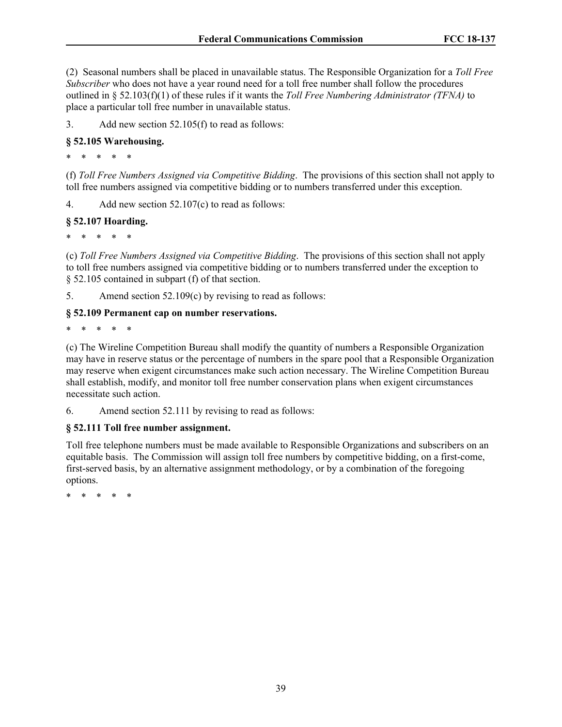(2) Seasonal numbers shall be placed in unavailable status. The Responsible Organization for a *Toll Free Subscriber* who does not have a year round need for a toll free number shall follow the procedures outlined in § 52.103(f)(1) of these rules if it wants the *Toll Free Numbering Administrator (TFNA)* to place a particular toll free number in unavailable status.

3. Add new section 52.105(f) to read as follows:

# **§ 52.105 Warehousing.**

\* \* \* \* \*

(f) *Toll Free Numbers Assigned via Competitive Bidding*. The provisions of this section shall not apply to toll free numbers assigned via competitive bidding or to numbers transferred under this exception.

4. Add new section 52.107(c) to read as follows:

## **§ 52.107 Hoarding.**

\* \* \* \* \*

(c) *Toll Free Numbers Assigned via Competitive Bidding*. The provisions of this section shall not apply to toll free numbers assigned via competitive bidding or to numbers transferred under the exception to § 52.105 contained in subpart (f) of that section.

5. Amend section 52.109(c) by revising to read as follows:

## **§ 52.109 Permanent cap on number reservations.**

\* \* \* \* \*

(c) The Wireline Competition Bureau shall modify the quantity of numbers a Responsible Organization may have in reserve status or the percentage of numbers in the spare pool that a Responsible Organization may reserve when exigent circumstances make such action necessary. The Wireline Competition Bureau shall establish, modify, and monitor [toll free number](https://www.law.cornell.edu/definitions/index.php?width=840&height=800&iframe=true&def_id=27937599a763402fe6149d227dd46d86&term_occur=3&term_src=Title:47:Chapter:I:Subchapter:B:Part:52:Subpart:D:52.109) conservation plans when exigent circumstances necessitate such action.

6. Amend section 52.111 by revising to read as follows:

# **§ 52.111 Toll free number assignment.**

Toll free telephone numbers must be made available to Responsible Organizations and subscribers on an equitable basis. The Commission will assign toll free numbers by competitive bidding, on a first-come, first-served basis, by an alternative assignment methodology, or by a combination of the foregoing options.

\* \* \* \* \*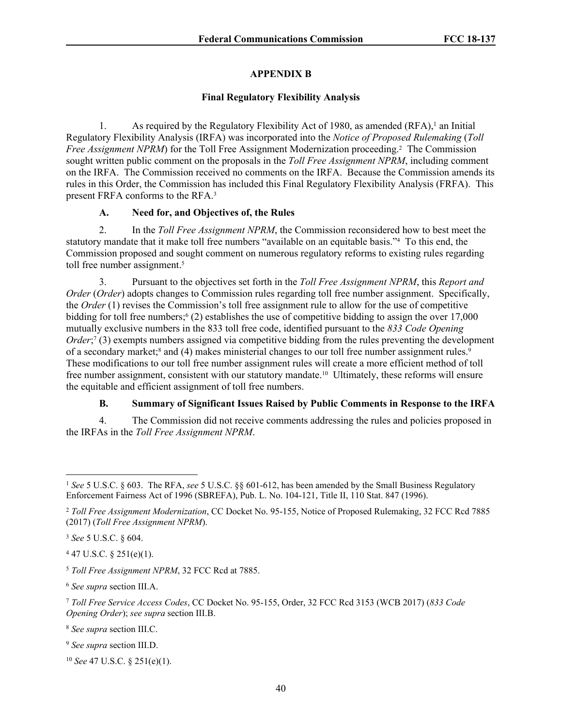# **APPENDIX B**

## **Final Regulatory Flexibility Analysis**

1. As required by the Regulatory Flexibility Act of 1980, as amended (RFA),<sup>1</sup> an Initial Regulatory Flexibility Analysis (IRFA) was incorporated into the *Notice of Proposed Rulemaking* (*Toll*  Free Assignment NPRM) for the Toll Free Assignment Modernization proceeding.<sup>2</sup> The Commission sought written public comment on the proposals in the *Toll Free Assignment NPRM*, including comment on the IRFA. The Commission received no comments on the IRFA. Because the Commission amends its rules in this Order, the Commission has included this Final Regulatory Flexibility Analysis (FRFA). This present FRFA conforms to the RFA.<sup>3</sup>

# **A. Need for, and Objectives of, the Rules**

2. In the *Toll Free Assignment NPRM*, the Commission reconsidered how to best meet the statutory mandate that it make toll free numbers "available on an equitable basis."<sup>4</sup> To this end, the Commission proposed and sought comment on numerous regulatory reforms to existing rules regarding toll free number assignment.<sup>5</sup>

3. Pursuant to the objectives set forth in the *Toll Free Assignment NPRM*, this *Report and Order* (*Order*) adopts changes to Commission rules regarding toll free number assignment. Specifically, the *Order* (1) revises the Commission's toll free assignment rule to allow for the use of competitive bidding for toll free numbers;<sup>6</sup> (2) establishes the use of competitive bidding to assign the over 17,000 mutually exclusive numbers in the 833 toll free code, identified pursuant to the *833 Code Opening Order*;<sup>7</sup> (3) exempts numbers assigned via competitive bidding from the rules preventing the development of a secondary market;<sup>8</sup> and (4) makes ministerial changes to our toll free number assignment rules.<sup>9</sup> These modifications to our toll free number assignment rules will create a more efficient method of toll free number assignment, consistent with our statutory mandate.10 Ultimately, these reforms will ensure the equitable and efficient assignment of toll free numbers.

# **B. Summary of Significant Issues Raised by Public Comments in Response to the IRFA**

4. The Commission did not receive comments addressing the rules and policies proposed in the IRFAs in the *Toll Free Assignment NPRM*.

 $447$  U.S.C. § 251(e)(1).

<sup>6</sup> *See supra* section III.A.

<sup>8</sup> *See supra* section III.C.

<sup>10</sup> *See* 47 U.S.C. § 251(e)(1).

<sup>1</sup> *See* 5 U.S.C. § 603. The RFA, *see* 5 U.S.C. §§ 601-612, has been amended by the Small Business Regulatory Enforcement Fairness Act of 1996 (SBREFA), Pub. L. No. 104-121, Title II, 110 Stat. 847 (1996).

<sup>2</sup> *Toll Free Assignment Modernization*, CC Docket No. 95-155, Notice of Proposed Rulemaking, 32 FCC Rcd 7885 (2017) (*Toll Free Assignment NPRM*).

<sup>3</sup> *See* 5 U.S.C. § 604.

<sup>5</sup> *Toll Free Assignment NPRM*, 32 FCC Rcd at 7885.

<sup>7</sup> *Toll Free Service Access Codes*, CC Docket No. 95-155, Order, 32 FCC Rcd 3153 (WCB 2017) (*833 Code Opening Order*); *see supra* section III.B.

<sup>9</sup> *See supra* section III.D.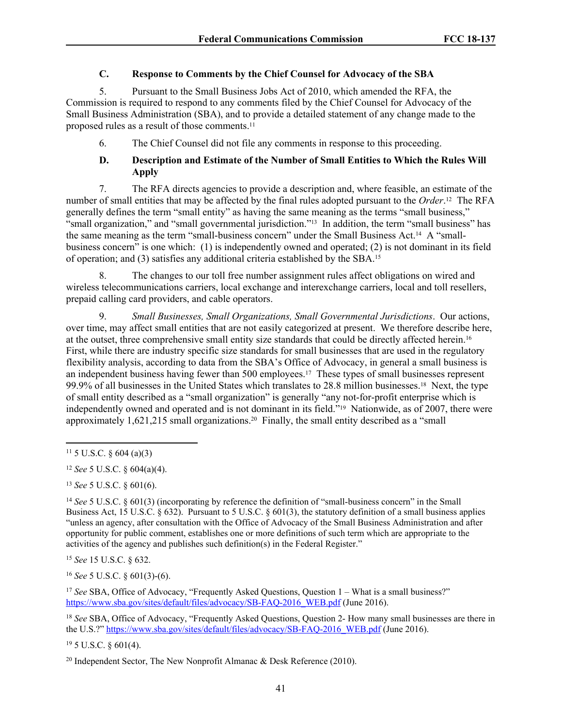## **C. Response to Comments by the Chief Counsel for Advocacy of the SBA**

5. Pursuant to the Small Business Jobs Act of 2010, which amended the RFA, the Commission is required to respond to any comments filed by the Chief Counsel for Advocacy of the Small Business Administration (SBA), and to provide a detailed statement of any change made to the proposed rules as a result of those comments.<sup>11</sup>

6. The Chief Counsel did not file any comments in response to this proceeding.

# **D. Description and Estimate of the Number of Small Entities to Which the Rules Will Apply**

7. The RFA directs agencies to provide a description and, where feasible, an estimate of the number of small entities that may be affected by the final rules adopted pursuant to the *Order*. <sup>12</sup> The RFA generally defines the term "small entity" as having the same meaning as the terms "small business," "small organization," and "small governmental jurisdiction."13 In addition, the term "small business" has the same meaning as the term "small-business concern" under the Small Business Act.14 A "smallbusiness concern" is one which: (1) is independently owned and operated; (2) is not dominant in its field of operation; and (3) satisfies any additional criteria established by the SBA.<sup>15</sup>

8. The changes to our toll free number assignment rules affect obligations on wired and wireless telecommunications carriers, local exchange and interexchange carriers, local and toll resellers, prepaid calling card providers, and cable operators.

9. *Small Businesses, Small Organizations, Small Governmental Jurisdictions*. Our actions, over time, may affect small entities that are not easily categorized at present. We therefore describe here, at the outset, three comprehensive small entity size standards that could be directly affected herein.<sup>16</sup> First, while there are industry specific size standards for small businesses that are used in the regulatory flexibility analysis, according to data from the SBA's Office of Advocacy, in general a small business is an independent business having fewer than 500 employees.17 These types of small businesses represent 99.9% of all businesses in the United States which translates to 28.8 million businesses.18 Next, the type of small entity described as a "small organization" is generally "any not-for-profit enterprise which is independently owned and operated and is not dominant in its field."19 Nationwide, as of 2007, there were approximately 1,621,215 small organizations.20 Finally, the small entity described as a "small

<sup>13</sup> *See* 5 U.S.C. § 601(6).

<sup>14</sup> *See* 5 U.S.C. § 601(3) (incorporating by reference the definition of "small-business concern" in the Small Business Act, 15 U.S.C. § 632). Pursuant to 5 U.S.C. § 601(3), the statutory definition of a small business applies "unless an agency, after consultation with the Office of Advocacy of the Small Business Administration and after opportunity for public comment, establishes one or more definitions of such term which are appropriate to the activities of the agency and publishes such definition(s) in the Federal Register."

<sup>15</sup> *See* 15 U.S.C. § 632.

<sup>16</sup> *See* 5 U.S.C. § 601(3)-(6).

<sup>17</sup> See SBA, Office of Advocacy, "Frequently Asked Questions, Question 1 – What is a small business?" [https://www.sba.gov/sites/default/files/advocacy/SB-FAQ-2016\\_WEB.pdf](https://www.sba.gov/sites/default/files/advocacy/SB-FAQ-2016_WEB.pdf) (June 2016).

<sup>18</sup> *See* SBA, Office of Advocacy, "Frequently Asked Questions, Question 2- How many small businesses are there in the U.S.?" [https://www.sba.gov/sites/default/files/advocacy/SB-FAQ-2016\\_WEB.pdf](https://www.sba.gov/sites/default/files/advocacy/SB-FAQ-2016_WEB.pdf) (June 2016).

<sup>19</sup> 5 U.S.C. § 601(4).

 $11\,5$  U.S.C. § 604 (a)(3)

<sup>12</sup> *See* 5 U.S.C. § 604(a)(4).

<sup>&</sup>lt;sup>20</sup> Independent Sector, The New Nonprofit Almanac  $\&$  Desk Reference (2010).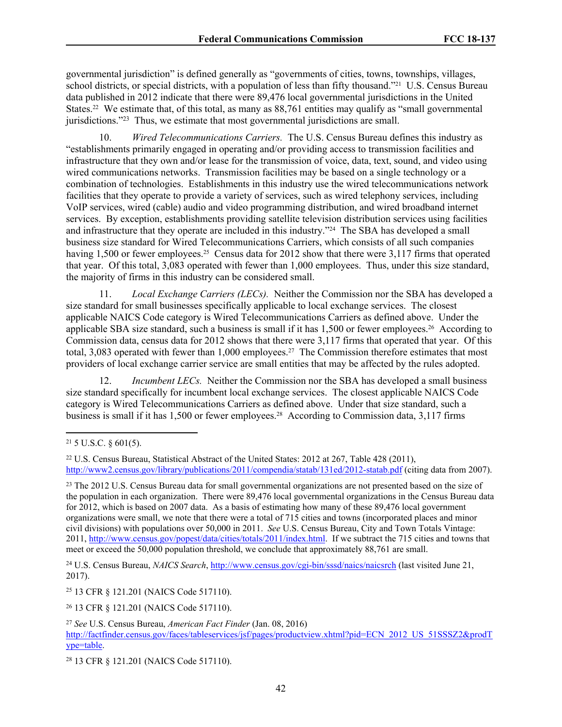governmental jurisdiction" is defined generally as "governments of cities, towns, townships, villages, school districts, or special districts, with a population of less than fifty thousand."21 U.S. Census Bureau data published in 2012 indicate that there were 89,476 local governmental jurisdictions in the United States.<sup>22</sup> We estimate that, of this total, as many as 88,761 entities may qualify as "small governmental jurisdictions."<sup>23</sup> Thus, we estimate that most governmental jurisdictions are small.

10. *Wired Telecommunications Carriers.* The U.S. Census Bureau defines this industry as "establishments primarily engaged in operating and/or providing access to transmission facilities and infrastructure that they own and/or lease for the transmission of voice, data, text, sound, and video using wired communications networks. Transmission facilities may be based on a single technology or a combination of technologies. Establishments in this industry use the wired telecommunications network facilities that they operate to provide a variety of services, such as wired telephony services, including VoIP services, wired (cable) audio and video programming distribution, and wired broadband internet services. By exception, establishments providing satellite television distribution services using facilities and infrastructure that they operate are included in this industry.<sup>"24</sup> The SBA has developed a small business size standard for Wired Telecommunications Carriers, which consists of all such companies having 1,500 or fewer employees.<sup>25</sup> Census data for 2012 show that there were 3,117 firms that operated that year. Of this total, 3,083 operated with fewer than 1,000 employees. Thus, under this size standard, the majority of firms in this industry can be considered small.

11. *Local Exchange Carriers (LECs).* Neither the Commission nor the SBA has developed a size standard for small businesses specifically applicable to local exchange services. The closest applicable NAICS Code category is Wired Telecommunications Carriers as defined above. Under the applicable SBA size standard, such a business is small if it has 1,500 or fewer employees.<sup>26</sup> According to Commission data, census data for 2012 shows that there were 3,117 firms that operated that year. Of this total, 3,083 operated with fewer than 1,000 employees.<sup>27</sup> The Commission therefore estimates that most providers of local exchange carrier service are small entities that may be affected by the rules adopted.

Incumbent LECs. Neither the Commission nor the SBA has developed a small business size standard specifically for incumbent local exchange services. The closest applicable NAICS Code category is Wired Telecommunications Carriers as defined above. Under that size standard, such a business is small if it has 1,500 or fewer employees.<sup>28</sup> According to Commission data, 3,117 firms

<sup>24</sup> U.S. Census Bureau, *NAICS Search*, *http://www.census.gov/cgi-bin/sssd/naics/naicsrch* (last visited June 21, 2017).

<sup>25</sup> 13 CFR § 121.201 (NAICS Code 517110).

<sup>26</sup> 13 CFR § 121.201 (NAICS Code 517110).

 $21$  5 U.S.C. § 601(5).

<sup>22</sup> U.S. Census Bureau, Statistical Abstract of the United States: 2012 at 267, Table 428 (2011), <http://www2.census.gov/library/publications/2011/compendia/statab/131ed/2012-statab.pdf> (citing data from 2007).

<sup>&</sup>lt;sup>23</sup> The 2012 U.S. Census Bureau data for small governmental organizations are not presented based on the size of the population in each organization. There were 89,476 local governmental organizations in the Census Bureau data for 2012, which is based on 2007 data. As a basis of estimating how many of these 89,476 local government organizations were small, we note that there were a total of 715 cities and towns (incorporated places and minor civil divisions) with populations over 50,000 in 2011. *See* U.S. Census Bureau, City and Town Totals Vintage: 2011, <http://www.census.gov/popest/data/cities/totals/2011/index.html>. If we subtract the 715 cities and towns that meet or exceed the 50,000 population threshold, we conclude that approximately 88,761 are small.

<sup>27</sup> *See* U.S. Census Bureau, *American Fact Finder* (Jan. 08, 2016)

[http://factfinder.census.gov/faces/tableservices/jsf/pages/productview.xhtml?pid=ECN\\_2012\\_US\\_51SSSZ2&prodT](http://factfinder.census.gov/faces/tableservices/jsf/pages/productview.xhtml?pid=ECN_2012_US_51SSSZ2&prodType=table) [ype=table.](http://factfinder.census.gov/faces/tableservices/jsf/pages/productview.xhtml?pid=ECN_2012_US_51SSSZ2&prodType=table)

<sup>28</sup> 13 CFR § 121.201 (NAICS Code 517110).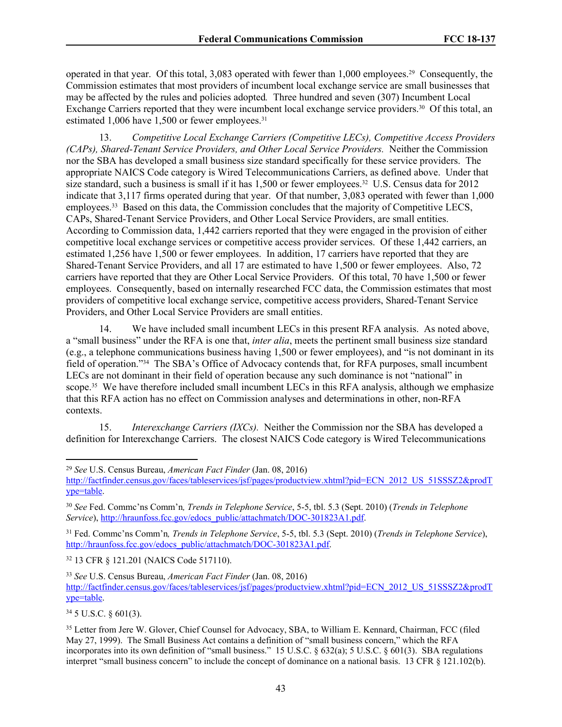operated in that year. Of this total, 3,083 operated with fewer than 1,000 employees.29 Consequently, the Commission estimates that most providers of incumbent local exchange service are small businesses that may be affected by the rules and policies adopted*.* Three hundred and seven (307) Incumbent Local Exchange Carriers reported that they were incumbent local exchange service providers.30 Of this total, an estimated 1,006 have 1,500 or fewer employees.<sup>31</sup>

13. *Competitive Local Exchange Carriers (Competitive LECs), Competitive Access Providers (CAPs), Shared-Tenant Service Providers, and Other Local Service Providers.* Neither the Commission nor the SBA has developed a small business size standard specifically for these service providers. The appropriate NAICS Code category is Wired Telecommunications Carriers, as defined above. Under that size standard, such a business is small if it has 1,500 or fewer employees.<sup>32</sup> U.S. Census data for 2012 indicate that 3,117 firms operated during that year. Of that number, 3,083 operated with fewer than 1,000 employees.33 Based on this data, the Commission concludes that the majority of Competitive LECS, CAPs, Shared-Tenant Service Providers, and Other Local Service Providers, are small entities. According to Commission data, 1,442 carriers reported that they were engaged in the provision of either competitive local exchange services or competitive access provider services. Of these 1,442 carriers, an estimated 1,256 have 1,500 or fewer employees. In addition, 17 carriers have reported that they are Shared-Tenant Service Providers, and all 17 are estimated to have 1,500 or fewer employees. Also, 72 carriers have reported that they are Other Local Service Providers. Of this total, 70 have 1,500 or fewer employees. Consequently, based on internally researched FCC data, the Commission estimates that most providers of competitive local exchange service, competitive access providers, Shared-Tenant Service Providers, and Other Local Service Providers are small entities.

14. We have included small incumbent LECs in this present RFA analysis. As noted above, a "small business" under the RFA is one that, *inter alia*, meets the pertinent small business size standard (e.g., a telephone communications business having 1,500 or fewer employees), and "is not dominant in its field of operation."34 The SBA's Office of Advocacy contends that, for RFA purposes, small incumbent LECs are not dominant in their field of operation because any such dominance is not "national" in scope.<sup>35</sup> We have therefore included small incumbent LECs in this RFA analysis, although we emphasize that this RFA action has no effect on Commission analyses and determinations in other, non-RFA contexts.

15. *Interexchange Carriers (IXCs).* Neither the Commission nor the SBA has developed a definition for Interexchange Carriers. The closest NAICS Code category is Wired Telecommunications

<sup>31</sup> Fed. Commc'ns Comm'n*, Trends in Telephone Service*, 5-5, tbl. 5.3 (Sept. 2010) (*Trends in Telephone Service*), [http://hraunfoss.fcc.gov/edocs\\_public/attachmatch/DOC-301823A1.pdf.](http://hraunfoss.fcc.gov/edocs_public/attachmatch/DOC-301823A1.pdf)

<sup>32</sup> 13 CFR § 121.201 (NAICS Code 517110).

<sup>34</sup> 5 U.S.C. § 601(3).

<sup>29</sup> *See* U.S. Census Bureau, *American Fact Finder* (Jan. 08, 2016)

[http://factfinder.census.gov/faces/tableservices/jsf/pages/productview.xhtml?pid=ECN\\_2012\\_US\\_51SSSZ2&prodT](http://factfinder.census.gov/faces/tableservices/jsf/pages/productview.xhtml?pid=ECN_2012_US_51SSSZ2&prodType=table) [ype=table.](http://factfinder.census.gov/faces/tableservices/jsf/pages/productview.xhtml?pid=ECN_2012_US_51SSSZ2&prodType=table)

<sup>30</sup> *See* Fed. Commc'ns Comm'n*, Trends in Telephone Service*, 5-5, tbl. 5.3 (Sept. 2010) (*Trends in Telephone Service*), [http://hraunfoss.fcc.gov/edocs\\_public/attachmatch/DOC-301823A1.pdf.](http://hraunfoss.fcc.gov/edocs_public/attachmatch/DOC-301823A1.pdf)

<sup>33</sup> *See* U.S. Census Bureau, *American Fact Finder* (Jan. 08, 2016) [http://factfinder.census.gov/faces/tableservices/jsf/pages/productview.xhtml?pid=ECN\\_2012\\_US\\_51SSSZ2&prodT](http://factfinder.census.gov/faces/tableservices/jsf/pages/productview.xhtml?pid=ECN_2012_US_51SSSZ2&prodType=table) [ype=table.](http://factfinder.census.gov/faces/tableservices/jsf/pages/productview.xhtml?pid=ECN_2012_US_51SSSZ2&prodType=table)

<sup>35</sup> Letter from Jere W. Glover, Chief Counsel for Advocacy, SBA, to William E. Kennard, Chairman, FCC (filed May 27, 1999). The Small Business Act contains a definition of "small business concern," which the RFA incorporates into its own definition of "small business." 15 U.S.C. § 632(a); 5 U.S.C. § 601(3). SBA regulations interpret "small business concern" to include the concept of dominance on a national basis. 13 CFR § 121.102(b).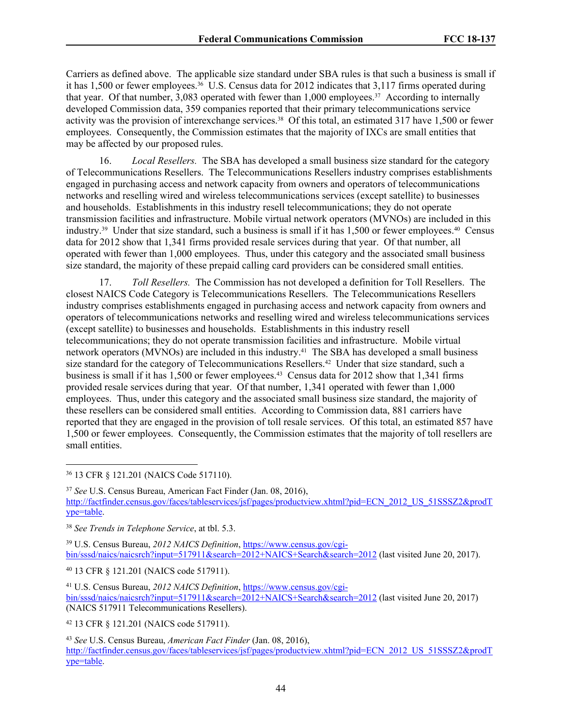Carriers as defined above. The applicable size standard under SBA rules is that such a business is small if it has 1,500 or fewer employees.36 U.S. Census data for 2012 indicates that 3,117 firms operated during that year. Of that number, 3,083 operated with fewer than 1,000 employees.37 According to internally developed Commission data, 359 companies reported that their primary telecommunications service activity was the provision of interexchange services.<sup>38</sup> Of this total, an estimated 317 have 1,500 or fewer employees. Consequently, the Commission estimates that the majority of IXCs are small entities that may be affected by our proposed rules.

16. *Local Resellers.* The SBA has developed a small business size standard for the category of Telecommunications Resellers. The Telecommunications Resellers industry comprises establishments engaged in purchasing access and network capacity from owners and operators of telecommunications networks and reselling wired and wireless telecommunications services (except satellite) to businesses and households. Establishments in this industry resell telecommunications; they do not operate transmission facilities and infrastructure. Mobile virtual network operators (MVNOs) are included in this industry.39 Under that size standard, such a business is small if it has 1,500 or fewer employees.40 Census data for 2012 show that 1,341 firms provided resale services during that year. Of that number, all operated with fewer than 1,000 employees. Thus, under this category and the associated small business size standard, the majority of these prepaid calling card providers can be considered small entities.

17. *Toll Resellers.* The Commission has not developed a definition for Toll Resellers. The closest NAICS Code Category is Telecommunications Resellers. The Telecommunications Resellers industry comprises establishments engaged in purchasing access and network capacity from owners and operators of telecommunications networks and reselling wired and wireless telecommunications services (except satellite) to businesses and households. Establishments in this industry resell telecommunications; they do not operate transmission facilities and infrastructure. Mobile virtual network operators (MVNOs) are included in this industry.<sup>41</sup> The SBA has developed a small business size standard for the category of Telecommunications Resellers.<sup>42</sup> Under that size standard, such a business is small if it has 1,500 or fewer employees.43 Census data for 2012 show that 1,341 firms provided resale services during that year. Of that number, 1,341 operated with fewer than 1,000 employees. Thus, under this category and the associated small business size standard, the majority of these resellers can be considered small entities. According to Commission data, 881 carriers have reported that they are engaged in the provision of toll resale services. Of this total, an estimated 857 have 1,500 or fewer employees. Consequently, the Commission estimates that the majority of toll resellers are small entities.

<sup>36</sup> 13 CFR § 121.201 (NAICS Code 517110).

<sup>37</sup> *See* U.S. Census Bureau, American Fact Finder (Jan. 08, 2016), [http://factfinder.census.gov/faces/tableservices/jsf/pages/productview.xhtml?pid=ECN\\_2012\\_US\\_51SSSZ2&prodT](http://factfinder.census.gov/faces/tableservices/jsf/pages/productview.xhtml?pid=ECN_2012_US_51SSSZ2&prodType=table) [ype=table.](http://factfinder.census.gov/faces/tableservices/jsf/pages/productview.xhtml?pid=ECN_2012_US_51SSSZ2&prodType=table)

39 U.S. Census Bureau, *2012 NAICS Definition*, [https://www.census.gov/cgi](https://www.census.gov/cgi-bin/sssd/naics/naicsrch?input=517911&search=2012+NAICS+Search&search=2012)[bin/sssd/naics/naicsrch?input=517911&search=2012+NAICS+Search&search=2012](https://www.census.gov/cgi-bin/sssd/naics/naicsrch?input=517911&search=2012+NAICS+Search&search=2012) (last visited June 20, 2017).

<sup>40</sup> 13 CFR § 121.201 (NAICS code 517911).

41 U.S. Census Bureau, *2012 NAICS Definition*, [https://www.census.gov/cgi](https://www.census.gov/cgi-bin/sssd/naics/naicsrch?input=517911&search=2012+NAICS+Search&search=2012)[bin/sssd/naics/naicsrch?input=517911&search=2012+NAICS+Search&search=2012](https://www.census.gov/cgi-bin/sssd/naics/naicsrch?input=517911&search=2012+NAICS+Search&search=2012) (last visited June 20, 2017) (NAICS 517911 Telecommunications Resellers).

<sup>42</sup> 13 CFR § 121.201 (NAICS code 517911).

<sup>43</sup> *See* U.S. Census Bureau, *American Fact Finder* (Jan. 08, 2016), [http://factfinder.census.gov/faces/tableservices/jsf/pages/productview.xhtml?pid=ECN\\_2012\\_US\\_51SSSZ2&prodT](http://factfinder.census.gov/faces/tableservices/jsf/pages/productview.xhtml?pid=ECN_2012_US_51SSSZ2&prodType=table) [ype=table.](http://factfinder.census.gov/faces/tableservices/jsf/pages/productview.xhtml?pid=ECN_2012_US_51SSSZ2&prodType=table)

<sup>38</sup> *See Trends in Telephone Service*, at tbl. 5.3.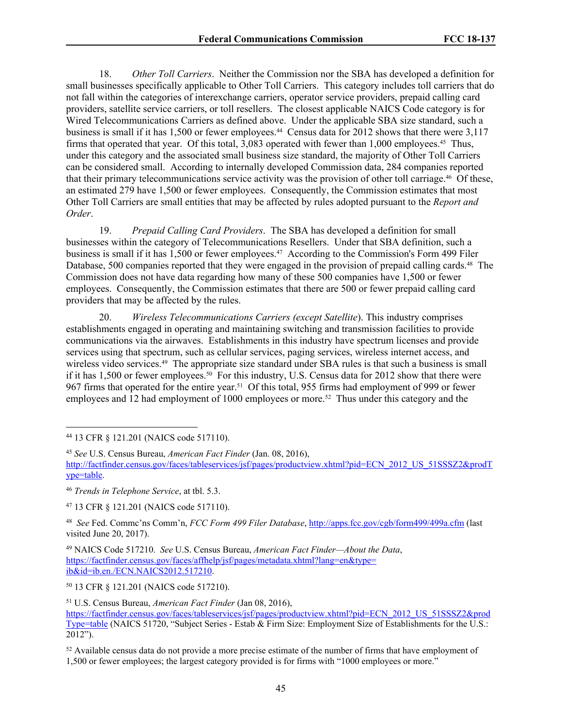18. *Other Toll Carriers*. Neither the Commission nor the SBA has developed a definition for small businesses specifically applicable to Other Toll Carriers. This category includes toll carriers that do not fall within the categories of interexchange carriers, operator service providers, prepaid calling card providers, satellite service carriers, or toll resellers. The closest applicable NAICS Code category is for Wired Telecommunications Carriers as defined above. Under the applicable SBA size standard, such a business is small if it has 1,500 or fewer employees.<sup>44</sup> Census data for 2012 shows that there were 3,117 firms that operated that year. Of this total, 3,083 operated with fewer than 1,000 employees.45 Thus, under this category and the associated small business size standard, the majority of Other Toll Carriers can be considered small. According to internally developed Commission data, 284 companies reported that their primary telecommunications service activity was the provision of other toll carriage.46 Of these, an estimated 279 have 1,500 or fewer employees. Consequently, the Commission estimates that most Other Toll Carriers are small entities that may be affected by rules adopted pursuant to the *Report and Order*.

19. *Prepaid Calling Card Providers*. The SBA has developed a definition for small businesses within the category of Telecommunications Resellers. Under that SBA definition, such a business is small if it has 1,500 or fewer employees.47 According to the Commission's Form 499 Filer Database, 500 companies reported that they were engaged in the provision of prepaid calling cards.<sup>48</sup> The Commission does not have data regarding how many of these 500 companies have 1,500 or fewer employees. Consequently, the Commission estimates that there are 500 or fewer prepaid calling card providers that may be affected by the rules.

20. *Wireless Telecommunications Carriers (except Satellite*). This industry comprises establishments engaged in operating and maintaining switching and transmission facilities to provide communications via the airwaves. Establishments in this industry have spectrum licenses and provide services using that spectrum, such as cellular services, paging services, wireless internet access, and wireless video services.<sup>49</sup> The appropriate size standard under SBA rules is that such a business is small if it has 1,500 or fewer employees.50 For this industry, U.S. Census data for 2012 show that there were 967 firms that operated for the entire year.51 Of this total, 955 firms had employment of 999 or fewer employees and 12 had employment of 1000 employees or more.<sup>52</sup> Thus under this category and the

<sup>47</sup> 13 CFR § 121.201 (NAICS code 517110).

48 *See* Fed. Commc'ns Comm'n, *FCC Form 499 Filer Database*, <http://apps.fcc.gov/cgb/form499/499a.cfm>(last visited June 20, 2017).

<sup>49</sup> NAICS Code 517210. *See* U.S. Census Bureau, *American Fact Finder—About the Data*, [https://factfinder.census.gov/faces/affhelp/jsf/pages/metadata.xhtml?lang=en&type=](https://factfinder.census.gov/faces/affhelp/jsf/pages/metadata.xhtml?lang=en&type=ib&id=ib.en./ECN.NAICS2012.517210) [ib&id=ib.en./ECN.NAICS2012.517210.](https://factfinder.census.gov/faces/affhelp/jsf/pages/metadata.xhtml?lang=en&type=ib&id=ib.en./ECN.NAICS2012.517210)

<sup>50</sup> 13 CFR § 121.201 (NAICS code 517210).

<sup>51</sup> U.S. Census Bureau, *American Fact Finder* (Jan 08, 2016),

<sup>44</sup> 13 CFR § 121.201 (NAICS code 517110).

<sup>45</sup> *See* U.S. Census Bureau, *American Fact Finder* (Jan. 08, 2016), [http://factfinder.census.gov/faces/tableservices/jsf/pages/productview.xhtml?pid=ECN\\_2012\\_US\\_51SSSZ2&prodT](http://factfinder.census.gov/faces/tableservices/jsf/pages/productview.xhtml?pid=ECN_2012_US_51SSSZ2&prodType=table) [ype=table.](http://factfinder.census.gov/faces/tableservices/jsf/pages/productview.xhtml?pid=ECN_2012_US_51SSSZ2&prodType=table)

<sup>46</sup> *Trends in Telephone Service*, at tbl. 5.3.

[https://factfinder.census.gov/faces/tableservices/jsf/pages/productview.xhtml?pid=ECN\\_2012\\_US\\_51SSSZ2&prod](https://factfinder.census.gov/faces/tableservices/jsf/pages/productview.xhtml?pid=ECN_2012_US_51SSSZ2&prodType=table) [Type=table](https://factfinder.census.gov/faces/tableservices/jsf/pages/productview.xhtml?pid=ECN_2012_US_51SSSZ2&prodType=table) (NAICS 51720, "Subject Series - Estab & Firm Size: Employment Size of Establishments for the U.S.: 2012").

<sup>&</sup>lt;sup>52</sup> Available census data do not provide a more precise estimate of the number of firms that have employment of 1,500 or fewer employees; the largest category provided is for firms with "1000 employees or more."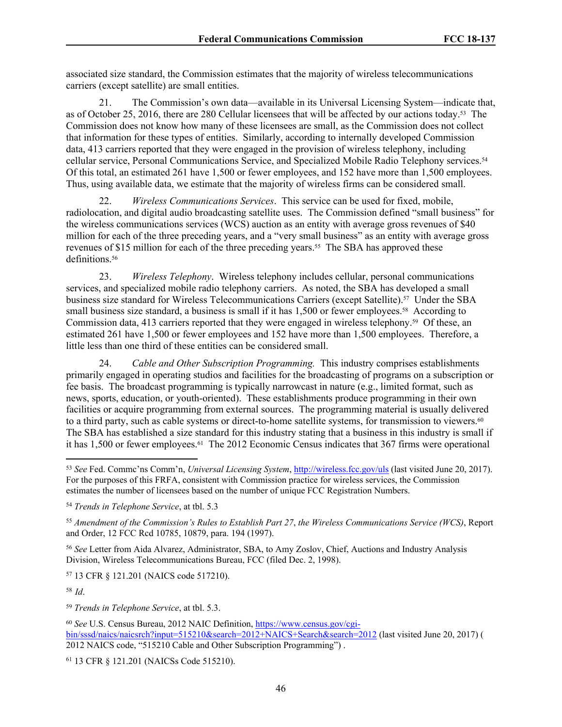associated size standard, the Commission estimates that the majority of wireless telecommunications carriers (except satellite) are small entities.

21. The Commission's own data—available in its Universal Licensing System—indicate that, as of October 25, 2016, there are 280 Cellular licensees that will be affected by our actions today.53 The Commission does not know how many of these licensees are small, as the Commission does not collect that information for these types of entities. Similarly, according to internally developed Commission data, 413 carriers reported that they were engaged in the provision of wireless telephony, including cellular service, Personal Communications Service, and Specialized Mobile Radio Telephony services.<sup>54</sup> Of this total, an estimated 261 have 1,500 or fewer employees, and 152 have more than 1,500 employees. Thus, using available data, we estimate that the majority of wireless firms can be considered small.

22. *Wireless Communications Services*. This service can be used for fixed, mobile, radiolocation, and digital audio broadcasting satellite uses. The Commission defined "small business" for the wireless communications services (WCS) auction as an entity with average gross revenues of \$40 million for each of the three preceding years, and a "very small business" as an entity with average gross revenues of \$15 million for each of the three preceding years.55 The SBA has approved these definitions.<sup>56</sup>

23. *Wireless Telephony*. Wireless telephony includes cellular, personal communications services, and specialized mobile radio telephony carriers. As noted, the SBA has developed a small business size standard for Wireless Telecommunications Carriers (except Satellite).57 Under the SBA small business size standard, a business is small if it has 1,500 or fewer employees.<sup>58</sup> According to Commission data, 413 carriers reported that they were engaged in wireless telephony.59 Of these, an estimated 261 have 1,500 or fewer employees and 152 have more than 1,500 employees. Therefore, a little less than one third of these entities can be considered small.

24. *Cable and Other Subscription Programming.* This industry comprises establishments primarily engaged in operating studios and facilities for the broadcasting of programs on a subscription or fee basis. The broadcast programming is typically narrowcast in nature (e.g., limited format, such as news, sports, education, or youth-oriented). These establishments produce programming in their own facilities or acquire programming from external sources. The programming material is usually delivered to a third party, such as cable systems or direct-to-home satellite systems, for transmission to viewers.<sup>60</sup> The SBA has established a size standard for this industry stating that a business in this industry is small if it has 1,500 or fewer employees.<sup>61</sup> The 2012 Economic Census indicates that 367 firms were operational

<sup>56</sup> *See* Letter from Aida Alvarez, Administrator, SBA, to Amy Zoslov, Chief, Auctions and Industry Analysis Division, Wireless Telecommunications Bureau, FCC (filed Dec. 2, 1998).

<sup>57</sup> 13 CFR § 121.201 (NAICS code 517210).

<sup>58</sup>*Id*.

<sup>59</sup> *Trends in Telephone Service*, at tbl. 5.3.

<sup>53</sup> *See* Fed. Commc'ns Comm'n, *Universal Licensing System*,<http://wireless.fcc.gov/uls>(last visited June 20, 2017). For the purposes of this FRFA, consistent with Commission practice for wireless services, the Commission estimates the number of licensees based on the number of unique FCC Registration Numbers.

<sup>54</sup> *Trends in Telephone Service*, at tbl. 5.3

<sup>55</sup> *Amendment of the Commission's Rules to Establish Part 27*, *the Wireless Communications Service (WCS)*, Report and Order, 12 FCC Rcd 10785, 10879, para. 194 (1997).

<sup>60</sup> *See* U.S. Census Bureau, 2012 NAIC Definition, [https://www.census.gov/cgi](https://www.census.gov/cgi-bin/sssd/naics/naicsrch?input=515210&search=2012+NAICS+Search&search=2012)[bin/sssd/naics/naicsrch?input=515210&search=2012+NAICS+Search&search=2012](https://www.census.gov/cgi-bin/sssd/naics/naicsrch?input=515210&search=2012+NAICS+Search&search=2012) (last visited June 20, 2017) ( 2012 NAICS code, "515210 Cable and Other Subscription Programming") .

<sup>61</sup> 13 CFR § 121.201 (NAICSs Code 515210).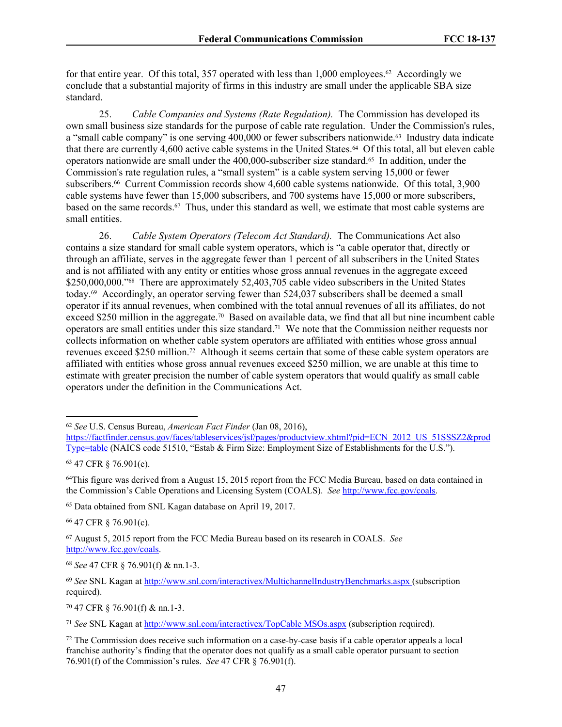for that entire year. Of this total, 357 operated with less than  $1,000$  employees.<sup>62</sup> Accordingly we conclude that a substantial majority of firms in this industry are small under the applicable SBA size standard.

25. *Cable Companies and Systems (Rate Regulation).* The Commission has developed its own small business size standards for the purpose of cable rate regulation. Under the Commission's rules, a "small cable company" is one serving 400,000 or fewer subscribers nationwide.63 Industry data indicate that there are currently 4,600 active cable systems in the United States.64 Of this total, all but eleven cable operators nationwide are small under the 400,000-subscriber size standard.65 In addition, under the Commission's rate regulation rules, a "small system" is a cable system serving 15,000 or fewer subscribers.<sup>66</sup> Current Commission records show 4,600 cable systems nationwide. Of this total, 3,900 cable systems have fewer than 15,000 subscribers, and 700 systems have 15,000 or more subscribers, based on the same records.67 Thus, under this standard as well, we estimate that most cable systems are small entities.

26. *Cable System Operators (Telecom Act Standard).* The Communications Act also contains a size standard for small cable system operators, which is "a cable operator that, directly or through an affiliate, serves in the aggregate fewer than 1 percent of all subscribers in the United States and is not affiliated with any entity or entities whose gross annual revenues in the aggregate exceed \$250,000,000."<sup>68</sup> There are approximately 52,403,705 cable video subscribers in the United States today.69 Accordingly, an operator serving fewer than 524,037 subscribers shall be deemed a small operator if its annual revenues, when combined with the total annual revenues of all its affiliates, do not exceed \$250 million in the aggregate.<sup>70</sup> Based on available data, we find that all but nine incumbent cable operators are small entities under this size standard.71 We note that the Commission neither requests nor collects information on whether cable system operators are affiliated with entities whose gross annual revenues exceed \$250 million.72 Although it seems certain that some of these cable system operators are affiliated with entities whose gross annual revenues exceed \$250 million, we are unable at this time to estimate with greater precision the number of cable system operators that would qualify as small cable operators under the definition in the Communications Act.

<sup>66</sup> 47 CFR § 76.901(c).

<sup>67</sup> August 5, 2015 report from the FCC Media Bureau based on its research in COALS. *See* <http://www.fcc.gov/coals>.

<sup>70</sup> 47 CFR § 76.901(f) & nn.1-3.

<sup>62</sup> *See* U.S. Census Bureau, *American Fact Finder* (Jan 08, 2016),

[https://factfinder.census.gov/faces/tableservices/jsf/pages/productview.xhtml?pid=ECN\\_2012\\_US\\_51SSSZ2&prod](https://factfinder.census.gov/faces/tableservices/jsf/pages/productview.xhtml?pid=ECN_2012_US_51SSSZ2&prodType=table) [Type=table](https://factfinder.census.gov/faces/tableservices/jsf/pages/productview.xhtml?pid=ECN_2012_US_51SSSZ2&prodType=table) (NAICS code 51510, "Estab & Firm Size: Employment Size of Establishments for the U.S.").

<sup>63</sup> 47 CFR § 76.901(e).

<sup>64</sup>This figure was derived from a August 15, 2015 report from the FCC Media Bureau, based on data contained in the Commission's Cable Operations and Licensing System (COALS). *See* <http://www.fcc.gov/coals>.

<sup>65</sup> Data obtained from SNL Kagan database on April 19, 2017.

<sup>68</sup> *See* 47 CFR § 76.901(f) & nn.1-3.

<sup>69</sup> *See* SNL Kagan at<http://www.snl.com/interactivex/MultichannelIndustryBenchmarks.aspx>(subscription required).

<sup>71</sup> *See* SNL Kagan at [http://www.snl.com/interactivex/TopCable MSOs.aspx](http://www.snl.com/interactivex/TopCable%20MSOs.aspx) (subscription required).

 $72$  The Commission does receive such information on a case-by-case basis if a cable operator appeals a local franchise authority's finding that the operator does not qualify as a small cable operator pursuant to section 76.901(f) of the Commission's rules. *See* 47 CFR § 76.901(f).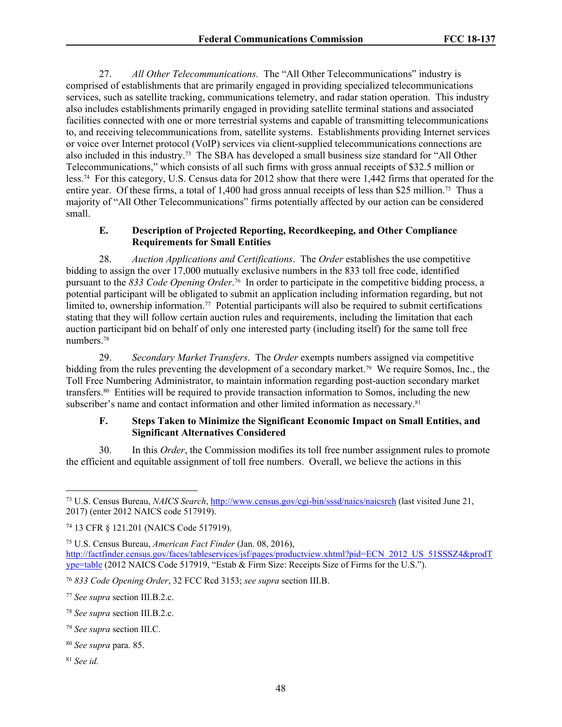27. *All Other Telecommunications.* The "All Other Telecommunications" industry is comprised of establishments that are primarily engaged in providing specialized telecommunications services, such as satellite tracking, communications telemetry, and radar station operation. This industry also includes establishments primarily engaged in providing satellite terminal stations and associated facilities connected with one or more terrestrial systems and capable of transmitting telecommunications to, and receiving telecommunications from, satellite systems. Establishments providing Internet services or voice over Internet protocol (VoIP) services via client-supplied telecommunications connections are also included in this industry.73 The SBA has developed a small business size standard for "All Other Telecommunications," which consists of all such firms with gross annual receipts of \$32.5 million or less.74 For this category, U.S. Census data for 2012 show that there were 1,442 firms that operated for the entire year. Of these firms, a total of 1,400 had gross annual receipts of less than \$25 million.75 Thus a majority of "All Other Telecommunications" firms potentially affected by our action can be considered small.

### **E. Description of Projected Reporting, Recordkeeping, and Other Compliance Requirements for Small Entities**

28. *Auction Applications and Certifications*. The *Order* establishes the use competitive bidding to assign the over 17,000 mutually exclusive numbers in the 833 toll free code, identified pursuant to the *833 Code Opening Order*. <sup>76</sup> In order to participate in the competitive bidding process, a potential participant will be obligated to submit an application including information regarding, but not limited to, ownership information.<sup>77</sup> Potential participants will also be required to submit certifications stating that they will follow certain auction rules and requirements, including the limitation that each auction participant bid on behalf of only one interested party (including itself) for the same toll free numbers.<sup>78</sup>

29. *Secondary Market Transfers*. The *Order* exempts numbers assigned via competitive bidding from the rules preventing the development of a secondary market.79 We require Somos, Inc., the Toll Free Numbering Administrator, to maintain information regarding post-auction secondary market transfers.80 Entities will be required to provide transaction information to Somos, including the new subscriber's name and contact information and other limited information as necessary.<sup>81</sup>

### **F. Steps Taken to Minimize the Significant Economic Impact on Small Entities, and Significant Alternatives Considered**

30. In this *Order*, the Commission modifies its toll free number assignment rules to promote the efficient and equitable assignment of toll free numbers. Overall, we believe the actions in this

<sup>73</sup> U.S. Census Bureau, *NAICS Search*, <http://www.census.gov/cgi-bin/sssd/naics/naicsrch>(last visited June 21, 2017) (enter 2012 NAICS code 517919).

<sup>74</sup> 13 CFR § 121.201 (NAICS Code 517919).

<sup>75</sup> U.S. Census Bureau, *American Fact Finder* (Jan. 08, 2016), [http://factfinder.census.gov/faces/tableservices/jsf/pages/productview.xhtml?pid=ECN\\_2012\\_US\\_51SSSZ4&prodT](http://factfinder.census.gov/faces/tableservices/jsf/pages/productview.xhtml?pid=ECN_2012_US_51SSSZ4&prodType=table) [ype=table](http://factfinder.census.gov/faces/tableservices/jsf/pages/productview.xhtml?pid=ECN_2012_US_51SSSZ4&prodType=table) (2012 NAICS Code 517919, "Estab & Firm Size: Receipts Size of Firms for the U.S.").

<sup>76</sup> *833 Code Opening Order*, 32 FCC Rcd 3153; *see supra* section III.B.

<sup>77</sup> *See supra* section III.B.2.c.

<sup>78</sup> *See supra* section III.B.2.c.

<sup>79</sup> *See supra* section III.C.

<sup>80</sup> *See supra* para. 85.

<sup>81</sup> *See id.*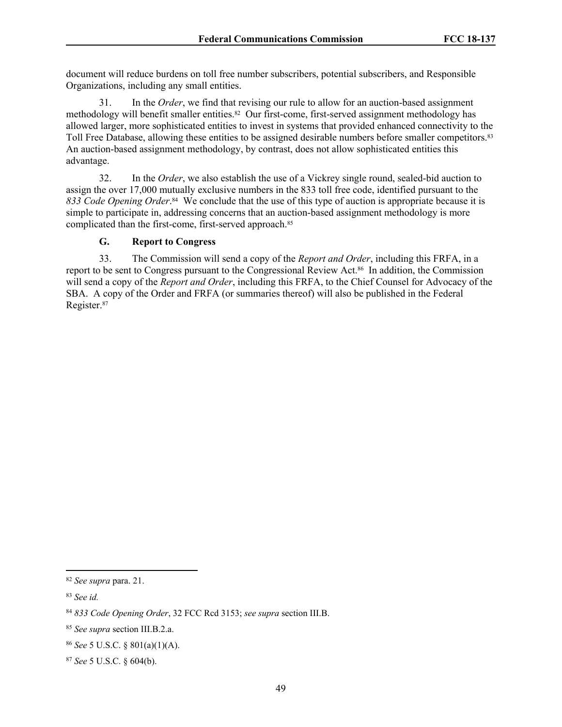document will reduce burdens on toll free number subscribers, potential subscribers, and Responsible Organizations, including any small entities.

31. In the *Order*, we find that revising our rule to allow for an auction-based assignment methodology will benefit smaller entities.82 Our first-come, first-served assignment methodology has allowed larger, more sophisticated entities to invest in systems that provided enhanced connectivity to the Toll Free Database, allowing these entities to be assigned desirable numbers before smaller competitors.<sup>83</sup> An auction-based assignment methodology, by contrast, does not allow sophisticated entities this advantage.

32. In the *Order*, we also establish the use of a Vickrey single round, sealed-bid auction to assign the over 17,000 mutually exclusive numbers in the 833 toll free code, identified pursuant to the 833 Code Opening Order.<sup>84</sup> We conclude that the use of this type of auction is appropriate because it is simple to participate in, addressing concerns that an auction-based assignment methodology is more complicated than the first-come, first-served approach.<sup>85</sup>

## **G. Report to Congress**

33. The Commission will send a copy of the *Report and Order*, including this FRFA, in a report to be sent to Congress pursuant to the Congressional Review Act.86 In addition, the Commission will send a copy of the *Report and Order*, including this FRFA, to the Chief Counsel for Advocacy of the SBA. A copy of the Order and FRFA (or summaries thereof) will also be published in the Federal Register.<sup>87</sup>

<sup>82</sup> *See supra* para. 21.

<sup>83</sup> *See id.*

<sup>84</sup> *833 Code Opening Order*, 32 FCC Rcd 3153; *see supra* section III.B.

<sup>85</sup> *See supra* section III.B.2.a.

<sup>86</sup> *See* 5 U.S.C. § 801(a)(1)(A).

<sup>87</sup> *See* 5 U.S.C. § 604(b).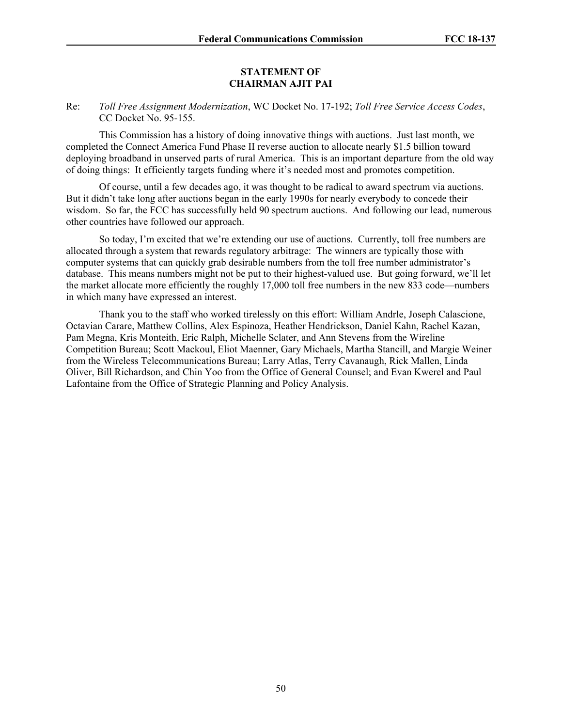#### **STATEMENT OF CHAIRMAN AJIT PAI**

### Re: *Toll Free Assignment Modernization*, WC Docket No. 17-192; *Toll Free Service Access Codes*, CC Docket No. 95-155.

This Commission has a history of doing innovative things with auctions. Just last month, we completed the Connect America Fund Phase II reverse auction to allocate nearly \$1.5 billion toward deploying broadband in unserved parts of rural America. This is an important departure from the old way of doing things: It efficiently targets funding where it's needed most and promotes competition.

Of course, until a few decades ago, it was thought to be radical to award spectrum via auctions. But it didn't take long after auctions began in the early 1990s for nearly everybody to concede their wisdom. So far, the FCC has successfully held 90 spectrum auctions. And following our lead, numerous other countries have followed our approach.

So today, I'm excited that we're extending our use of auctions. Currently, toll free numbers are allocated through a system that rewards regulatory arbitrage: The winners are typically those with computer systems that can quickly grab desirable numbers from the toll free number administrator's database. This means numbers might not be put to their highest-valued use. But going forward, we'll let the market allocate more efficiently the roughly 17,000 toll free numbers in the new 833 code—numbers in which many have expressed an interest.

Thank you to the staff who worked tirelessly on this effort: William Andrle, Joseph Calascione, Octavian Carare, Matthew Collins, Alex Espinoza, Heather Hendrickson, Daniel Kahn, Rachel Kazan, Pam Megna, Kris Monteith, Eric Ralph, Michelle Sclater, and Ann Stevens from the Wireline Competition Bureau; Scott Mackoul, Eliot Maenner, Gary Michaels, Martha Stancill, and Margie Weiner from the Wireless Telecommunications Bureau; Larry Atlas, Terry Cavanaugh, Rick Mallen, Linda Oliver, Bill Richardson, and Chin Yoo from the Office of General Counsel; and Evan Kwerel and Paul Lafontaine from the Office of Strategic Planning and Policy Analysis.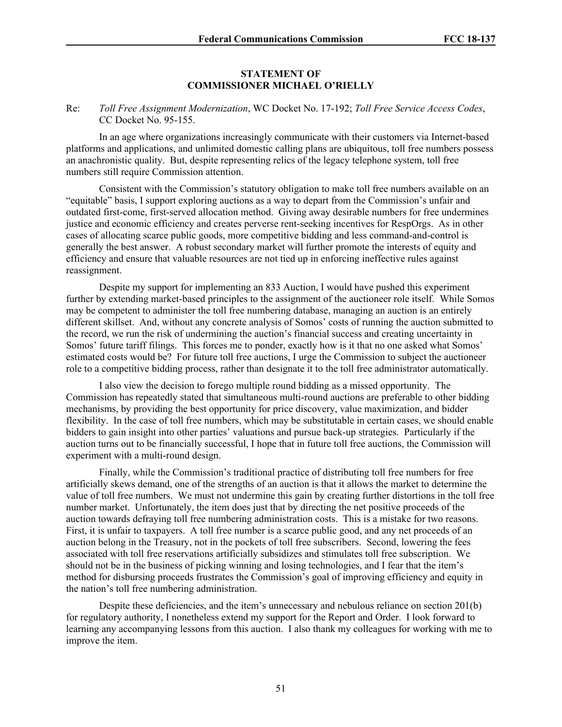### **STATEMENT OF COMMISSIONER MICHAEL O'RIELLY**

### Re: *Toll Free Assignment Modernization*, WC Docket No. 17-192; *Toll Free Service Access Codes*, CC Docket No. 95-155.

In an age where organizations increasingly communicate with their customers via Internet-based platforms and applications, and unlimited domestic calling plans are ubiquitous, toll free numbers possess an anachronistic quality. But, despite representing relics of the legacy telephone system, toll free numbers still require Commission attention.

Consistent with the Commission's statutory obligation to make toll free numbers available on an "equitable" basis, I support exploring auctions as a way to depart from the Commission's unfair and outdated first-come, first-served allocation method. Giving away desirable numbers for free undermines justice and economic efficiency and creates perverse rent-seeking incentives for RespOrgs. As in other cases of allocating scarce public goods, more competitive bidding and less command-and-control is generally the best answer. A robust secondary market will further promote the interests of equity and efficiency and ensure that valuable resources are not tied up in enforcing ineffective rules against reassignment.

Despite my support for implementing an 833 Auction, I would have pushed this experiment further by extending market-based principles to the assignment of the auctioneer role itself. While Somos may be competent to administer the toll free numbering database, managing an auction is an entirely different skillset. And, without any concrete analysis of Somos' costs of running the auction submitted to the record, we run the risk of undermining the auction's financial success and creating uncertainty in Somos' future tariff filings. This forces me to ponder, exactly how is it that no one asked what Somos' estimated costs would be? For future toll free auctions, I urge the Commission to subject the auctioneer role to a competitive bidding process, rather than designate it to the toll free administrator automatically.

I also view the decision to forego multiple round bidding as a missed opportunity. The Commission has repeatedly stated that simultaneous multi-round auctions are preferable to other bidding mechanisms, by providing the best opportunity for price discovery, value maximization, and bidder flexibility. In the case of toll free numbers, which may be substitutable in certain cases, we should enable bidders to gain insight into other parties' valuations and pursue back-up strategies. Particularly if the auction turns out to be financially successful, I hope that in future toll free auctions, the Commission will experiment with a multi-round design.

Finally, while the Commission's traditional practice of distributing toll free numbers for free artificially skews demand, one of the strengths of an auction is that it allows the market to determine the value of toll free numbers. We must not undermine this gain by creating further distortions in the toll free number market. Unfortunately, the item does just that by directing the net positive proceeds of the auction towards defraying toll free numbering administration costs. This is a mistake for two reasons. First, it is unfair to taxpayers. A toll free number is a scarce public good, and any net proceeds of an auction belong in the Treasury, not in the pockets of toll free subscribers. Second, lowering the fees associated with toll free reservations artificially subsidizes and stimulates toll free subscription. We should not be in the business of picking winning and losing technologies, and I fear that the item's method for disbursing proceeds frustrates the Commission's goal of improving efficiency and equity in the nation's toll free numbering administration.

Despite these deficiencies, and the item's unnecessary and nebulous reliance on section 201(b) for regulatory authority, I nonetheless extend my support for the Report and Order. I look forward to learning any accompanying lessons from this auction. I also thank my colleagues for working with me to improve the item.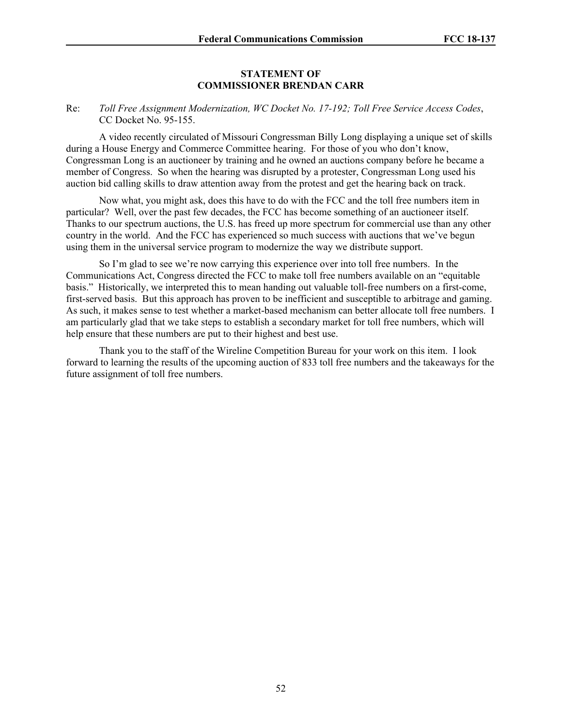#### **STATEMENT OF COMMISSIONER BRENDAN CARR**

### Re: *Toll Free Assignment Modernization, WC Docket No. 17-192; Toll Free Service Access Codes*, CC Docket No. 95-155.

A video recently circulated of Missouri Congressman Billy Long displaying a unique set of skills during a House Energy and Commerce Committee hearing. For those of you who don't know, Congressman Long is an auctioneer by training and he owned an auctions company before he became a member of Congress. So when the hearing was disrupted by a protester, Congressman Long used his auction bid calling skills to draw attention away from the protest and get the hearing back on track.

Now what, you might ask, does this have to do with the FCC and the toll free numbers item in particular? Well, over the past few decades, the FCC has become something of an auctioneer itself. Thanks to our spectrum auctions, the U.S. has freed up more spectrum for commercial use than any other country in the world. And the FCC has experienced so much success with auctions that we've begun using them in the universal service program to modernize the way we distribute support.

So I'm glad to see we're now carrying this experience over into toll free numbers. In the Communications Act, Congress directed the FCC to make toll free numbers available on an "equitable basis." Historically, we interpreted this to mean handing out valuable toll-free numbers on a first-come, first-served basis. But this approach has proven to be inefficient and susceptible to arbitrage and gaming. As such, it makes sense to test whether a market-based mechanism can better allocate toll free numbers. I am particularly glad that we take steps to establish a secondary market for toll free numbers, which will help ensure that these numbers are put to their highest and best use.

Thank you to the staff of the Wireline Competition Bureau for your work on this item. I look forward to learning the results of the upcoming auction of 833 toll free numbers and the takeaways for the future assignment of toll free numbers.